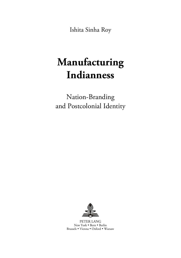Ishita Sinha Roy

# **Manufacturing Indianness**

Nation-Branding and Postcolonial Identity



PETER LANG New York • Bern • Berlin Brussels . Vienna . Oxford . Warsaw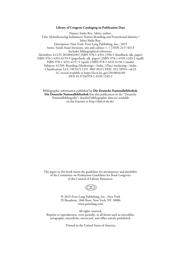#### **Library of Congress Cataloging-in-Publication Data**

Names: Sinha Roy, Ishita, author. Title: Manufacturing Indianness: Nation-Branding and Postcolonial Identity / Ishita Sinha Roy. Description: New York: Peter Lang Publishing, Inc., 2019 Series: South Asian literature, arts and culture; v. 1 | ISSN 2157-0213 Includes bibliographical references. Identifiers: LCCN 2018044189 | ISBN 978-1-4331-1396-3 (hardback: alk. paper) ISBN 978-1-4331-6159-9 (paperback: alk. paper) | ISBN 978-1-4539-1249-2 (epdf) ISBN 978-1-4331-6157-5 (epub) | ISBN 978-1-4331-6158-2 (mobi) Subjects: LCSH: Branding (Marketing)—India. | Place marketing—India. Classification: LCC HF5415.1255 .R69 2019 | DDC 352.70954—dc23 LC record available at https://lccn.loc.gov/2018044189 DOI 10.3726/978-1-4539-1249-2

Bibliographic information published by **Die Deutsche Nationalbibliothek**. **Die Deutsche Nationalbibliothek** lists this publication in the "Deutsche Nationalbibliografie"; detailed bibliographic data are available on the Internet at http://dnb.d-nb.de/.

The paper in this book meets the guidelines for permanence and durability of the Committee on Production Guidelines for Book Longevity of the Council of Library Resources.



© 2019 Peter Lang Publishing, Inc., New York 29 Broadway, 18th floor, New York, NY 10006 www.peterlang.com

All rights reserved. Reprint or reproduction, even partially, in all forms such as microfilm, xerography, microfiche, microcard, and offset strictly prohibited.

Printed in the United States of America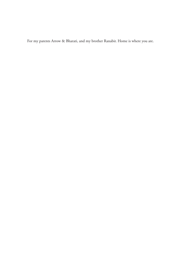For my parents Arrow & Bharati, and my brother Ranabir. Home is where you are.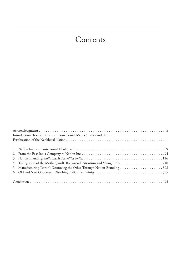# Contents

| Introduction: Text and Context: Postcolonial Media Studies and the       |  |
|--------------------------------------------------------------------------|--|
|                                                                          |  |
|                                                                          |  |
|                                                                          |  |
|                                                                          |  |
|                                                                          |  |
| 5 Manufacturing Terror®: Destroying the Other Through Nation-Branding308 |  |
|                                                                          |  |
|                                                                          |  |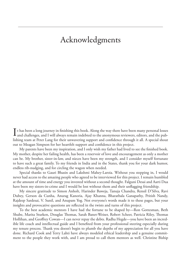# Acknowledgments

I t has been a long journey in finishing this book. Along the way there have been many personal losses and challenges, and I will always remain indebted to the anonymous reviewers, editors, and the publishing team at Peter Lang for their unwavering support and confidence through it all. A special shout out to Meagan Simpson for her heartfelt support and confidence in this project.

My parents have been my inspiration, and I only wish my father had lived to see the finished book. My mother, despite her failing health, has been a reservoir of love and encouragement as only a mother can be. My brother, sister-in-law, and nieces have been my strength, and I consider myself fortunate to have such a great family. To my friends in India and in the States, thank you for your dark humor, endless rib-nudging, and for circling the wagon when needed.

Special thanks to Gauri Bhasin and Lakshmi Mahey-Laroia. Without you stepping in, I would never had access to the amazing people who agreed to be interviewed for this project. I remain humbled at the amount of time and energy you invested without a second thought. Falguni Desai and Aarti Dua have been my sisters-in-crime and I would be lost without them and their unflagging friendship.

My sincere gratitude to Simon Anholt, Harinder Baweja, Tanuja Chandra, Rensil D'Silva, Ravi Dubey, Gerson da Cunha, Anurag Kanoria, Ajay Khanna, Bharatbala Ganapathy, Pritish Nandy, Rajdeep Sardesai, V. Sunil, and Anupam Yog. Not everyone's words made it to these pages, but your insights and provocative questions are reflected in the twists and turns of this project.

To the best academic mentors I have had the fortune to be shaped by—Ron Gottesman, Beth Shube, Marita Sturken, Douglas Thomas, Sarah Banet-Weiser, Robert Scheer, Patricia Riley, Thomas Hollihan, and Geoffrey Cowan—I can never repay the debts. Radha Hegde—you have been an incredible life coach and intellectual guide and I benefited from your professional steering especially during my tenure process. Thank you doesn't begin to plumb the depths of my appreciation for all you have done. Richard Cook and Terry Lahti have always modeled ethical leadership and a genuine commitment to the people they work with, and I am proud to call them mentors as well. Christine Biship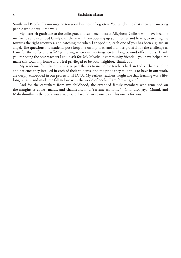Smith and Brooks Haynie—gone too soon but never forgotten. You taught me that there are amazing people who do walk the walk.

My heartfelt gratitude to the colleagues and staff members at Allegheny College who have become my friends and extended family over the years. From opening up your homes and hearts, to steering me towards the right resources, and catching me when I tripped up, each one of you has been a guardian angel. The questions my students pose keep me on my toes, and I am as grateful for the challenge as I am for the coffee and *Jell-O* you bring when our meetings stretch long beyond office hours. Thank you for being the best teachers I could ask for. My Meadville community friends—you have helped me make this town my home and I feel privileged to be your neighbor. Thank you.

My academic foundation is in large part thanks to incredible teachers back in India. The discipline and patience they instilled in each of their students, and the pride they taught us to have in our work, are deeply embedded in our professional DNA. My earliest teachers taught me that learning was a lifelong pursuit and made me fall in love with the world of books. I am forever grateful.

And for the caretakers from my childhood, the extended family members who remained on the margins as cooks, maids, and chauffeurs, in a "servant economy"—Chondro, Jaya, Manni, and Mahesh—this is the book you always said I would write one day. This one is for you.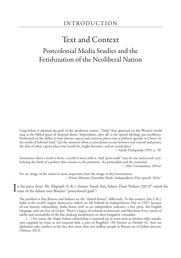# Text and Context Postcolonial Media Studies and the Fetishization of the Neoliberal Nation

Long before it adopted the garb of the modernist nation, "India" first appeared on the Western world map as the fabled space of imperial desire. Imperialism, after all, is the spatial ideology par excellence. Predicated on the ability to fuse abstract spaces and concrete places into a political agenda, it is born (in the words of Edward Said) "[a]t the moment when a coincidence occurs between real control and power, the idea of what a given place was (could be, might become), and an actual place"

—Satish Deshpande,1993, p. 781

Sometimes when a word is born, a world is born with it. And "post-truth" may be one such word, symbolising the birth of a politics that returns to the primitive, the primordial and the irrational. —Shiv Visvanathan, 2016a<sup>2</sup>

For us, image of the nation is more important than the image of the Government. —Prime Minister Narendra Modi, Independence Day speech, 2016.3

In his piece from *The Telegraph* (U.K.), former South Asia Editor Dean Nelson (2013)<sup>4</sup> raised the issue of the debate over Britain's "postcolonial guilt": issue of the debate over Britain's "postcolonial guilt":

The problem is that Britons and Indians see the "shared history" differently. To this country [the U.K.], India is the world's largest democracy, which we left behind on Independence Day in 1947; because of our historic relationship, India shares with us an independent judiciary, a free press, the English language, and our love of cricket. There's a legacy of colonial architecture and Merchant Ivory scenes of sahibs and memsahibs of the Raj clinking sundowners on their bungalow verandahs.

[...] For many, the Anglo-Indian relationship is summed up in icons such as chicken tikka masala, now regarded by some as our national dish, a pint of *Kingfisher*, *The Kumars at Number 42*. And our diplomats take comfort in the fact that more than one million people in Britain are of Indian descent. (Nelson, 2013)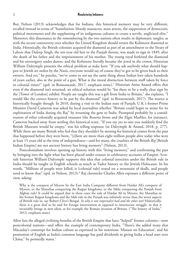But, Nelson (2013) acknowledges that for Indians, this historical memory may be very different, recalled instead in terms of "humiliation: bloody massacres, mass arrests, the suppression of democratic political movements and the supplanting of its indigenous cultures to create a servile, anglicised elite." Moreover, this dissonance in the *re*membering by the two nations often results in diplomatic tangles, as with the recent controversy over whether the United Kingdom should return the Kohinoor diamond to India. Historically, the British colonists acquired the diamond as part of an amendment to the Treaty of Lahore that Duleep Singh, the ten-year old heir to the Punjab throne, was made to sign in 1849, after the death of his father and the imprisonment of his mother. The young royal forfeited the diamond and his sovereignty under duress, and the Kohinoor literally became the jewel in the crown. Historian William Dalrymple presents the ethical problem at stake here: "If you ask anybody what should happen to Jewish art stolen by the Nazis, everyone would say of course they've got to be given back to their owners. And yet," he puzzles, "we've come to *not* say the same thing about Indian loot taken hundreds of years earlier, also at the point of a gun. What is the moral distinction between stuff taken by force in colonial times?" (qtd. in Boissoneault, 2017, emphasis mine).<sup>5</sup> Historian Anita Anand offers that even if the diamond isn't returned, an ethical solution would be "for there to be a really clear sign by the [Tower of London] exhibit. People are taught this was a gift from India to Britain," she explains, "I would like the correct history to be put by the diamond" (qtd. in Boissoneault, 2017). The matter is historically fraught though. In 2010, during a visit to the Indian state of Punjab, U.K.'s former Prime Minister David Cameron was asked by local journalists whether "Britain could begin to atone for its exploitation of India during the Raj" by returning the gem to India. Prompted probably by a consideration of other colonially acquired treasures (the Rosetta Stone and the Elgin Marbles, for instance), Cameron backed away from settling this historical score. "If you say yes to one you suddenly find the British Museum would be empty," was his telling response (in Dalrymple & Anand, 2018, p. 277). While there are many British who feel that they shouldn't be atoning for historical crimes from the past that happened before they were born, "[t]here are more than eight million people alive today who were at least 15 years old at the time of independence—and for many, the cruelties of the British *Raj* [British Indian Empire] are not ancient history but living memory" (Nelson, 2013).

Postcolonialism involves opening up history with this "living memory," and confronting the past by bringing into the light what has been placed under erasure in celebratory accounts of Empire. Scottish historian William Dalrymple supports this idea that colonial atrocities under the British rule in India should be taught in English schools as much as Tudor history or the Jewish Holocaust. In his words, "Millions of people were killed, it [colonial rule] rested on a mountain of skulls, and people need to know that" (qtd. in Nelson, 2013).<sup>6</sup> Raj chronicler Charles Allen espouses a different point of view, asking:

Why is the conquest of Mysore by the East India Company different from Haidar Ali's conquest of Mysore, or the Marathas conquering the Rajput kingdoms, or the Sikhs conquering the Punjab from Afghan rule? It could be argued that in these cases the rule of Haidar Ali in Mysore, the Marathas in the former Rajput kingdoms and the Sikh rule in the Punjab was infinitely worse than the worst aspects of British rule in, say Robert Clive's Bengal. *So why is one imperialist bad and the other not?* Historically, there is a great deal to be said for foreign intervention as opposed to internecine struggle, in that it invariably brings in new ideas, as for example the Roman invasion of Britain. ("The history of India," 2013, emphasis mine)

Allen lists the alleged civilizing benefits of the British Empire that have "helped" former colonies—now postcolonial nations—and offers the example of contemporary India. "There's the added irony that Macaulay's contempt for Indian culture as expressed in his notorious 'Minute on Education', and his promotion of English as India's common language has paid dividends in giving India a head start over China," he pointedly states.<sup>7</sup>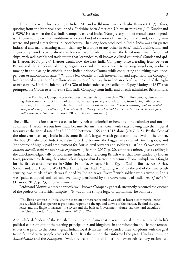The trouble with this account, as Indian MP and well-known writer Shashi Tharoor (2017) refutes, quoting from the historical account of a Yorkshire-born American Unitarian minister, J. T. Sunderland (1929),<sup>8</sup> is that when the East India Company entered India, "Nearly every kind of manufacture or product known to the civilized world—nearly every kind of creation of man's brain and hand, existing anywhere, and prized either for its utility or beauty—had long been produced in India. India was a far greater industrial and manufacturing nation than any in Europe or any other in Asia." India's architectural and engineering wonders were already well-known worldwide, and it was the best-known manufacturer of ships, with well-established trade routes that "extended to all known civilized countries" (Sunderland qtd. in Tharoor, 2017, p. 2).<sup>9</sup> Tharoor details how the East India Company, once a trading front between Britain and the kingdoms of India, began to extend military services to warring kingdoms, gradually moving in and placing its officials in the Indian princely Courts, while conquering and taking over "independent or autonomous states." Within a few decades of such intervention and expansion, the Company had "annexed a quarter of a million square miles of territory from Indian rulers" by the end of the eighteenth century. Until the infamous First War of Independence (also called the Sepoy Mutiny of 1857) that prompted the Crown to remove the East India Company from India, and directly administer British India,

[...] the East India Company presided over the destinies of more than 200 million people, determining their economic, social and political life, reshaping society and education, introducing railways and financing the inauguration of the Industrial Revolution in Britain. *It was a startling and unrivalled example of what, in a alter era, Marxists in the 1970s grimly foretold for the world: rule of, by and for a multinational corporation*. (Tharoor, 2017, p. 4, emphasis mine)

The civilizing mission that was used to justify British colonialism benefitted the colonizer and not the colonized. Tharoor lays out how India became Britain's "cash cow," with taxes flowing into the imperial treasury at the annual rate of £18,000,000 between 1765 and 1815 alone (2017, p. 5). By the close of the nineteenth century, India had become Britain's largest wealth-generator—the jewel in the crown. The Raj (British-ruled India) was also forced to become the biggest importer of British goods, and "the source of highly paid employment for British civil servants and soldiers all at India's own expense. *Indians literally paid for their own oppression*" (Tharoor, 2017, p. 20, emphasis mine). Just as telling is the unacknowledged tally of how many Indians died servicing British wars that were funded by Indian taxes, procured by driving the entire colony's agricultural sector into penury. From multiple wars fought for the British cause overseas in China, Ethiopia, Malaya, Malta, Egypt, Sudan, Burma, East Africa, Somaliland, and Tibet, to World War II, the British had a "standing army" by the end of the nineteenth century, two-thirds of which was funded by Indian taxes. Every British soldier who arrived in India was "paid, equipped and fed and eventually pensioned by the Government of India, *not of Britain*" (Tharoor, 2017, p. 23, emphasis mine).

Ferdinand Mount, a descendant of a well-known Company general, succinctly captured the essence of the project of the British Empire—"it was all the simple logic of capitalism," he admitted:

"The British empire in India was the creation of merchants and it was still at heart a commercial enterprise, which had to operate at profit and respond to the ups and downs of the market. Behind the epaulettes and the jingle of harness, the levees and the balls at Government House, lay the hard calculus of the City of London." (qtd. in Tharoor, 2017, p. 26)

And, while defenders of the British Empire like to claim that it was imperial rule that created India's political cohesion out of the warring principalities and kingdoms in the subcontinent, Tharoor remonstrates that prior to the British, great Indian royal dynasties had expanded their kingdoms with the goal to unify the diverse people across the land. It is this vision that informed the great Hindu epics—the *Mahabharata* and the *Ramayana*, "which reflect an "idea of India" that twentieth-century nationalists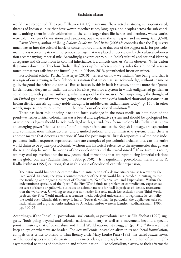would have recognized. The epics," Tharoor (2017) maintains, "have acted as strong, yet sophisticated, threads of Indian culture that have woven together tribes, languages, and peoples across the sub-continent, uniting them in their celebration of the same larger-than-life heroes and heroines, whose stories were told in dozens of translations and variations, but always in the same spirit and meaning" (pp. 37–8).

Pavan Varma, author of *Being Indian: Inside the Real India* (2005),<sup>10</sup> concedes that the Raj is very much woven into the cultural fabric of contemporary India, so that one of the biggest tasks for postcolonial India is recovering its own indigenous heritage that was placed under erasure by the cultural colonization accompanying imperial rule. Accordingly, any project to build India's cultural and national identity, as separate and distinct from its colonial inheritance, is a difficult one. As Varma observes, "[t]he Union flag comes down, the Tricolour [Indian flag] goes up but when a country rules for a hundred years so much of that past sails into the future" (qtd. in Nelson, 2013, parenthetical insertion mine).

Postcolonial scholar Partha Chatterjee (2010)<sup>11</sup> reflects on how we Indians "are being told that it is a sign of our growing self-confidence as a nation that we can at last acknowledge, without shame or guilt, the good the British did for us." But, as he sees it, this in itself is suspect, and the more that "popular democracy deepens in India, the more its elites yearn for a system in which enlightened gentlemen could decide, with paternal authority, what was good for the masses." Not surprisingly, the thought of "an Oxford graduate of twenty-two going out to rule the destiny of a hundred thousand peasants in an Indian district can stir up many noble thoughts in middle-class Indian hearts today" (p. 163). In other words, imperial desires can crop up in the new form of neoliberal ambition.<sup>12</sup>

There has been this ongoing back-and-forth exchange in the news media on both sides of the pond—whether British colonialism was a brutal and exploitative system and should be apologized for, or whether its legacy should be acknowledged with gratitude by a former colony like India, that is now an emerging power "thanks" to the "gifts" of imperialism such as the English language, transportation and communication infrastructures, and a unified judicial and administrative system. Then there is another matter that deserves attention: if *both* the post-imperial British responses *and* the post-independence Indian responses reproduced here are examples of postcolonial articulations, can the entire world claim to be *equally* postcolonial, "without any historical reference to the asymmetries that govern the relationship between the worlds of the ex-colonizers and the ex-colonized?" If we take this route, we may end up overlooking the new geopolitical formations that are reproducing imperial relations in the global context (Radhakrishnan, 1993, p. 750).<sup>13</sup> It is significant, postcolonial literary critic R. Radhakrishnan (1993) cautions, that in this phase of neoliberal capitalist expansion,

The entire world has been de-territorialized in anticipation of a democratic-capitalist takeover by the Free World. In short, the joyous counter-memory of the First World has succeeded in putting to rest the troubling and ongoing histories of Colonialism, Neo-Colonialism, and Imperialism. Within the indeterminate spatiality of the "post-," the First World finds no problem or contradiction, experiences no sense of shame or guilt, while it insists on a dominant role for itself in projects of identity reconstruction the world over. Unwilling to accept a non-leader-like role, much less exclusion from Third World projects, the First World mandates a seamless methodological universalism to legitimate its centrality the world over. Clearly, this strategy is full of "betrayals within," in particular, the duplicitous take on nationalism and a protectionist attitude to American and/or western identity. (Radhakrishnan, 1993, pp. 750–51)

Accordingly, if the "post" in "postcolonialism" entails, as postcolonial scholar Ella Shohat (1992) suggests, "both going beyond anti-colonial nationalist theory as well as a movement beyond a specific point in history, that of colonialism and Third World nationalist struggle,"  $(p. 101)$ ,<sup>14</sup> then we must keep an eye on where we are headed. The *new* millennial postcolonialism in its neoliberal formulation, compels us as critics to attend to what literary critic Mary Louise Pratt (1992) has called *contact zones*, or "the social spaces where disparate cultures meet, clash, and grapple with each other, often in highly asymmetrical relations of domination and subordination—like colonialism, slavery, or their aftermaths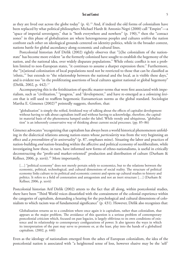as they are lived out across the globe today"  $(p, 4)$ .<sup>15</sup> And, if indeed the old forms of colonialism have been replaced by what political philosophers Michael Hardt & Antonio Negri (2000) call "Empire"—a "space of imperial sovereignty," that is "both everywhere and nowhere" (p. 190),<sup>16</sup> then the "contact zones" in this phase of globalization are where heterogeneous peoples and cultures *within* the nation confront each other on ideological grounds centered on identity-politics, while in the broader context, nations battle for global ascendancy along economic and cultural lines.

Postcolonial historian Arif Dirlik (2002) rightly observes that "[t]he colonialism of the nationstate" has become more evident "as the formerly colonized have sought to establish the hegemony of the nation, and the national idea, over widely disparate populations." While ethnic conflict is not a problem limited to non-European states, "it continues to assume a sharper expression there." Furthermore, the "[n]ational colonization of local populations need not be restricted to those that can be classified as 'ethnic,'" but extends to "the relationship between the national and the local, as is visible these days," and is evident too "in the proliferating assertions of local cultures against national or global hegemony" (Dirlik, 2002, p. 442).17

Accompanying this is the fetishization of specific master-terms that were first associated with imperialism, such as "civilization," "progress," and "development," and have re-emerged as a *colonizing lexicon* that is still used to reaffirm hegemonic Euroamerican norms as the global standard. Sociologist Martha E. Gimenez (2002)<sup>18</sup> pointedly suggests, therefore, that:

"globalization" is simply the reified, fetishized way of talking about the effects of capitalist development without having to talk about capitalism itself and without having to acknowledge, therefore, the capitalist material basis of the phenomena lumped under the label. While trendy and ubiquitous, "globalization" is an inherently conservative way of thinking about current social processes. (pp. 85–86)

Gimenez advocates "recognizing that capitalism has always been a world historical phenomenon unfolding in the dialectical relations among nation-states whose *particularity* was from the very beginning an effect and *a precondition of its universality*" (p. 87, emphases mine). Situating the labor and practices of nation-building *and* nation-branding within the affective and political economy of neoliberalism, while investigating how these, in turn, have informed new forms of ethno-nationalisms, is useful in critically deconstructing the "profit-and market-oriented" production and distribution of culture (Durham & Kellner, 2006, p. xxvii).19 More importantly,

[...] "political economy" does not merely pertain solely to economics, but to the relations between the economic, political, technological, and cultural dimensions of social reality. The structure of political economy links culture to its political and economic context and opens up cultural studies to history and politics. It refers to a field of contestation and antagonism and not an inert structure […] (Durham & Kellner, 2006, p. xxvii)

Postcolonial historian Arif Dirlik (2002) attests to the fact that all along, within postcolonial studies, there have been "Third World voices dissatisfied with the containment of the colonial experience within the categories of capitalism, demanding a hearing for the psychological and cultural dimensions of colonialism to which racism was of fundamental significance" (p. 431). However, Dirlik also recognizes that:

Globalization returns us to a condition where once again it is capitalism, rather than colonialism, that appears as the major problem. The avoidance of this question is a serious problem of contemporary postcolonial criticism which, focused on past legacies, is largely oblivious to its own conditions of existence and its relationship to contemporary configurations of power. It also ignores the ways in which its interpretation of the past may serve to promote or, at the least, play into the hands of a globalized capitalism. (2002, p. 440)

Even as the ideology of nationalism emerged from the ashes of European colonialism, the idea of the postcolonial nation is associated with "a heightened sense of loss, however elusive may be the 'self'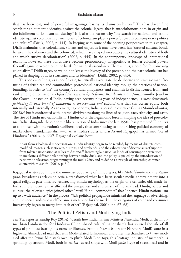that has been lost, and of powerful imaginings: basing its claims on history." This has driven "the search for an authentic identity, against the colonial legacy, that is autochthonous both in origin and the fulfillment of its historical destiny." It is also the reason why "the search for national and ethnic identity against colonialism or memories of colonialism plays a powerful part in contemporary politics and culture" (Dirlik, 2002, p. 444). In keeping with some of the opening perspectives in this chapter, Dirlik maintains that colonialism, violent and unjust as it may have been, has "created cultural bonds between the colonizer and the colonized, which have shaped irrevocably the cultural identities of both and which survive decolonization" (2002, p. 445). In the contemporary landscape of international relations, however, these bonds have become pronouncedly antagonistic as former colonial powers face-off against ex-colonies in the battle for national ascendancy. There is thus, a need for "historicizing colonialism," Dirlik urges, so we do not "erase the history of the present, and the part colonialism has played in shaping both its structures and its identities" (Dirlik, 2002, p. 440).

This book uses India, as a specific case, to critically investigate the deliberate and strategic manufacturing of a fetishized and commodified postcolonial national identity, though the practices of nationbranding, in order to "fix" the country's cultural uniqueness, and establish its distinctiveness from, and rank among other nations. *Defined for centuries by its former British rulers as a possession*—the Jewel in the Crown—postcolonial India, having seen seventy plus years of independence, is *more deliberately fashioning its own brand of Indianness as an economic and cultural asset* that can accrue equity both internally and externally. As an emerging economy, India is poised to overtake China (Mourdoukoutas, 2018),<sup>20</sup> but is confronted with internal divisiveness along the lines of religion, race/ethnicity, and caste. The rise of Hindu neo-nationalism (Hindutva) as the hegemonic force in shaping the idea of postcolonial India, alongside the economic liberalization of India since the late 1990s, has prompted Hindutva to align itself with the nation's neoliberal goals, thus contributing to a flourishing political economy of market-driven fundamentalism—or what media studies scholar Arvind Rajagopal has termed "Retail Hindutva" (2001a, p.  $66$ )<sup>21</sup>. Rajagopal explains how:

Apart from ideological indoctrination, Hindu identity began to be retailed, by means of discrete commodified images, such as stickers, buttons, and armbands, and the exhortation of discrete acts of support from token participation at rallies to *kar seva*. 22 Increasingly, particular kinds of consumption were used to inculcate a different relationship between individuals and the polity, signaled by the introduction of nationwide television programming in the mid-1980s, and to define a new style of citizenship commensurate with this shift. (2001a, p. 61)

Rajagopal writes about how the immense popularity of Hindu epics, like *Mahabharata* and the *Ramayana*, broadcast as television serials, transformed what had been secular media entertainment into a quasi-religious past-time. By resurrecting Hindu mythology as the origin of a centuries-old, made-in-India cultural identity that affirmed the uniqueness and supremacy of Indian (read: Hindu) values and culture, the televised epics joined other "retail Hindu commodities" that "opened Hindu nationalism up to a wide audience." In the process. "[a]s political propaganda mimicked the language of advertising, and the social landscape itself became a metaphor for the market, the categories of voter and consumer increasingly began to merge into each other" (Rajagopal, 2001a, pp. 67−68).

### The Political Fetish and Modi-fying India

*FirstPost* reporter Sandip Roy (2014)<sup>23</sup> details how Indian Prime Minister Narendra Modi, as the informal brand ambassador for Hindutva (Hindu-based cultural nationalism)*,* has spurred the sale of all types of products bearing his name or likeness. From a NaMo (short for Narendra Modi) store in a high-end Ahmedabad mall that sells Modi-related fashionwear and other merchandise, to *kurtas* modeled after the Prime Minister's own, to plush Modi Lion toys, this "cottage industry of memorabilia springing up around Modi, both in *mithai* [sweet] shops with Modi *pedas* [type of sweetmeat] and in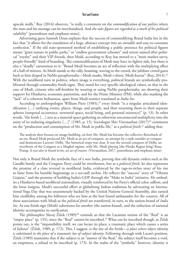upscale malls," Roy (2014) observes, "is really a comment on the *commodification of our politics* where the man and his message can be merchandised. And *the sales figures are regarded as a mark of his political salability*" (parentheses and emphases mine).

Advertising guru Santosh Desai explains that the success of commodifying Brand India lies in the fact that "it allows for the translation of a large, abstract concept into an ownable and easy-to-consume confection." If the old state-sponsored method of establishing a public presence for political figures meant "giant statues in public parks," or "endless government schemes" and streets named after political "royalty" and their VIP friends, then Modi, according to Roy, has moved to a "more market-savvy, people-friendly" kind of branding. The commodification of Modi may have its lighter side, but there is also a "deadly" earnestness to it: "Brand Modi becomes an act of reflection with the multiplying effect of a hall of mirrors. As Modi stands at the rally, beaming, waving to the crowd, the jubilant crowd gazes back at him draped in NaMo paraphernalia—Modi masks, Modi t-shirts, Modi-kurtas" (Roy, 2014).<sup>24</sup> With the neoliberal turn in politics, where image is everything, political brands are symbolically proliferated through commodity fetish-signs. They stand for very specific ideological values, so that in the case of Modi, citizens who self-fetishize by wearing or using NaMo paraphernalia, are showing their support for Hindutva, economic patriotism, and for the Prime Minister (PM), while also masking the "lack" of a coherent Indianness, apart from Modi-nomics translated as *India Inc.*

According to anthropologist William Pietz  $(1985)$ ,<sup>25</sup> every fetish "is a singular articulated identification […] unifying events, places, things, and people, and then returning them to their separate spheres (temporal occurrence, terrestrial space, social being, and personal existence)" (p. 13). In other words, "the fetish […] acts as a material space gathering an otherwise unconnected multiplicity into the unity of its enduring singularity  $[...]$  (1985, p. 15). Sociologist Shiv Visvanathan  $(2017)^{26}$  comments on the "production and consumption of Mr. Modi in public life," as a *political fetish*, 27 adding that:

The analysis then focuses on image-building, on how Mr. Modi has become the collective Rorschach of an era. Brand Modi projected Mr. Modi as an act of conquest, an attempt by a rank outsider to conquer and domesticate Lutyens' Delhi. The historical trope was clear. It was the second conquest of Delhi, an overthrow of the Congress as a Mughal regime, with Mr. Modi playing [the Hindu Rajput king] Rana Pratap. *It was also in brand terms, an act of erasure*. (Visvanathan, 2017, parentheses and emphasis mine)

Not only is Brand Modi the symbolic face of a *new* India, proving that old dynastic orders such as the Gandhi family and the Congress Party could be overthrown, but as a *political fetish*, he also represents the promise of a class reversal in neoliberal India, evidenced by the rags-to-riches story of his rise to fame from his humble beginnings as a tea-stall urchin. He reflects the "success" story of "Vibrant Gujarat," and the promise of building India's GDP through the "Make in India" initiative. He embodies a Hindutva-based neoliberal nationalism, visually reinforced by his Party's official color, saffron, and the lotus insignia. Modi's successful effort at globalizing Indian traditions by advocating an International Yoga Day that was unanimously backed by the United Nations General Assembly, also earned him credibility among his followers who see him as the best brand ambassador for the country. All of these associations with Modi as the *political fetish* are transferred, in turn, to the nation-brand of *India Inc.* As one fetish-sign (Modi) substitutes for another (the nation-brand), and the reifaction of national identity accompanies its rarefication.

The philosopher Slavoj Žižek (1989)<sup>28</sup> reminds us that the Lacanian notion of the "Real" is an "empty place" (p. 135), since the "Real" cannot be inscribed.<sup>29</sup> What can be inscribed though, as Žižek points out, is the "impossibility itself, we can locate its place; a traumatic place which causes a series of failures" (Žižek, 1989, p. 172). This, I suggest, is the site of the fetish—*a place where object identity is substituted in the place of a traumatic loss of subject identity*. Following through with Lacan's position, Žižek (1989) maintains that if the subject is an "answer of the Real," the subject itself becomes a void, an emptiness, a refusal to be inscribed (p. 173). In the realm of the "symbolic" however, identity is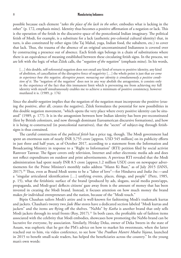possible because each element "*takes the place of the lack in the other*, embodies what is lacking in the other" (p. 172, emphasis mine). Identity thus becomes a positive affirmation of a negation or lack. This is the operation of the fetish in the discursive space of the postcolonial Indian imaginary. The political fetish of Modi, for example, is a substitute for a lack (authentic pre-colonial cultural identity) that, in turn, is also constituted by other signs (the Taj Mahal, yoga, Indian food, the subaltern, etc.) to cover that lack. Thus, the trauma of the absence of an original uncontaminated Indianness is covered over by constructing a presence out of absence. Each fetish sign belongs in a chain of substitutions where there is an equivalence of meaning established between these circulating fetish signs. In the process, we are left with the logic of what Žižek calls, the "*negation of the negation*" (emphasis mine). In his words,

[...] this double, self-referential negation does not entail any kind of return to positive identity, any kind of abolition, of cancellation of the disruptive force of negativity […] the whole point is just that *we come to experience how this negative, disruptive power, menacing our identity is simultaneously a positive condition of it*. The "negation of the negation" does not in any way abolish the antagonism, it consists only in the experience of the fact that this immanent limit which is preventing me from achieving my full identity with myself simultaneously enables me to achieve a minimum of positive consistency, however mutilated it is. (1989, p. 176)

Since the *double-negation* implies that the negation of the negation must incorporate the positive (erasing the positive, after all, creates the negative), Žižek formulates the potential for new possibilities in this double negation movement, "which opens the very place where every positive identity can be situated" (1989, p. 177). It is in the antagonism between how Indian identity has been pre-reconstituted (first by British colonizers, and now through dominant Euroamerican discursive formations), and how it is being re-constructed (in postcolonial narratives), that the "secret" of subject-ing through fetishsigns is thus contained.

The careful construction of the *political fetish* has a price tag, though. The Modi government had spent an enormous sum of nearly INR 3,755 crore [approx. USD 545 million] on its publicity efforts in just three and half years, as of October 2017, according to a statement from the Information and Broadcasting Ministry in response to a "Right to Information" (RTI) petition filed by social activist Ramveer Tanwar. The figure covers only television, Internet and other electronic media ads and does not reflect expenditures on outdoor and print advertisements. A previous RTI revealed that the Modi administration had spent nearly INR 8.5 crore [approx.1.2 million USD] crore on newspaper advertisements for the Prime Minister's monthly radio address "Mann Ki Baat," as of July 2015 (IANS, 2017).30 Thus, even as Brand Modi seems to be a "labor of love"—for Hindutva and *India Inc.*—and a "singular articulated identification […] unifying events, places, things, and people" (Pietz, 1985, p. 15), what the fetishistic surface of the brand (produced by ads, slogans, social media posts/apps, propaganda, and Modi-gear) deflects citizens' gaze away from is the amount of money that has been invested in creating the Modi brand. Instead, it focuses attention on how much money the brand makes *for* individual entrepreneurs and the nation, because of the "Modi touch."

Bipin Chauhan tailors Modi's attire and is well-known for fashioning Modi's trademark kurtas and jackets. Chauhan's twenty two *Jade Blue* stores have a dedicated section labeled "Modi kurtas and jackets" and the items are flying off the shelves. "NaMo" by *Katha* is another brand that only sells Modi jackets through its retail fronts (Roy, 2017).<sup>31</sup> In both cases, the profitable sale of fashion items associated with the celebrity that Modi embodies, showcases how promoting the NaMo brand can be lucrative for everyone, by association. Similarly, Hriday Deka, owner of Deka Sweets in the state of Assam, was euphoric that he got the PM's advice on how to market his sweetmeats, when the latter reached out to him, via video conference, to see how "the *Pradhan Mantri Mudra Yojana*, launched in 2015 to benefit small-scale traders, has helped the beneficiaries across the country." In the young man's own words: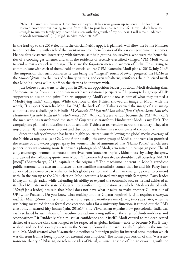"When I started my business, I had two employees. It has now grown up to seven. The loan that I received twice without having to run from pillar to post has changed my life. Now, I don't have to struggle to run my family. My income has risen with the growth of my business. I will remain indebted to Modi government" [...]. (Qtd. in Mazumdar, 2018)<sup>32</sup>

In the lead-up to the 2019 elections, the official NaMo app, it is planned, will allow the Prime Minister to connect directly with each of the twenty-two crore beneficiaries of the various government schemes. He has already started interacting with farmers, self-help groups, housewives, who were the beneficiaries of a cooking gas scheme, and with the residents of recently-electrified villages. "PM Modi wants to send across a very clear message. These are the forgotten men and women of India. He is trying to communicate with each of them," said an official source ("PM Narendra Modi plans," 2018, July 24).<sup>33</sup> The impression that such connectivity can bring the "magical" touch of *vikas* (progress) via NaMo as the *political fetish* into the lives of ordinary citizens, and even subalterns, reinforces the publicized myth that Modi's success will rub off on the citizens he interacts with.

Just before voters went to the polls in 2014, an opposition leader put down Modi declaring that, "Someone rising from a tea shop can never have a national perspective." It prompted a group of BJP supporters to design and print T-shirts supporting Modi's candidacy, as part of what they termed a "Modi-fying India" campaign. While the front of the T-shirts showed an image of Modi, with the words, "I support Narendra Modi for PM," the back of the T-shirts carried the image of a steaming cup of tea, and a challenge in Hindi: "*Ek chaiwala PM kyu nahi ban sakta? Jisne Gujarat badla hain who Hindustan kyu nahi badal sakta? Modi mera PM*" (Why can't a tea vendor become the PM? Why can't the man who has transformed the state of Gujarat also transform Hindustan? Modi is my PM). The campaigners planned to distribute about ten lakh T-shirts to tea vendors across the country. They also urged other BJP supporters to print and distribute the T-shirts in various parts of the country.

Since the safety of women has been a highly politicized issue following the global media coverage of the Nirbhaya rape case (see Ch. 2 and 6 for details), the same group of Modi supporters also promised the release of a low-cost pepper spray for women. The ad announced that "Namo Power" self-defense pepper spray was coming soon. It showed a photograph of Modi, arm raised, in campaign pose. The ad copy encouraged women to protect themselves from "attackers, rapists, kidnappers" by using the spray, and carried the following quote from Modi: "If women feel unsafe, we shouldn't call ourselves MARD [men]" (Bhattacharya, 2013, capitals in the original).<sup>34</sup> The machismo inherent in Modi's grandiose public statements is also an indicator of the hardline masculinist stance that he and his Party have advocated as a corrective to enhance India's global position and make it an emerging power to contend with. In the run-up to the 2014 election, Modi got into a heated exchange with Samajwadi Party leader Mulayam Singh Yadav while defending his ability to expand the economic success he had achieved as its Chief Minister in the state of Gujarat, to transforming the nation as a whole. Modi retaliated with: "*Netaji* [this leader] has said that Modi does not have what it takes to make another Gujarat out of UP [Uttar Pradesh]. Do you know what making another Gujarat requires? […] It requires a *chappan inch ki chhati* (56-inch chest)" (emphasis and square parentheses mine). Yet, two years later, when he was being measured for his formal convocation robes for a university function, it turned out the PM's chest only measured fifty inches (Jain, 2016).<sup>35</sup> Shiv Visvanathan explains how postcolonial India was easily seduced by such shows of masculine bravado—having suffered "the angst of third-worldness and secondariness," it "suddenly felt a muscular confidence about itself." Modi catered to the deep-seated desires of a middle-class that longed to be respected as global Indians—able to become NRIs if they wished, and see India occupy a seat in the Security Council and earn its rightful place in the nuclear club. Mr. Modi created what Visvanathan describes as "a foreign policy for internal consumption which was different from a foreign policy for external consumption." The homespun version of this "was a nononsense theory of Pakistan, no tolerance idea of Nepal, a muscular sense of Indian cavorting with the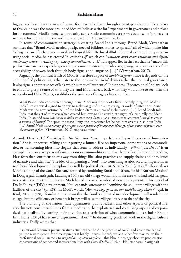biggest and best. It was a view of power for those who lived through stereotypes about it." Secondary to this vision was the more grounded idea of India as a site for "experiments in governance and a place for investment." Modi's immense popularity across socio-economic classes was because he "projected a new role for India in history, and Indians loved it" (Visvanathan, 2017).

In terms of communication strategy in creating Brand India through Brand Modi, Visvanathan surmises that "Brand Modi needed gossip, needed folklore, stories to spread," all of which make him "a larger than life character in oral and digital life." By his skillful rhetorical skills and adeptness in using social media, he has created "a *semiotic self*" which can "*simultaneously evoke tradition and digital modernity, without creating any sense of contradiction*. […]." His appeal lies in the fact that he "enacts this performance in every speech by creating a prime ministership made-easy, giving everyone a sense of the accessibility of power, both through body signals and language. […]" (Visvanathan, 2017).

Arguably, the political fetish of Modi is therefore a space of *double-negation* since it depends on the commodified political signs that cater to the consumer-citizens' desires rather than on real governance. It also signals another space of lack which is that of "authentic" Indianness. If postcolonial Indians look to Modi to grasp a sense of who they are, and Modi reflects back what they would like to see, then the nation-brand (Modi/India) establishes the primacy of image politics, so that:

What Brand India constructed through Brand Modi was the idea of a fixer. The only thing the "Make in India" project was designed to do was to make *images* of India projecting its world of intentions. Brand Modi was the new costume ball of the Indian State in an era of globalisation. […] Brand Modi told India that the act of mimicry, which created him, was to also construct a myth of a culturally confident India. In an odd way, *Mr. Modi is India because every Indian seems desperate to construct himself, to create a version of himself*. The speed the masculinity, the impatience has helped him create a rush-hour India […] *Brand Modi was a victory of perception over practice of image over ideology, of the power of fiction over the realism of fact*. (Visvanathan, 2017, emphases mine)

Amanda Hess (2018),<sup>36</sup> writing for *The New York Times*, regards branding as "a process of humanization." She is, of course, talking about putting a human face on impersonal corporations or commodities, or transforming ideas into slogans that seem to address us individually—*Nike*'s "Just Do It," is an example. But once we personify institutions or commodities and give them a "soul" through branding, Hess fears that "our focus shifts away from things like labor practices and supply chains and onto issues of narrative and identity." The idea of implanting a "soul" into something as abstract and impersonal as neoliberal "development" is explored as well by political scientist Nitasha Kaul  $(2017),$ <sup>37</sup> who analyzes Modi's coining of the word "Rurban," formed by combining Rural and Urban, for his "Rurban Mission" in Dongargad, Chattisgarh. Lauding a 104-year-old village woman from the area who had sold her goats to construct a toilet in her home, Modi hailed her as a "symbol of new development." This model of Do-It-Yourself (DIY) development, Kaul expands, attempts to "combine the soul of the village with the facilities of the city" (p. 538). In Modi's words, "*Aaatma hogi gaon ki, aur suvidha hogi shahar*" (qtd. in Kaul, 2017, p. 538). Translated this means that the "soul" or spirit of such development will reside in the village, but the efficiency or benefits it brings will raise the village lifestyle to that of the city.

The branding of the nation, state apparatuses, public leaders, and other aspects of political life, also distracts consumer-citizens from attending to the exploitative and colonizing aspects of corporatized nationalism, by turning their attention to a variation of what communications scholar Brooke Erin Duffy (2015) has termed "aspirational labor."<sup>38</sup> In discussing gendered work in the digital culture industries, Duffy writes that,

Aspirational labourers pursue creative activities that hold the promise of social and economic capital; yet the reward system for these aspirants is highly uneven. Indeed, while a select few may realize their professional goals—namely to *get paid doing what they love*—this labour ideology obscures problematic constructions of gender and intersectionalities with class. (Duffy, 2015, p. 443, emphases in original)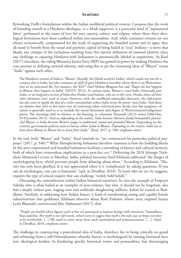Reworking Duffy's formulation within the Indian neoliberal political context, I propose that the work of branding oneself as a Hindutva ideologue, or a Modi supporter, is a particular kind of "aspirational labor" performed in the name of love for *one's country, culture, and religion,* where these three ideological formations have been conflated within neo-nationalism. And, while consumer-citizens are not always economically compensated for the work of supporting the branded nation and its signs, they all stand to benefit from the social and patriotic capital of being hailed as "true" Indians—a move that blocks any critique of the exclusions resulting from this narrow definition of national identity, since any challenge to equating Hindutva with Indianness is automatically labeled as unpatriotic. As Kaul (2017) elucidates, the ruling Bharatiya Janata Party (BJP) has gained its power by making Hindutva the core premise in defining national identity, and using this to pit the contesting ideas of "Bharat" versus "India" against each other:

The Hindutva version of India is "Bharat" (literally, the Hindi word for India), which stands not just for a country that is India, but also connotes an idyll of pure Hindutva morality where there is no Westernization or its associated ills. For instance, the RSS<sup>39</sup> chief Mohan Bhagwat has said "Rapes do not happen in Bharat, they happen in India" (NDTV 2013). At various times, *Bharat is rural India, historically pure India, or an imaginary version of India that Hindus (and Indians, who are in this view, Hindus above all their other identities) must work to create*. However, with the neoliberal nationalist discourse, *this bifurcation has also come to signify the idea of a richer metropolitan urban India versus the poorer rural India*. And there are debates that refer to this latter way of connoting urban rich/rural poor divide, but this imaginary of nation is generally used so as to include the moral dimension and degree of Westernization/indigenous purity. The meanings shift in relation to the framing, as columnist Pattanaik (2013) writes (Mid-Day, 29 December 2013): "And so, *depending on the context, India becomes liberal to feudal homophobic patriarchal Bharat, or India becomes Western stooges to traditional, rooted and grounded Bharat*. Depending on the context, government policies seem to favour either India or Bharat. *Depending on the context, India has to learn from Bharat or Bharat has to learn from India.*" (Kaul, 2017, p. 540, emphases mine)

In the end, both "Bharat" and "India", Kaul reminds us, "are constructed for particular political purposes" (2017, p. 540).40 What *Manufacturing Indianness* therefore examines is how the building blocks of this new corporatized and branded Indianness facilitate a reworking of history and cultural memory, both of which have tremendous implications in a post-fact era.<sup>41</sup> Delivering the 2018 Jehangir Nicholson Memorial Lecture in Mumbai, India, political historian Sunil Khilnani addressed "the danger of mythologising facts, which prevents people from debating about them." According to Khilnani, "History has only been glorified. It is not appreciated when it is 'complicated' by asking questions. If you can de-mythologise, you can re-humanise" (qtd. in Deodhar, 2018). To learn who we are, he suggests, requires the type of critical inquiry that can challenge "widely held beliefs."

Discussing the contradictions within Indian historical narratives, he cites the example of Emperor Ashoka who is often hailed as an exemplar of non-violence, but who, it should not be forgotten, also had a deeply violent past, waging wars and ruthlessly slaughtering millions, before he turned to Buddhism. Similarly, in addressing how Indian history is fond of transforming strong and capable female rulers/warriors into goddesses, Khilnani observes about Rani Padmini, whose story inspired Sanjay Leela Bhansali's controversial film *Padmaavat* (2017), that:

"People are fearful when figures such as her are portrayed as human beings with emotions. Vasundhara Raje said that *'Her myth is our self-esteem', which seems to suggest that myth is the only way we know ourselves to be worthwhile*. […] We need to move away from such essentialism and romanticisation" […]. (Qtd. in Deodhar, 2018, emphasis mine)

The challenge in constructing a postcolonial idea of India, therefore, lies in being critically on guard and refraining from a self-Orientalization whereby history is mythologized by turning historical facts into ideological fetishes. In fetishizing specific historical events and personalities, but discouraging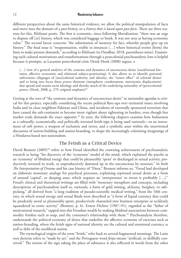different perspectives about the same historical evidence, we allow the political manipulation of facts and move into the domain of a *post-history*, or a *history that is based upon post-facts*. There are three reasons for this, Khilnani posits. The first is economic, since following liberalization, "there was an urge to dispose off [*sic*] history, which was considered baggage or bunk. It was not seen as having economic value." The second factor concerns "the substitution of memory for fact, whereby people give up on history." The final issue is "weaponisation, visible in instances […] where historical events [form] the basis to make present demands," according to Khilnani (in Deodhar, 2018, parentheses mine). Examining such cultural motivations and transformations through a postcolonial psychoanalytic lens is helpful because it prompts, as Lacanian postcolonial critic Derek Hook (2008) argues, a

[...] view of a general analytics of the contents and dynamics of unconscious desire (racial/sexual fantasies; affective economies and relational subject-positioning). It also allows us to identify potential subversions (slippages of [neo]colonial authority and identity; the "return effect" of colonial desire) and to bring into focus those *process* elements (metaphoric condensation, metonymic displacement) that spread and sustain racist ideology and thereby much of the underlying rationality of (post)colonial power. (Hook, 2008, p. 279, original emphasis) $42$ 

Getting at the root of "the contents and dynamics of unconscious desire" in nationalist agendas is critical for this project, especially considering the recent political flare-ups over territorial issues involving India and its close neighbors Pakistan and China, and incidents of externally sponsored terrorism that have caused the sub-continent to become more vigilant about tightening its borders, even though free market trade demands the exact opposite.<sup>43</sup> In turn, the following chapters examine how Indianness as a culturally, economically, and politically invested fetish-sign is being used variously—as an instrument of soft power, a weapon of exclusion and terror, and a symbolic asset within the intertwined discourses of nation-building and nation-branding, to shape the increasingly colonizing imaginings of a Hindutva-based neo-nationalism.

### The Fetish as a Critical Device

David Bennett (2005)<sup>44</sup> refers to how Freud identified the crowning achievement of psychoanalytic research as being "his discovery of the 'economic' model of the mind, which explained the psyche as an 'economy' of libidinal energy that could be pleasurably 'spent' or discharged in sexual activity, productively invested in work, or unproductively dammed up in the unconscious by neurosis." In both *The Interpretation of Dreams* and his case history of "Dora," Bennett informs us, "Freud had developed an elaborate monetary analogy for psychical processes, explaining repressed sexual desire as a form of unused 'capital', or sleeping asset, which requires an 'entrepreneur' to invest it profitably […]." Freud's clinical and theoretical writings are filled with "monetary metaphors and concepts, including descriptions of psychoanalysis itself as, variously, a form of gold mining, alchemy, burglary, or safepicking," all derived from "a long tradition of pseudo-scientific medical writing," from the 18th century, in which sexual energy and sexual fluids were described as "a form of liquid currency that could be prudently saved or pleasurably spent, productively channeled into business enterprise or recklessly squandered in erotic activity" (Bennett, p. 6). Ernest Dichter (1907–91), regarded as the "father of motivational research," tapped into this Freudian wealth by making libidinal associations between commodity fetishes such as soap, and the consumer's relationship with them.<sup>45</sup> Psychoanalysis therefore, understands the political economy of desire that underlies the affective economy of exercises such as nation-branding, where the fetish signs of national identity are the cultural and emotional currency *as well as* debt of the neoliberal nation.

The etymological origins of the term "fetish," refer back to several fragmented meanings. The Latin root *facticius* refers to "made by art," and the Portuguese word *feitço* means "artificial, or skillfully contrived." The notion of the sign taking the place of substance is also reflected in words from the other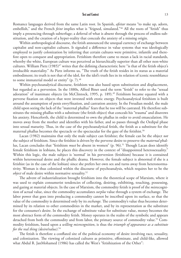Romance languages derived from the same Latin root. In Spanish, *afeitar* means "to make up, adorn, embellish," and the French *feint* implies what is "feigned, simulated."<sup>46</sup> All the roots of "fetish" thus imply a presencing through subterfuge; a deferral of what is absent through the process of endless substitution, and the creation of a hyper-reality that conceals the anxiety of a missing origin.

Within anthropological discourse, the fetish announced the unequal currency of exchange between capitalist and non-capitalist cultures. It signaled a difference in value systems that was ideologically employed to justify colonization by inferring that certain cultures were primitive, infantile and therefore open to conquest and appropriation. Fetishism therefore came to mean a lack in racial standards, whereby the white, European culture was perceived as hierarchically superior than all other non-white cultures. William Pietz  $(1985)^{47}$  writes that the defining characteristic here "is that of the fetish object's irreducible materiality." As Pietz informs us, "The truth of the fetish resides in its status as a material embodiment; its truth is not that of the idol, for the idol's truth lies in its relation of iconic resemblance to some immaterial model or entity" (p. 7).<sup>48</sup>

Within psychoanalytical discourse, fetishism was also based upon substitution and displacement, but regarded as a perversion. In the 1880s, Alfred Binet used the term "fetish" to refer to the "sexual adoration" of inanimate objects (in McClintock, 1995, p. 189).<sup>49</sup> Fetishism became equated with a perverse fixation on objects that were invested with erotic energy. Psychoanalytical fetishism is built around the assumption of penis envy/fixation, and castration anxiety. In the Freudian model, the male child upon seeing the lack of the "maternal phallus" fears that he too will be castrated. He therefore substitutes the missing phallus with a substitute (the fetish object) that conceals his "trauma" and disavows his anxiety. Henceforth, the child is determined to own the phallus in order to avoid emasculation. He moves away from the mother and identifies with his father, and so passes through the Oedipal phase into sexual maturity. Thus, in the case of the psychoanalytical fetish, the fetish as a substitute for the maternal phallus becomes the spectacle or the spectacular for the gaze of the fetishist.<sup>50</sup>

Lacan (1982) maintains that only the male subject can fetishize; the female can be the object *not* the subject of fetishism. Since the fetishist is driven by the perverse desire to preserve the *maternal* phallus, Lacan concludes that "fetishism *must* be absent in women" (p. 96).<sup>51</sup> Though Lacan does identify female fetishism in lesbians, he places this discovery in the context of "disappointed heterosexuality." Within this logic, the male subject is 'normal' in his perversion (fetishism) because it is contained within heterosexual desire and the phallic drama. However, the female subject is abnormal if she is a fetishist (as in the case of the lesbian) since she prefers her own sex and turns away from heteronormativity. Woman is thus colonized within the discourse of psychoanalysis, which requires her to be the *object* of male desire within normative sexuality.<sup>52</sup>

The advent of industrialization brought fetishism into the theoretical scope of Marxism, where it was used to explain consumerist tendencies of collecting, desiring, exhibiting, touching, possessing, and gazing at material objects. In the case of Marxism, the commodity fetish is proof of the *mis*recognition of actual value, since the commodity accumulates *surplus* value through a system of exchange. The labor power that goes into producing a commodity cannot be inscribed upon its surface, so that the value of the commodity is determined only by its *exchange*. The commodity's value thus becomes determined by its relation to other commodities in the market, and by its representation as the substitute for the consumer's desire. In the exchange of substitute value for substitute value, money becomes the most abstract form of the commodity fetish. Money operates in the realm of the symbolic and appears detached from both the commodity and from labor, the primary source of commodity value.53 Commodity fetishism, based upon a *willing misrecognition*, is thus the *triumph of appearance as a substitute for the real thing (desire/value)*. 54

The fetish is therefore a conflated site of the political economy of desire involving race, sexuality, and colonization. The viewing of colonized cultures as primitive, effeminate, and child-like, allowed what Abdul R. JanMohamed (1986) has called the West's "fetishization of the Other":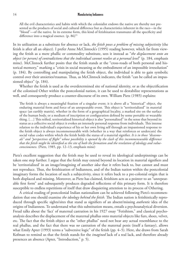All the evil characteristics and habits with which the colonialist endows the native are thereby not presented as the products of social and cultural difference but as characteristics inherent in the race—in the "blood"—of the native. In its extreme form, this kind of fetishization transmutes all the specificity and difference into a magical essence. (p. 86)<sup>55</sup>

In its utilization as a substitute for absence or lack, *the fetish poses a problem of missing subjectivity* (the fetish is after all an object). I prefer Anne McClintock's (1995) reading however, which far from viewing the fetish as a mere phallic or commodity substitute, sees it instead as "*the displacement onto an object (or person) of contradictions that the individual cannot resolve at a personal level*" (p. 184, emphasis mine). McClintock further posits that the fetish stands at the "cross-roads of both personal and historical memory," marking a "crisis in social meaning as the embodiment of an impossible irresolution" (p. 184). By controlling and manipulating the fetish object, the individual is able to gain symbolic control over their anxieties/traumas. Thus, as McClintock indicates, the fetish "can be called an impassioned object" (p. 184).

Whether the fetish is used as the overdetermined site of national identity, or as the objectification of the colonized Other within the postcolonial nation, it can be used to destabilize representations as well, and consequently produce a counter-discourse of its own. William Pietz (1985) explains:

The fetish is always a meaningful fixation of a singular event; it is above all a "historical" object, the enduring material form and force of an unrepeatable event. This object is "territorialized" in material space (an earthly matrix), whether in the form of a geographical locality, a marked site on the surface of the human body, or a medium of inscription or configuration defined by some portable or wearable thing. […] This reified, territorialized historical object is also "personalized" in the sense that beyond its status as a collective social object it evokes an intensely personal response from individuals. This intense relation to the individual's experience of his or her own living self through an impassioned response to the fetish object is always incommensurable with (whether in a way that reinforces or undercuts) the social value codes within which the fetish holds the status of a material signifier. *It is in those "disavowals" and "perspectives of flight" whose possibility is opened by the clash of this incommensurable difference that the fetish might be identified as the site of both the formation and the revelation of ideology and valueconsciousness*. (Pietz, 1985, pp. 12–13, emphasis mine)

Pietz's excellent suggestion that the fetish may be used to reveal its ideological underpinnings can be taken one step further. I argue that the fetish may extend beyond its location in material signifiers and be 'territorialized' in an image/imagining of another *idea* that it refers back to, but cannot and must not reproduce. Thus, the fetishization of Indianness, and of the Indian nation within the postcolonial imaginary forms the location of such a subjectivity, since it refers back to a pre-colonial origin that is both displaced and missing. Moreover, as Pietz has claimed, fetishism acts as a pointer to an "unrepeatable first form" and subsequently produces degraded reflections of this primary form. It is therefore susceptible to endless repetitions of itself that draw disquieting attention to its process of Othering.

A critical reading of postcolonial Indian nationalism can be achieved following Pietz's recommendation that one should examine *the ideology behind the fetish*. The Indian nation is fetishistically reproduced through specific sights/sites that stand as signifiers of an absent/missing *authentic* idea of the origins of Indianness. To understand what this substitution means, entails a psychoanalytical diversion. Freud talks about the 'fact' of maternal castration in his 1927 essay "Fetishism," and classical psychoanalysis describes the displacement of the maternal phallus onto material objects like furs, shoes, velvet, etc. The fact that the fetish object as the "other phallus" need not bear any actual resemblance to the real phallus, and the fact that there was *no* castration of the maternal penis (itself a fantasy), allows what Emily Apter (1993) terms a "subversive logic" of the fetish (pp. 4–5). Here, she draws from Sarah Kofman to remind us that the fetish stands for the *imagined* lack of a real lack, and therefore already presences an absence (Apter, "Introduction," p. 5).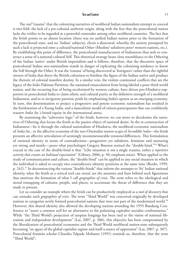The *real* "trauma" that the colonizing narratives of neoliberal Indian nationalism attempt to conceal is two-fold: the lack of a pre-colonial *authentic* origin, along with the fear that the postcolonial nation lacks the virility to be regarded as a powerful contender among other neoliberal countries. The fact that the fetish points to an absent location (there was no unified Indian nation prior to the formation of the postcolonial state, and no 'Indian' subjects), elicits a disavowal, whereby the anxiety prompted by such a lack is projected onto a cultural/national Other (Muslim/ subaltern poor/ western nations, etc.). By establishing this point of difference, the postcolonial manufacturers of Indianness thus seek to construct a sense of a national-cultural Self. This rhetorical strategy bears close resemblance to the Othering of the Indian 'native' under British imperialism and it follows, therefore, that the discursive space of postcolonial Indian neo-nationalism stands in danger of replicating the colonizing tendency to know the Self through the Other. It was the 'trauma' of being discovered as 'foreigners' rather than the rightful owners of India that drove the British colonizers to fetishize the figure of the Indian native and produce the rhetoric of colonial manifest destiny. In a similar vein, the violent communal conflicts that are the legacy of the Indo-Pakistan Partition, the sustained emasculation from being labeled a poor third-world nation, and the recurring fear of being recolonized by western culture, have driven pro-Hindutva supporters in postcolonial India to claim ethnic and cultural purity as the definitive strength of a neoliberal Indianness, and to re-invigorate patriotic pride by emphasizing India's upturn as an emerging economy. In turn, this determination to project a progressive and potent economic nationalism has resulted in the fetishization of a Young India, and a masculinist model of citizen-participation that can confidently reassert *India Inc.*'s brand equity in the international arena.

By examining the "subversive logic" of the fetish, however, we can move to decolonize the narratives of Othering that locate the fetish as the passive object of national desire. In the re-construction of Indianness—be it through the cultural nationalism of Hindutva, the neoliberal economic nationalism of *India Inc.*, or the affective economy of the neo-Orientalist nation-scape of *Incredible !ndia*—the fetish presents an affective articulation of seemingly incommensurable tensions/differences. This formulation of national identity in terms of contradictions—progressive yet subaltern, feminine and nurturing yet strong and manly—poses what psychologist Gregory Bateson termed the "double-bind."56 What's crucial in the case of the double-bind is that "[t]he situation is *not* a single trauma, rather a *repetitive activity that creates an habitual expectation*" (Gibney, 2006, p. 50; emphasis mine). When applied to the study of communication and culture, the "double bind" can be applied to any social situation in which the individual is asked to occupy two contradictory identity positions at the same time (Bordo, 1999, p. 242).57 In deconstructing the various "double-binds" that inform the attempts to 'fix' Indian national identity, what the fetish as a critical tool can *reveal*, are the anxieties and fears behind such figurations that motivate the formation of what I call *geographies of crisis*. The term refers to the ideological and moral remapping of cultures, people, and places, to accentuate the threat of difference that they are made to present.

Let us consider an example where the fetish can be productively employed as a *tool of discovery* that can unmake such *geographies of crisis*. The term "Third World" was conceived originally by developed nations to categorize newly formed postcolonial nations that were not part of the modernized world.<sup>58</sup> However, this shared identity also allowed the developing nations attending the 1955 Bandung Conference to "assert a *common will* for an alternative to the polarizing capitalist–socialist confrontation." While "the Third World's projection of utopian longings has been tied to the vision of national liberation and independent development" (Lai, 2007, p. 306), this objective has been compromised by the liberalization of postcolonial economies and the Third World neoliberal nation-state subsequently becoming "an agent of the global capitalist regime and itself a source of oppression" (Lai, 2007, p. 307). Postcolonial feminist scholar Chandra Talpade Mohante (1991) reminds us, therefore, that the term "Third World":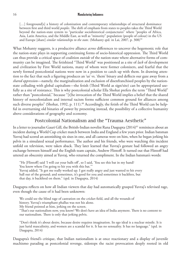[...] foreground[s] a history of colonization and contemporary relationships of structural dominance between first and third world *peoples*. The shift of emphasis from states to peoples takes the Third World beyond the nation-state system to "particular sociohistorical conjunctures" where "peoples of Africa, Asia, Latin America, and the Middle East, as well as "minority" population (people of colour) in the US and Europe [share] *similar relationships to the state*. (Mohanty qtd. in Lai, 2007, p. 308)<sup>59</sup>

What Mohanty suggests, is a productive alliance *across* differences to uncover the hegemonic role that the nation-state plays in supporting continuing forms of socio-historical oppression. The Third World can thus provide a critical space of coalition *outside* of the nation-state where alternative forms of community can be imagined. The fetishized "Third World" was positioned as a site of *lack* of development and civilization by First World nations, many of whom were former colonizers, and fearful that the newly formed postcolonial nations were now in a position to catch up with them. In drawing attention to the fact that such a figuring produces an 'us' vs. 'them' binary and deflects our gaze away from a *shared oppression*—namely, the marginalization and exclusion of disenfranchised peoples by the nationstate colluding with global capitalism—the fetish (Third World as sign/site) can be appropriated usefully as a site of resistance. This is why postcolonial scholar Ella Shohat prefers the term "Third World" rather than "postcolonial," because "[t]he invocation of the Third World implies a belief that the shared history of neocolonialism and internal racism forms sufficient common ground for alliances among such diverse peoples" (Shohat, 1992, p. 111).<sup>60</sup> Accordingly, the fetish of the Third World can be helpful in overturning old binaries of power by presenting instead, the possibility of a collective humanity above considerations of geography and economy.

# Postcolonial Nationalism and the "Trauma Aesthetic"

In a letter to journalist Gauri Gill, the British-Indian novelist Rana Dasgupta  $(2014)^{61}$  reminisces about an incident during a World Cup cricket match between India and England a few years prior. Indian batsman Yuvraj had scored an astonishing six sixes in one, and all cameras were on him, when he began jerking his pelvis in a simulated sexual performance. The author and his friends, who were watching this incident unfold on television, were taken aback. They later learned that Yuvraj's gesture had followed an angry exchange between himself and the English team captain, Andrew Flintoff. It turned out that Flintoff had uttered an obscenity aimed at Yuvraj, who returned the compliment. In the Indian batsman's words:

"He [Flintoff] said 'I will cut your balls off', so I said, 'You see this bat in my hand? You know where I'm going to hit you with this bat." Yuvraj added, "It got me really worked up. I got really angry and just wanted to hit every ball out of the ground; and sometimes, it's good for you and sometimes it backfires, but that day, it backfired on them." (qtd. in Dasgupta, 2014)

Dasgupta reflects on how all Indian viewers that day had automatically grasped Yuvraj's televised rage, even though the cause of it had been unknown:

We could see the blind rage of castration on the cricket field, and all the wounds of history. Yuvraj's triumphant phallus was not his alone. My friend pointed at him, jerking on the screen.

"That's our nationalism now, you know? We don't have an idea of India anymore. There is no content to our nationalism. There is only that jerking pelvis.

"Don't think it's about desire, because desire requires imagination. Its ego ideal is a nuclear missile. It is just lurid masculinity, and women are a scandal for it. It has no sensuality. It has no language." (qtd. in Dasgupta, 2014)

Dasgupta's friend's critique, that Indian nationalism is at once reactionary and a display of juvenile machismo parading as postcolonial revenge, sidesteps the racist provocation deeply rooted in old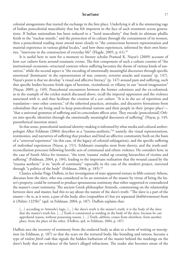colonial antagonisms that started the exchange in the first place. Underlying it all is the simmering rage of Indian postcolonial masculinity that has felt impotent in the face of such treatment across generations. If Indian nationalism has been reduced to a "lurid masculinity" that finds its ultimate phallic fetish in the "nuclear missile," and the protection of its culture through the containment of its women, then a postcolonial reading must attend more closely to "the connections between representation and material experience in various global locales," and how these experiences, informed by their own histories, "intervene in the construction of everyday life" (Hegde, 2005, p. 61).<sup>62</sup>

It is useful here to turn for a moment to literary scholar Pramod K. Nayar's (2009) account of how *scar cultures* form around traumatic events. The first component of such a culture consists of "the institutional–economic–structural contexts where suffering becomes the theme of various kinds of narratives," while the second aspect is "the encoding of emotionally meaningful discourses through specific emotional 'dominants' in the representation of war, contests, terrorist attacks and trauma" (p. 147). Nayar's point is that we develop "a visual and affective literacy" (p. 147) around pain and suffering, such that specific bodies become fetish signs of heroism, victimhood, or villainy in our "moral imagination" (Nayar, 2009, p. 149). Postcolonial encounters between the former colonizers and the ex-colonized, as in the example of the cricket match discussed above, recall the imperial oppression and the violence associated with it, and thus facilitate the creation of a *scar culture*. "It is in the act of repetition and translation—into other contexts," of the inherited practices, attitudes, and discursive formations from colonialism that are being used to keep postcolonial nations and their people in their 'proper place'— "that a universal grammar of suffering and its concordant affects arise. They encode [postcolonial] Others into specific identities through the emotionally meaningful discourses of suffering" (Nayar, p. 149, parenthetical insertion mine).

In that sense, postcolonial national identity-making is informed by what media and cultural anthropologist Allen Feldman (2004) describes as a "trauma-aesthetic,"63 namely, the visual representations, testimonies, and narratives of suffering that produce and bind an affective community both on the basis of a "*universal* experience" (in this case, of the legacy of colonial subjugation), and the specific suffering of *individual* experiences (Nayar, p. 151). Feldman's examples stem from slavery, and the truth-andreconciliation processes following horrific acts of communal and ethnic violence. He considers how, in the case of South Africa for instance, "the term 'trauma' ended up creating hierarchies of victims and suffering" (Feldman, 2004, p. 184), leading to the important realization that the wound caused by the "trauma aesthetic" is its "myth of continuity" especially in the case of the modern project, exercised through "a politics of the body" (Feldman, 2004, p. 185).<sup>64</sup>

Classics scholar Paige DuBois, in her investigation of state-approved torture in fifth-century Athens, discusses how the slave, who was considered to be an extension of the master by virtue of being the latter's property, could be tortured to produce spontaneous testimony that either supported or contradicted the master's court testimony. The ancient Greek philosopher Aristotle, commenting on the relationship between slave and master, had this to say about the nature of the slave's truth: "The slave is a part of the master—he is, as it were, a part of the body, alive (*empsukhon tí*) but yet separated (*kekhôrismenon*) from it (*Politics* 1225b)" (qtd. in Feldman, 2004, p. 187). DuBois explains that:

[...] according to Aristotle's logic, [...] the slave's truth is the master's truth; it is the body of the slave that the master's truth lies. […] Truth is constituted as residing in the body of the slave, because he can apprehend reason, without possessing reason. […] Truth, *alêtheia*, comes from elsewhere, from another place, from the place of the other. (DuBois, qtd. in Feldman, 2004, p. 187)

DuBois sees the recovery of testimony from the enslaved body as akin to a form of writing or inscription (in Feldman, p. 187) so that the scars on the tortured body, like branding and tattoos, become a type of *violent fetish code* that signals the hidden barbarism of the master behind the markings on the slave's body that are evidence of the latter's alleged infractions. The reader also becomes aware of the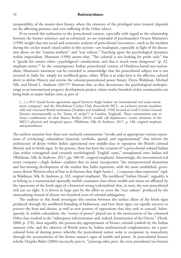inseparability of the master-slave binary, where the existence of the privileged term (master) depends on the affirming presence and even suffering of the Other (slave).

If we extend this realization to the postcolonial context, especially with regard to the relationship between the former colonizer and ex-colonized, we are reminded of psychoanalyst Octave Mannoni's (1990) insight that any social and economic analyses of postcolonial encounters—such as the incident during the cricket match raised earlier in this section—are inadequate, especially in light of the discussion above on the "trauma aesthetic" and "scar culture." Touching upon the psychological dynamics within imperialism, Mannoni (1990) asserts that, "The colonial is not looking for profit only," but is "greedy for certain other—*psychological*—satisfactions, and that is much more dangerous" (p. 32, emphasis mine).<sup>65</sup> In the contemporary Indian postcolonial context of Hindutva-based neo-nationalism, Mannoni's statement can be extended to acknowledge that the postcolonial subject too is not invested in *India Inc.* simply for neoliberal gains, either. What is at stake here is the affective cultural *desire* to defeat History and reverse the colonial-postcolonial power binary. Devra Waldman, Michael Silk, and David L. Andrews (2017)<sup>66</sup> illustrate this, as they deconstruct the psychological underpinnings in an international property development project, where twelve branded cricket communities are being built in major Indian cities as part of

[...] a 2011 brand license agreement signed between Anglo Indian (an international real estate investment company), and the Marylebone Cricket Club (henceforth MCC, an exclusive private members club and venerated British institution [Stoddart and Sandiford, 1998] located at Lord's Cricket Ground [known internationally as the "home of cricket"] in London, England). These communities aim to clone—emblematic of what Bianca Bosker (2013) would call *duplitecture*—iconic elements of the MCC's physical and imagined spaces. (Waldman, Silk, & Andrews, 2017, p. 180, original emphasis and parentheses)

The authors examine how these new enclosed communities "invoke and re-appropriate various expressions of (cricketing) colonialism (material, symbolic, spatial, and organizational)" that inform the architecture of desire within India's aspirational new middle-class to repurpose the British colonial lifestyle and its fetish signs. In the process, there has been the creation of "a postcolonial *colonial* Indian class within reimagined (and certainly mythologised) 'English' oases," transplanted onto Indian soil (Waldman, Silk, & Andrews, 2017, pp. 180–81, original emphasis). Interestingly, the international real estate company—*Anglo Indian*—explains that its name incorporates "the entrepreneurial dynamism and fast-moving development of the market that India represents, with the more established, governance driven Western ethos of *how to do business* that *Anglo-Saxon* […] corporate ethos represents" (qtd. in Waldman, Silk, & Andrews, p. 182, original emphasis). The neoliberal "Indian Dream", arguably, is to belong to a transnational upwardly-mobile consumer-class where wealth and status are affirmed by the *repossession* of the fetish signs of a historical wrong (colonialism) that, in turn, the new postcolonial rich can set right. It is driven in large part by the effort to cover the "scar culture" produced by the emasculating wound of almost two hundred years of colonial subjugation.

The analyses in this book investigate this tension between the surface allure of the fetish signs produced through the neoliberal branding of Indianness, and how these signs can equally uncover or *presence* the fears and desires, as well as new systems of oppressions that they seek to conceal. Subsequently, if, within colonialism, the "erotics of power" played out in the exoticization of the colonized Other that resulted in the "subsequent inferiorization and, indeed, feminization of the Orient," (Hook, 2008, p. 278), then arguably, the present-day appropriation of former colonial symbols by the Indian *nouveau riche*, and the takeover of British assets by Indian multinational conglomerates, are a postcolonial form of shoring power whereby the postcolonial nation seeks to recuperate its masculinity through the accumulation of the former master's signs of wealth and power. As postcolonial literary scholar Deepika Bahri (2004) succinctly puts it, "[a]mong other *posts*, the term *postcolonial* too betrays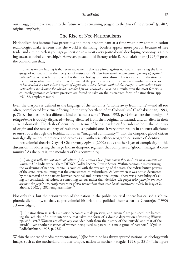## The Rise of Neo-Nationalisms

Nationalism has become *both* precarious and more predominant at a time when new communication technologies make it seem that the world is shrinking, borders appear more porous because of free trade, and a middle-class younger generation in almost every postcolonial developing economy is aspiring towards global citizenship.<sup>67</sup> However, postcolonial literary critic R. Radhakrishnan (1993)<sup>68</sup> poses the conundrum that,

[...] what we are finding is that even movements that are pitted against nationalism are using the language of nationalism in their very act of resistance. *We thus have ethnic nationalism squaring off against nationalism*: what is left untouched is the morphology of nationalism. This is clearly an indication of the extent to which nationalism has dominated the political scene for the last two hundred years or so. *It has reached a point where projects of legitimation have become unthinkable except in nationalist terms: nationalism has become the absolute standard for the political as such*. As a result, even the most ferocious counterhegemonic collective practices are forced to take on the discredited form of nationalism. (pp. 757–58, emphases mine)

Even the diaspora is defined in the language of the nation as "a home away from home"—and all too often, complicated by virtue of being "in the very heartland of ex-Colonialism" (Radhakrishnan, 1993, p. 764). The diaspora is a different kind of "contact zone" (Pratt, 1992, p. 4) since here the immigrant/ refugee/exile is doubly displaced—being alienated from their original homeland, and an alien in their current domicile. The clash of identities, in terms of being insider *and* outsider in both the countryof-origin and the new country-of-residence, is a painful one. It very often results in an extra-allegiance to one's roots through the fetishization of an "imagined community"69 that the diasporic global citizen nostalgically wishes to preserve and evoke as an 'authentic' ethno-geographical source of identity.

Postcolonial theorist Gayatri Chakravorty Spivak (2002) adds another layer of complexity to this discussion in addressing the large Indian diasporic segment that comprises a "global managerial community." As she puts it, the members of this community,

[...] are generally the custodians of culture of the various places from which they hail. Yet their interests are *unmoored*. In India we call them DIPSO, Dollar Income Private Sector. Within economic restructuring, the weakening of national capital is coupled with the weakening of the state, the redistributive powers of the state, even assuming that the state wanted to redistribute. At least when it was not so decimated by the removal of the barriers between national and international capital, there was a possibility of asking for constitutional redress as something serious rather than derisive. *The people who speak for the state are now the people who really have more global connections than state based connections*. (Qtd. in Hegde & Shome, 2002, p. 282, emphases mine) $70$ 

Not only this, but the prioritization of the nation in the public political sphere has caused a schizophrenic dichotomy, so that, as postcolonial historian and political theorist Partha Chatterjee (1990) acknowledges,

"[…] nationalism in such a situation becomes a male preserve, and 'women' are punished into becoming the vehicles of a pure interiority that takes the form of a double deprivation (*Recasting Women,* pp. 238–39).71 Women are effectively excluded both from the history of the 'outside' and that of the 'inside'—yet another instance of women being used as pawns in a male game of paranoia." (Qtd. in Radhakrishnan, 1993, p. 758)

Within the sphere of media representations, "[t]he feminine has always spurred nationalist ideology with images such as the motherland, mother tongue, nation as mother" (Hegde, 1998, p. 281).<sup>72</sup> The figure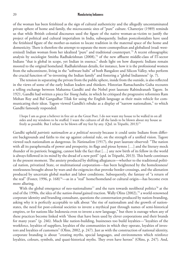of the woman has been fetishized as the sign of cultural authenticity and the allegedly uncontaminated private sphere of home and family, the microcosmic sites of "pure" culture. Chatterjee (1989) reminds us that while British colonial discourses used the figure of the native woman-as-victim to justify the project of political and cultural imperialism in India, subsequently, Indian postcolonialists have used the fetishized figure of the mother-as-nation to locate tradition in the maternal space of the home and domesticity. There is therefore the attempt to separate the more cosmopolitan and globalized (read: westernized) Indian woman from her idealized "pure" and traditional counterpart.<sup>73</sup> A recent ethnographic analysis by sociologist Smitha Radhakrishnan (2008),<sup>74</sup> of the new affluent middle-class of IT-sector Indians "that is global in scope, yet Indian in essence," sheds light on how diasporic Indians remain moored to the original homeland. Radhakrishnan details, for instance, how it is the professional women from the subcontinent, living in the "software hubs" of both Bangalore and Silicon Valley, who perform the crucial function of "re-inventing the Indian family" and fostering a "global Indianness" (p. 7).

The tension in separating the private from the public sphere, inside from the outside, is also reflected in the views of some of the early Indian leaders and thinkers. Historian Ramachandra Guha recounts a telling exchange between Mahatma Gandhi and the Nobel poet laureate Rabindranath Tagore. In 1921, Gandhi had written a piece for *Young India*, in which he critiqued the progressive reformists Ram Mohan Roy and Bal Gangadhar Tilak for using the English language as their main vehicle for communicating their ideas. Tagore viewed Gandhi's rebuke as a display of "narrow nationalism," to which Gandhi famously responded:

I hope I am as great a believer in free air as the Great Poet. I do not want my house to be walled in on all sides and my windows to be stuffed. I want the cultures of all the lands to be blown about my house as freely as possible. But I refuse to be blown off my feet by any. (Qtd. in Tripathi, 2013)<sup>75</sup>

Gandhi upheld *patriotic nationalism as a political necessity* because it could unite Indians from different backgrounds and faiths to rise up against colonial rule, on the strength of a unified vision. Tagore viewed such nationalism as dangerous. In *Nationalism* (1917), the poet laureate observed: "The nation with all its paraphernalia of power and prosperity, its flags and pious hymns […] and the literary mock thunder of its patriotic bragging, cannot hide the fact that […] any new birth of its fellow in the world is always followed in its mind by the dread of a new peril" (qtd. in Tripathi, 2013). This battle continues in the present moment. The anxiety produced by shifting allegiances—whether to the traditional political nation, privatized State, or multinational corporation—has been heightened by the homelessness/ rootlessness brought about by wars and the exigencies that provoke border-crossings, and the alienation produced by uncertain global market and labor conditions. Subsequently, the fantasy of "a return of the real" (Foster, 1996, p. 168)<sup>76</sup>—as in a "real" home/homeland or cultural origin—has become even more alluring.

With the global emergence of neo-nationalisms<sup>77</sup> and the turn towards neoliberal politics<sup>78</sup> at the end of the 1990s, the idea of the *nation-brand* gained traction. Wally Olins (2002),79 a world-renowned corporate identity and branding consultant, questions the consternation produced by nation-branding, asking why it is perfectly acceptable to talk about "the rise of nationalism and the growth of nationstates, the need for post-colonial societies to invent a mythical past through names of semi-historical empires, or for nations like Indonesia even to invent a new language," but there is outrage when any of these practices become linked with "those that have been used by clever corporations and their brands for many years" (p. 246). Much like nation-building, businesses too build loyalties—"loyalties of the workforce, loyalties of suppliers, loyalties of the communities in which they operate, loyalties of investors and loyalties of customers" (Olins, 2002, p. 247). Just as with the construction of national identity, corporate branding is about "creating myths, special languages, and environments which reinforce loyalties, colours, symbols, and quasi-historical myths. They even have heroes" (Olins, p. 247). And,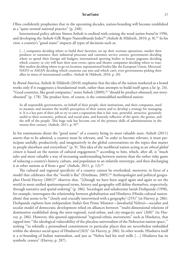Olins confidently prophesizes that in the upcoming decades, nation-branding will become established as a "quite normal national practice" (p. 248).

International policy advisor Simon Anholt is credited with coining the word *nation brand* in 1996, and developing the Anholt-GfK Roper NationBrands Index<sup>80</sup> (Anholt & Hildreth, 2010, p. 8).<sup>81</sup> In his view, a country's "good name" impacts all types of decisions such as:

[...] companies deciding where to build their factories, set up their overseas operations, market their products or outsource their industrial processes and customer service centres; governments deciding where to spend their foreign aid budgets; international sporting bodies or beauty pageants deciding which country or city will host their next event; opera and theatre companies deciding where to tour; film studios deciding where to go on location; supranational bodies like the European Union, Mercosul, NATO or ASEAN deciding which countries can join and which can't; even governments picking their allies in times of international conflict. (Anholt & Hildreth, 2010, p. 20)

In *Brand America*, Anholt & Hildreth (2010) emphasize that the idea of the nation marketed as a brand works only if it exaggerates a foundational truth, rather than attempts to build itself upon a lie (p. 24). "Good countries, like good companies," notes Anholt (2009),<sup>82</sup> "should be product-obsessed, not storyobsessed" (p. 178). The product here, of course, is the commodified neoliberal nation:

So all responsible governments, on behalf of their people, their institutions, and their companies, need to measure and monitor the world's perception of their nation and to develop a strategy for managing it. It is a key part of their job to try to earn a reputation that is fair, true, powerful, attractive, genuinely useful to their economic, political, and social aims, and honestly reflective of the spirit, the genius, and the will of the people. This huge task has become one of the primary skills of administrations in the twenty-first century. (Anholt, 2011, p. 9)<sup>83</sup>

In his ruminations about the "good name" of a country being its most valuable asset, Anholt (2011) asserts that to be admired, a country must be relevant, and "in order to become relevant, it must participate usefully, productively, and imaginatively in the global conversations on the topics that matter to people elsewhere and everywhere" (p. 9). This idea of the neoliberal nation acting as an *ethical global*  citizen is based on the notion of cultural engagement,<sup>84</sup> according to him, which, after all, is "much safer and more valuable a way of increasing understanding between nations than the rather risky game of reducing a country's history, culture, and population to an infantile stereotype, and then discharging it at other nations as if from a gun" (Anholt, 2011, p. 12).<sup>85</sup>

The cultural and regional specificity of a country cannot be overlooked, moreover, in favor of a model that celebrates that the "world is flat" (Friedman, 2005).<sup>86</sup> Anthropologist and political geographer David Harvey (2001)<sup>87</sup> observes that, "[t]hough we have been urged again and again to see the world in more unified spatiotemporal terms, history and geography still define themselves, respectively, through narrative and spatial ordering" (p. 286). Sociologist and subalternist Satish Deshpande (1998), for example, interrogates the relationship between globalization and Hindutva (Hindu cultural nationalism) that seems to be "'closely and crucially intertwined with a geography' (255)" (in Harvey, p. 286). Deshpande explores how independent India's first Prime Minister—Jawaharlal Nehru's—socialist and secular model of democratic development relied on alliances between "'multi-dimensional relations of domination established along the inter-regional, rural-urban, and city-megacity axes' (260)" (in Harvey, p. 286). However, this spurred oppositional "regional-ethnic movements" such as Hindutva, that tapped into "'the ideological vulnerability of the placeless universalism of the Nehruvian nation-space,'" seeking "'to rekindle a personalised commitment to particular places that are nevertheless embedded within the abstract social space of Hindutva'(263)" (in Harvey, p. 286). In other words, Hindutva itself is a re-branding of Indian nationalism, and just as "Nehru had his steel mills […] Hindutva has its symbolic centers" (Harvey, p. 287).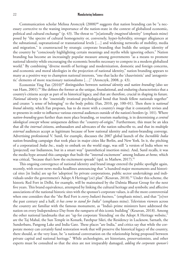Communication scholar Melissa Aronczyk (2008)<sup>88</sup> suggests that nation branding can be "a necessary corrective to the waning importance of the nation-state in the context of globalized economic, political and cultural exchange" (p. 43). The threat to "[n]ationally *imagined* identity" (emphasis mine) posed by "the spectre of cultural homogeneity or, conversely, hyper-hybridity, stronger allegiances at the subnational, supranational or transnational levels […] and widening networks of mobility, media and migration," is counteracted by strategic corporate branding that builds the unique identity of the country by "consciously highlighting certain meanings and myths while ignoring others." Nation branding has become an increasingly popular measure among governments "as a means to promote national identity while encouraging the economic benefits necessary to compete in a modern globalized world." By combining "diverse motifs of heritage and modernization, domestic and foreign concerns, and economic and moral ideologies in the projection of national identity," nation branding appears to many as a positive way to champion national interests, "one that lacks the 'chauvinistic' and 'antagonistic' elements of more reactionary nationalisms […]" (Aronczyk, 2008, p. 43).

Economist Ying Fan (2010)89 distinguishes between *national identity* and *nation branding* (also see van Ham, 2001).<sup>90</sup> She defines the former as the unique, foundational, and enduring characteristics that a country's citizens accept as part of its historical legacy, and that are therefore, crucial in shaping its future. *National identity* is the "essentially irrational psychological bond that binds fellow nationals together" and creates "a sense of belonging" to the body politic (Fan, 2010, pp. 100–01). Then there is *national brand identity*, which Fan proposes, has to do more with a country's *image* that it constantly revises and re-presents in order to influence various external audiences outside of the nation's borders (p. 101). Where *nation-branding* goes further than mere place branding, or tourism marketing, is in determining *a central ideological concept* whose uniqueness defines the "country-of-origin." Furthermore, this must be an idea that all the *internal* citizens, ambassadors and advocates of the nation subscribe to, and that its multiple *external* audiences accept as legitimate because of how national identity and nation-branding converge. Advertising professional V. Sunil, for example, discusses the 2007 global launch of the *Incredible India* nation-branding campaign that took place in major cities like Berlin, and New York. In it, the pitching of a corporatized *India Inc.*, ready to embark on the world stage, was still "a version of India where we [projected] our Indianness, but in a smart way" (parenthetical insertion mine). And, Sunil recalls, it was the media hype around this campaign that built the "internal excitement" among Indians *at home*, which was critical, "because that's how the excitement spreads" (qtd. in Mathew, 2017).<sup>91</sup>

This ongoing convergence of national identity and brand image entered the public spotlight again, recently, with recent news media headlines announcing that "a hundred major monuments and historical sites [in India] are up for 'adoption' by private corporations, public sector undertakings and individuals under the government's 'Adopt A Heritage'(*sic*) plan" (Kesavan, 2018).92 Under this scheme, the historic Red Fort in Delhi, for example, will be maintained by the Dalmia Bharat Group for the next five years. This brand equivalence, attempted by linking the cultural heritage and symbolic and affective associations of the national historic sites with the sponsor's corporate values, is all the more controversial when one considers that the "the Red Fort is *every Indian's business,*" (emphasis mine), and that "[o]ver the past century and a half, *it has come to stand for India*" (emphases mine). Television viewers across the country are familiar with the famous monument, as "India's prime ministers have addressed the nation on every Independence Day from the ramparts of this iconic building" (Kesavan, 2018). Among the other national landmarks that are "up for corporate 'friending' on the Adopt A Heritage website," are the Taj Mahal, the Sun Temple in Konark, Fatehpur Sikri, the Residency in Lucknow, Sarnath, the Sunderbans, Pangong Lake and India Gate. These places "are India," and critics say that while the corporate money can certainly fund restoration work that will preserve the historical legacy of the country, there should, at the very least, be "a national conversation on the relationship being proposed between private capital and national heritage." While archeologists, art historians, preservationists, and other experts must be consulted so that the sites are not irreparably damaged, *adding the corporate sponsor's*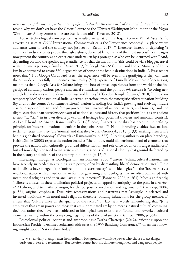*name to any of the sites in question can significantly devalue the core worth of a nation's history*: "There is a reason why we don't yet have the *Lacoste* Louvre or the *Walmart* Washington Monument or the *Virgin* Westminster Abbey. Some names are best left unsold" (Kesavan, 2018).

Today, technological convergence has resulted in what Sunita Rajan (Senior VP of Asia Pacific advertising sales at CNN International Commercial) calls the "'experience economy'—a place where audiences want to feel the country, not just see it" (Rajan, 2017).<sup>93</sup> Therefore, instead of depicting "a country's landscape or its people through a glossy, detached lens, many of the most successful campaigns now present the country as an experience undertaken by a protagonist who can be identified with." And, depending on who the specific target audience for that destination is, "this could be via a blogger, travel writer, business person, a family" (Rajan, 2017).<sup>94</sup> Google Arts & Culture and India's Ministry of Tourism have partnered to create 360-degree videos of some of the iconic destinations in India. A Press report notes that "[f]or Google Cardboard users, the experience will be even more gratifying as they can turn the 360-video into a fully immersive virtual reality (VR) experience." Luisella Mazza, head of operations, maintains that "Google Arts & Culture brings the best of travel experiences from the world at the fingertips of culturally curious people and travel enthusiasts, and the point of *this* exercise is "to bring new and global audiences to India's rich heritage and history" ("Golden Temple features," 2018).<sup>95</sup> The contemporary 'idea' of postcolonial India is derived, therefore, from the synergistic efforts at nation-building (by and for the country's consumer-citizens), nation-branding (for India's growing and evolving middle classes, diasporic Indians, and foreign governments, investors/business partners, and tourists), and the digital curation of an *experience economy* of national culture and history that positions India as an ancient *civilization* "rich" in its own diverse *pre*-colonial heritage (for potential travelers and armchair tourists). As Lee Edwards & Anandi Ramamurthy  $(2017)^{96}$  note, "market rationality has become the defining principle for 'successful' national identities in the global South."97 Nation branding enables these nations to demonstrate that they "are 'normal' and that they 'work' (Aronczyk, 2013, p. 33), making them a safe bet in a globalized economy" (Edwards & Ramamurthy, p. 327). A leading authority on place branding, Keith Dinnie (2008) regards the nation brand as "the unique, multi-dimensional blend of elements that provide the nation with culturally grounded differentiation and relevance for all of its target audiences," but acknowledges the need to integrate within this, aspects of national identity that ground the branding in the history and culture of the country in question  $(p. 15)$ .<sup>98</sup>

Increasingly though, as sociologist Himani Bannerji (2006)<sup>99</sup> asserts, "ethnic/cultural nationalisms have recently succeeded in attaining state power, often by dismantling liberal democratic states." These nationalisms have merged "the 'unfreedom' of a class society" with ideologies "of the 'free market', a neoliberal stance with an authoritarian form of governing and ideologies that are often connected with institutional religions and their ancillary cultural practices" (Bannerji, 2006, p. 363). More significantly, "[t]here is always, in these totalitarian political projects, an appeal to antiquity, to the past, in a *retrievalist* fashion, and to myths of origin, for the purpose of mediation and legitimation" (Bannerji, 2006, p. 364, original emphasis). Discursive representations and narratives that "smuggle in selected and invented traditions with moral and religious, therefore, binding injunctions for the group members," ensure that "culture takes on the quality of the sacred." In fact, it is worth remembering that "[t]he ethnicities that are in power and those that are subordinated are by no means 'natural cultural communities', but rather they have been subjected to ideological constellations of 'found' and reworked cultural elements existing within the competing hegemonies of the civil society" (Bannerji, 2006, p. 364).

Postcolonial political scientist and anthropologist Partha Chatterjee (2012), reflecting upon the Indonesian President Achmed Sukarno's address at the 1955 Bandung Conference,100 offers the following insight about "Nationalism Today":

[...] we hear daily of angry men from ordinary backgrounds with little power who choose to act dangerously out of fear and resentment. But we often forget how much more thoughtless and dangerous people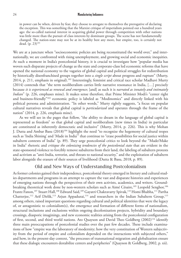in power can be when, driven by fear, they choose to arrogate to themselves the prerogative of declaring the exception. This was something that the Marxist critique of imperialism pointed out a hundred years ago: the so-called national interest in acquiring global power through competition with other nations was little more than the pursuit of class interests by dominant groups. The scene has not fundamentally changed. The nation-state may not be at its healthy best any more, but empire, too, is certainly not dead.  $(p. 23)^{101}$ 

We are at a juncture when "socioeconomic policies are being reconstituted the world over," and internationally, we are confronted with rising unemployment, and growing social and economic inequities. At such a moment in India's postcolonial history, it is crucial to investigate how "popular media has woven such disparate projects of change as the state and corporate-class led economic reforms that have opened the national economy to the vagaries of global capital and political struggles for redistribution by historically disenfranchised groups together into a *single script* about progress and rupture" (Murty, 2014, p. 211, emphasis in original).<sup>102</sup> Interestingly, feminist and critical race scholar Madhavi Murty (2014) contends that "the term neoliberalism carries little narrative resonance in India, […] precisely because *it is experienced as renewal and emergence*; [and] as such it is *narrated as innately and intimately Indian*" (p. 226, emphases mine). It makes sense therefore, that Prime Minister Modi's "center right and business-friendly"103 economic policy is labeled as "Modinomics" and directly linked with his political persona and administration. "In other words," Murty rightly suggests, "a focus on popular cultural narratives reveals that global capital is *particularized* and operates through the frame of the nation" (2014, p. 226, emphasis mine).

As we will see in the pages that follow, "the ability to dream in the language of global capital is represented as freedom" so that global capital and neoliberalism (new times in India) in particular are constituted as inherently democratic and inclusive" (Murty, 2014, p. 226). This is why Mohan J. Dutta and Ambar Basu (2018)104 highlight the need "to recognize the hegemony of cultural tropes such as 'India Shining' and 'Made in India'" that continue to "erase possibilities for social justice within subaltern contexts of India" (p. 89). They urge postcolonial critics to look beyond the "Made/Make in India" rhetoric and *critique the colonizing tendencies of the postcolonial state* that are evident in the state-sponsored violence to forcibly remove subalterns from their land, the labeling of subaltern protests and activism as "anti-India, terrorist, and threats to national security," and the exploitation of subaltern labor alongside the erasure of their sources of livelihood (Dutta & Basu, 2018, p. 89).

### Old and New Ways of Understanding Postcolonialism

As former colonies gained their independence, postcolonial theory emerged in literary and cultural studies departments and programs in an attempt to capture the vast and disparate histories and experiences of emerging nations through the perspectives of their own activists, academics, and writers. Groundbreaking theoretical work done by non-western scholars such as Aimé Césaire,<sup>105</sup> Leopold Senghor,<sup>106</sup> Frantz Fanon,<sup>107</sup> Stuart Hall,<sup>108</sup> Edward Said,<sup>109</sup> Gayatri Chakravarty Spivak,<sup>110</sup> Homi Bhabha,<sup>111</sup> Partha Chatterjee,<sup>112</sup> Arif Dirlik,<sup>113</sup> Arjun Appadurai,<sup>114</sup> and researchers in the Indian Subaltern Group,<sup>115</sup> among others, raised important questions regarding cultural and political identities that were the legacy of, or antagonistic to colonialism(s), the emergence and formation of different forms of nationalism, structural inclusions and exclusions within ongoing decolonization projects, hybridity and boundary crossings, diasporic imaginings, and new economic realities arising from the postcolonial configuration of first, second, and third world nations. Ato Quayson and David Theo Goldberg (2002)<sup>116</sup> identify three main preoccupations of postcolonial studies over the past few decades. These include examinations of how "empire was the laboratory of modernity; how the very constitution of Western subjectivity from the period of empire and colonialism depended on the interactions with subjected others," and how, in the present-day context, "the processes of transnational migration and globalization ensure that these dialogic encounters destabilize centers and peripheries" (Quayson & Goldberg, 2002, p. xii).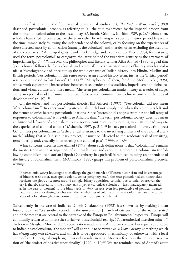In its first iteration, the foundational postcolonial studies text, *The Empire Writes Back* (1989) described 'postcolonial' broadly, as referring to "all the cultures affected by the imperial process from the moment of colonization to the present day" (Ashcroft, Griffiths, & Tiffin 1989, p. 2).<sup>117</sup> Since then, scholars have tried to contextualize the term either by referring to a specific historic period (typically the time immediately following the independence of the colony), or by focusing on the experiences of those affected most by colonization (namely, the colonized) and thereby, often excluding the accounts of the colonizers.118 Anthropologists Carol Breckenridge and Peter van der Veer (1993), for instance, used the term 'postcolonial' to categorize the latter half of the twentieth century as the aftermath of imperialism  $(p, 1)$ .<sup>119</sup> While Marxist philosopher and literary scholar Aijaz Ahmad (1995) argued that "postcolonial" follows the "pre-colonial" and "colonial" in a "tripartite division of history, much as colonialist historiography had once cut up the whole expanse of Indian history into Hindu, Muslim and British periods. 'Postcolonial' in this sense served as an end-of-history term, just as the 'British period' was once supposed to last forever" (p. 11).<sup>120</sup> "Metaphorically" then, for Anne McClintock (1995), whose work explores the intersections between race, gender and sexualities, imperialism and globalization, and visual culture and mass media, "the term postcolonialism marks history as a series of stages along an epochal road […]—an unbidden, if disavowed, commitment to linear time and the idea of development" (p. 10). $^{121}$ 

On the other hand, for postcolonial theorist Bill Ashcroft (1997), "'Postcolonial' did not mean 'after colonialism.'" In other words, postcolonialism did not simply end when the colonizers left and the former colonies became postcolonial nations. Since "postcolonial analysis examines the full range of responses to colonialism," it is evident to Ashcroft that, "the term 'postcolonial society' does not mean an historical left-over of colonialism, but a society continuously responding in all its myriad ways to the experience of colonial contact" (Ashcroft, 1997, p. 21).<sup>122</sup> In fact, postcolonial literary critic Leela Gandhi sees postcolonialism as "a theoretical resistance to the mystifying amnesia of the colonial aftermath," adding that as "a disciplinary project," it must be "devoted to the academic task of revisiting, remembering and, crucially, interrogating the colonial past" (1999, p. 4).<sup>123</sup>

What concerns theorists like Ahmad (1995) about such delineations is that "colonialism" remains the master trope in the arrangement of a linear history, and everything preceding colonialism (or following colonialism, as historian Dipesh Chakrabarty has posited) is reduced to being an appendage of the history of colonialism itself. McClintock (1995) grasps this problem of postcolonialism precisely, writing:

If postcolonial *theory* has sought to challenge the grand march of Western historicism and its entourage of binaries (self-other, metropolis-colony, center-periphery, etc.), the *term* postcolonialism nonetheless reorients the globe once more around a single, binary opposition: colonial-postcolonial. Moreover, theory is thereby shifted from the binary axis of *power* (colonizer-colonized—itself inadequately nuanced, as in the case of women) to the binary axis of *time*, an axis even less productive of political nuance because it does not distinguish between the beneficiaries of colonialism (the ex-colonizers) and the casualties of colonialism (the ex-colonized). (pp. 10–11, original emphasis)

Subsequently, in the case of India, as Dipesh Chakrabarty (1992) has shown us, by making Indian history look like "yet another episode in the universal [...] march of citizenship, of the nation state," and of themes that are central to the narrative of the European Enlightenment, "hyper-real Europe will continually return to dominate the stories we [postcolonials] tell" (p. 17, parenthetical insertion mine).<sup>124</sup> To borrow Meaghan Morris's (1990) observation made in the Australian context, but equally applicable to Indian postcolonialism, "the modern" will continue to be viewed as "a *known history*, something which has *already happened elsewhere*, and which is to be reproduced, mechanically, or otherwise, with a local content" (p. 10, original emphasis). This only results in what Morris refers to as the constant replication of "the project of positive unoriginality" (1990, p. 10)<sup>125</sup> We are reminded too, of Ahmad's acute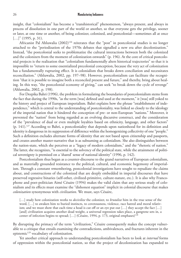insight, that "colonialism" has become a "transhistorical" phenomenon, "always present, and always in process of dissolution in one part of the world or another, so that everyone gets the privilege, sooner or later, at one time or another, of being colonizer, colonized, and postcolonial—sometimes all at once  $[...]$ " (1995, p. 31).

Africanist Pal Ahluwalia (2002)<sup>126</sup> reiterates that the "post" in postcolonial studies is no longer attached to the "periodization of the 1970s debates that signalled a new era after decolonization." Instead, "the postcolonial seeks to problematize the cultural interactions between both the colonized and the colonizers from the moment of colonization onwards" (p. 196). At the core of critical postcolonial projects is the realization that "colonialism fundamentally alters historical trajectories" so that it is impossible to "return to some essentialized precolonial conception, because the very act of colonization has a fundamentally rupturing effect. It is colonialism that breaks down conciliation and necessitates reconciliation." (Ahluwalia, 2002, pp. 197–98). However, postcolonialism can facilitate the recognition "that it is possible to imagine both a reconciled present and future," and thereby, bring about healing. In this way, "the postcolonial economy of giving," can seek "to break down the cycle of revenge" (Ahluwalia, 2002, p. 198).

For Deepika Bahri (1996), the problem in formulating the boundaries of postcolonialism stems from the fact that during the 1990s, "as the term [was] defined and used at the moment," it [was] still yoked to the history and project of European imperialism. Bahri explains how the phrase "establishment of independence," which is central to the understanding of postcoloniality, was linked so closely to the ideology of the imperial nation that it hindered the conception of pre- or non-European "nations." Moreover, it prevented the "nation" from being regarded as an evolving discursive construct, and the consideration of the "prevalence of dual or even multiple loyalties based on ethnicity, language, and other factors" (p. 141).127 According to Bahri, a postcoloniality that depends upon nationhood for its definition and identity is dangerous in its suppression of difference within the homogenizing collectivity of one "people." Such a definition excludes alternate forms of identity that are not based upon citizenship and passports, and creates another master-narrative that is as subsuming as colonialism. She also distinguishes between the nation-state, which she perceives as a "legacy of modern colonialism," and the "rhetoric of nation." The latter, she recognizes, "is essential to the solvency of the political state, while the attainment of political sovereignty is premised on a 'shared' sense of national identity" (1996, p. 142).

Postcolonialism thus began as a counter-discourse to the grand narratives of European colonialism, and as materially grounded resistance to the political, cultural, and economic hegemony of imperialism. Through a constant *re*membering, postcolonial investigations have sought to repudiate the claims about, and constructions of the colonized that are deeply embedded in imperial discourses that have preserved regressive binaries (self-other, civilized-primitive, culture-nature, etc.). It is also why Francophone and poet-politician Aimé Césaire (1994) makes the valid claim that any serious study of colonialism and its effects must examine the "dishonest equation" implicit in colonial discourse that makes *colonization* synonymous with *civilization*. We must, says Césaire,

[…] study how colonization works to *decivilize* the colonizer, to *brutalize* him in the true sense of the word, […] to awaken him to buried instincts, to covetousness, violence, race hatred and moral relativism; and we must show that each time a head is cut off or an eye put out  $[...]$  they accept the fact  $[...]$ [and] civilization acquires another dead weight, a universal regression takes place, a gangrene sets in, a center of infection begins to spread; [...] (Césaire, 1994, p. 173, original emphases)<sup>128</sup>

By disrupting the primacy of the term "civilization," Césaire consequently makes the concept vulnerable to a critique that entails examining the contradictions, ambivalences, and fractures inherent in the epistemic<sup>129</sup> vocabulary of colonization.

Yet another critical approach to understanding postcolonialism has been to look at *internal* forms of oppression within the postcolonial nation, so that the project of decolonization has expanded to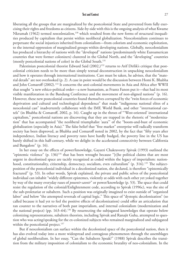liberating all the groups that are marginalized by the postcolonial State and prevented from fully exercising their rights and freedoms as citizens. Side-by-side with this is the ongoing analysis of what Kwame Nkrumah (1962) termed *neocolonialism*, 130 which resulted from the new forms of structural inequalities produced by capitalism that persist within neoliberal globalization. Neocolonialism continues to perpetuate the social injustices inherited from colonialism—from colorism and economic exploitation, to the internal oppression of marginalized groups within developing nations. Globally, neocolonialism has produced a hierarchy of nations with the "developed" nations (predominantly white Euroamerican countries that were former colonizers) clustered in the Global North, and the "developing" countries (mostly postcolonial nations of color) in the Global South.131

Palestinian postcolonial theorist Edward Said  $(2002<sup>132</sup>)<sup>132</sup>$  returns to Arif Dirlik's critique that postcolonial criticism needs to be more than simply textual deconstruction in unpacking neocolonialism and how it operates through international institutions. Care must be taken, he advises, that the "material details" are not overlooked (p. 2). A case in point would be the discussion between Homi K. Bhabha and John Comaroff (2002).<sup>133</sup> It concerns the anti-colonial movements in Asia and Africa after WWII that sought "a new ethico-political order—a new humanism, as Frantz Fanon put it—that had its most visible manifestation in the Bandung Conference and the movement of non-aligned nations" (p. 16). However, these new postcolonial countries found themselves corrupted by the "twin forces of economic deprivation and cultural and technological dependence" that made "indigenous national elites of a neocolonial cast" inadvertently collaborate with the IMF, World Bank, and other "international cartels" (in Bhabha & Comaroff, 2002, p. 16). Caught up in the throes of "'West-oriented' international capitalism," postcolonial nations are discovering that they are trapped in the rhetoric of "modernization" that has accompanied "the neoliberal triumphalist 'aura'" of the "boom-and-bust of economic globalization (especially in Asia)." The false belief that "free market" enterprise will radically transform society has been disproved, as Bhabha and Comaroff noted in 2002, by the fact that "fifty years after independence, Indian literacy and poverty rates have hardly budged, the poverty line in the US has barely shifted in this half-century, while we delight in the accelerated connectivity between California and Bangalore" (p. 16).

In her essay on the effects of power/knowledge, Gayatri Chakravorty Spivak (1993) outlined the "epistemic violence" (p.  $136$ )<sup>134</sup> that has been wrought because "[t]he political claims that are most urgent in decolonized space are tacitly recognized as coded within the legacy of imperialism: nationhood, constitutionality, citizenship, democracy, socialism, even culturalism" (p.  $316$ ).<sup>135</sup> The subjectposition of the postcolonial individual in a decolonized nation, she declared, is therefore "epistemically fractured" (p. 53). In other words, Spivak explained, the private and public selves of the postcolonial individual can inhabit "widely different epistemes, violently at odds with each other yet yoked together by way of the many everyday ruses of *pouvoir-savoir*" or power/knowledge (p. 53). The space that could resist the regulation of the colonial/Enlightenment code, according to Spivak (1996c), was the site of the sub-proletariat or subaltern. Such a position was originally imagined to exist outside of "organized labor" and below "the attempted reversals of capital logic." This space of "dystopic decolonization" (so called because it had yet to feel the positive effects of decolonization) could offer an articulation that ran counter to the narratives of both past imperialism, and internal colonialism (modernization and the national project) (pp. 163–64).<sup>136</sup> By resurrecting the subjugated knowledges that operate below colonizing representations, subaltern theorists, including Spivak and Ranajit Guha, attempted to question who was acting/speaking for the ex-colonized subjects who remained marginalized and subjugated within the postcolonial project. $137$ 

But if neocolonialism can surface within the decolonized space of the postcolonial nation, then it has also evolved today into a more widespread and contagious phenomenon through the assemblages of global neoliberalism. In her essay, "Can the Subaltern Speak?" (1988) Spivak describes the transition from the military imposition of colonialism to the economic brutality of neo-colonialism. In the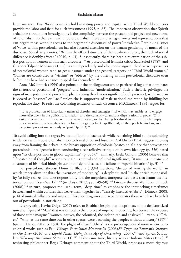latter instance, First World countries hold investing power and capital, while Third World countries provide the labor and field for such investment (1995, p. 83). The important observation that Spivak articulates through her investigations is the complicity between the postcolonial project and new forms of colonialism, so that even within postcolonialism there are privileged voices and representations that can negate those without access to the hegemonic discourses of power/knowledge. Rethinking issues of 'voice' within postcolonialism has also focused attention on the blatant gendering of much of the discourse. Spivak wryly notes, "Within the effaced itinerary of the subaltern subject, the track of sexual difference is doubly effaced" (2010, p. 41). Subsequently, there has been a re-examination of the subject position of women within such discourse.<sup>138</sup> As postcolonial feminist critics Sara Suleri (1989) and Chandra Talpade Mohanty (1988) have independently and eloquently argued, the diverse experiences of postcolonial women tend to get subsumed under the general category of "Third World woman." Women are constituted as "victims" or "objects" by the othering within postcolonial discourse even before they have had a chance to speak for themselves.<sup>139</sup>

Anne McClintock (1994) also points out the phallogocentrism or patriarchal logic that dominates the rhetoric of postcolonial "progress" and industrial "modernization." Such a rhetoric privileges the signs of male potency and power (the phallus being the obvious signifier of such presence), while woman is viewed as "absence" or "lack" unless she is supportive of male national aspiration by fulfilling her reproductive duty. To resist the colonizing tendency of such discourse, McClintock (1994) argues for:

[...] a proliferation of historically nuanced theories and strategies [...] which may enable us to engage more effectively in the politics of affiliation, and the currently calamitous dispensations of power. Without a renewed will to intervene in the unacceptable, we face being becalmed in an historically empty space in which our sole direction is found by gazing back, spellbound, at the epoch behind us, in a perpetual present marked only as "post."  $(p. 303)^{140}$ 

To avoid falling into the regressive trap of looking backwards while remaining blind to the colonizing tendencies within postcolonialism, postcolonial critic and historian Arif Dirlik (1994) suggests moving away from framing the debate in the binary opposition of colonial/postcolonial since that prevents the postcolonial intelligentsia from conducting a self-reflexive critique of its own ideology (p. 336) based upon "its class-position in global capitalism" (p. 356).<sup>141</sup> Similarly, Leela Gandhi (2006) believes that "if postcolonial thought" wishes to retain its ethical and political significance, "it must use the analytic advantage of historical hindsight scrupulously to disclose the failure of imperial binarism" (p. 3).<sup>142</sup>

For postcolonial theorist Homi K. Bhabha (1994) therefore, "the act of 'writing the world', in which imperialism inhabits the invention of modernity," is deeply situated "in the critic's responsibility 'to fully realize, and take responsibility for, the unspoken, unrepresented pasts that haunt the historical present' (*Location* 12)<sup>"143</sup> (in Daiya, 2017, pp. 149–50).<sup>144</sup> Literary theorist Wai Chee Dimock (2008),<sup>145</sup> in turn, proposes the useful term, "deep time" to emphasize the interlocking timeframes between and within cultures that weave them together in a "densely interactive fabric" (Dimock, 2008, p. 4) of mutual influence and impact. This also recognizes and accommodates those who have been left out of postcolonial historicizing.

Literary critic Kavita Daiya (2017) refers to Bhabha's insight that the primacy of the dehistoricized universal figure of "Man" that was central to the project of imperial modernity, has been at the expense of those at the margins "'women, natives, the colonized, the indentured and enslaved'"—various "Others" "'who, at the same time but in other spaces, were becoming the peoples without a history' (197)" (qtd. in Daiya, 2017, p. 150). The plight of these "Others" is the preoccupation of more recent postcolonial works such as Paul Gilroy's *Postcolonial Melancholia* (2003),146 Zygmunt Bauman's *Strangers*  at Our Door (2016) and *Liquid Times: Living in an Age of Uncertainty* (2007),<sup>147</sup> and Spivak & Butler's *Who sings the Nation State?* (2011).<sup>148</sup> At the same time, literary scholar Indrani Mitra (1996),<sup>149</sup> rephrasing philosopher Regis Debray's comment about the Third World, proposes a more rigorous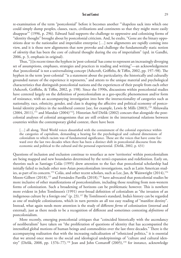re-examination of the term "postcolonial" before it becomes another "'shapeless sack into which one could simply dump peoples, classes, races, civilizations and continents so that they might more easily disappear'" (1996, p. 296). Edward Said supports the challenge to oppressive and colonizing forms of "identity thought" brought about by postcolonial criticism. And, he exults, "Gone are the binary oppositions dear to the nationalist and imperialist enterprise […] new alignments are rapidly coming into view, and it is those new alignments that now provoke and challenge the fundamentally static notion of *identity* that has been the core of cultural thought during the era of imperialism" (qtd. in Gandhi, 2006, p. 3, emphasis in original).

Thus, "[i]n recent times the hyphen in 'post-colonial' has come to represent an increasingly diverging set of assumptions, emphases, strategies and practices in reading and writing"—an acknowledgement that 'postcolonial' is not a universalizing concept (Ashcroft, Griffiths, & Tiffin, 2002, pp. 197–98). The hyphen in the term 'post-colonial' "is a statement about the particularity, the historically and culturally grounded nature of the experience it represents," and attests to the unique material and psychological characteristics that distinguish postcolonial nations and the experiences of their people from each other (Ashcroft, Griffiths, & Tiffin, 2002, p. 198). Since the 1990s, discussions within postcolonial studies have centered largely on the definition of postcolonialism as a geo-specific phenomenon and/or form of resistance, with an accompanying investigation into how the intersectionality of categories such as nationality, race, ethnicity, gender, and class is shaping the affective and political economy of postcolonial identity politics in the neoliberal context [see, for example, Lewis & Mills  $(2003)$ ,<sup>150</sup> Ahluwalia  $(2004, 2011),$ <sup>151</sup> and Mandair  $(2004)$ <sup>152</sup>]. Historian Arif Dirlik (2002) concurs that alongside the postcolonial analyses of colonial antagonisms that are still evident in the international relations between countries within the contemporary global context, there have been

[...] all along, Third World voices dissatisfied with the containment of the colonial experience within the categories of capitalism, demanding a hearing for the psychological and cultural dimensions of colonialism to which racism was of fundamental significance. These are the voices that have come forward over the last two decades when there has been a distinct shift in postcolonial discourse from the economic and political to the cultural and the personal experiential. (Dirlik, 2002, p. 431)

Questions of inclusion and exclusion continue to resurface as new 'territories' within postcolonialism are being mapped and new boundaries determined by the term's expansion and redefinition. Early on, theorists such as Santiago Colás (1995) drew attention to the fact that postcolonial scholarship had initially failed to include other non-Asian postcolonialism investigations, such as Latin American studies, as part of its concern.<sup>153</sup> Colás, and other recent scholars, such as Lee, Jan, & Wainwright (2014),<sup>154</sup> Moore-Gilbert (2018),<sup>155</sup> and Fernández Parrilla (2018),<sup>156</sup> have advocated that postcolonial studies be more inclusive of other manifestations of postcolonialism, including those resulting from non-western forms of colonization. Such a broadening of horizons can be problematic however. This is nowhere more evident in John Tomlinson's (1991) over-broad definition of colonialism as "the invasion of an indigenous culture by a foreign one" (p. 23).157 By Tomlinson's standard, India's history can be regarded as one of multiple colonizations, which in turn permits an all too easy reading of "manifest destiny". Instead, what again needs more attention is the study of different *forms* of colonization (internal and external), just as there needs to be a recognition of different and sometimes contesting *definitions* of postcolonialism.

More recently, emerging postcolonial critiques that "coincided historically with the ascendancy of neoliberalism" have taken on "the proliferation of questions of identity that has accompanied the intensified global motions of human beings and commodities over the last three decades." There is the accompanying realization that with the increasing radicalization of "ethnicized politics," it is essential that we attend once more to the social and ideological underpinnings of "culture and cultural identity" (Dirlik, 2008, pp. 1376–77).<sup>158</sup> Jean and John Comaroff (2005),<sup>159</sup> for instance, acknowledge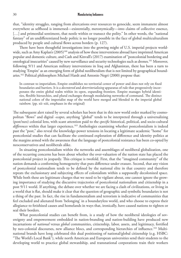that, "identity struggles, ranging from altercations over resources to genocide, seem immanent almost everywhere as selfhood is immersed—existentially, metonymically—into claims of collective essence, [...] and primordial sentiment, that nestle within or transect the polity." In other words, the "national" fantasy" of an undifferentiated body politic is no longer possible in the face of global multiculturalism produced by people and cultural flows across borders (p. 127).

There have been thoughtful investigations into the growing might of U.S. imperial projects worldwide, such as Amy Kaplan's  $(2005)^{160}$  analysis of how these interventions abroad have imprinted American popular and domestic culture, and Cash and Kinvall's (2017) examination of "postcolonial bordering and ontological insecurities" caused by new surveillance and security technologies such as drones.161 Moreover, following 9/11 and American military interventions in Iraq and Afghanistan, there has been a turn to studying 'Empire' as an emerging form of global neoliberalism that is not limited by geographical boundaries.162 Political philosophers Michael Hardt and Antonio Negri (2000) propose that:

In contrast to imperialism, Empire establishes no territorial center of power and does not rely on fixed boundaries and barriers. It is a *decentered* and *deterritorializing* apparatus of rule that progressively incorporates the entire global realm within its open, expanding frontiers. Empire manages hybrid identities, flexible hierarchies, and plural exchanges through modulating networks of command. The distinct national colors of the imperialist map of the world have merged and blended in the imperial global rainbow. (pp. xii−xiii, emphases in the original)

The subsequent alert raised by several scholars has been that in this new world order marked by cosmopolitan "flows" and digital *-scapes*, anything "global" tends to be interpreted through a universalizing (post/neo) colonial lens, with scant attention paid to the *specific* historical, political, and socio-cultural *differences* within that larger experience.163 Anthologies examining whether postcolonialism is indeed past the "post," also reveal the knowledge-power tensions in locating a legitimate academic "home" for postcolonial studies that can facilitate the continued exploration of difference and identity politics at the margins armed with the awareness that the language of postcolonial resistance has been co-opted by neoconservatives and neoliberals alike.

In situating postcolonialism within the networks and assemblages of neoliberal globalization, one of the recurring concerns has been about whether the over-valuation of the nation state has placed the postcolonial project in jeopardy. This critique is twofold. First, that the "imagined community" of the nation demands a conforming homogeneity that puts difference under erasure. Second, that any vision of postcolonial nationalism tends to be defined by the national elite in that country and therefore repeats the exclusionary and subjecting effects of colonialism within a supposedly decolonized space. While both these are legitimate charges that we need to be vigilant about, one cannot ignore the growing importance of studying the discursive trajectories of postcolonial nationalism and citizenship in a post 9/11 world. If anything, the debate over whether we are facing a clash of civilizations, or living in a world that is flat, should make it clear that the question of geographic and symbolic boundaries is not a thing of the past. In fact, the rise in fundamentalism and terrorism is indicative of communities that feel excluded and alienated from 'belonging' in a boundaryless world, and who choose to express their allegiance to fetishized causes and homelands in ways that, ironically, have caused nations to tighten or seal their borders.

What postcolonial studies can benefit from, is a study of how the neoliberal ideologies of sovereignty and empowerment embedded in nation-branding and nation-building have produced new incarnations of *national* versus *global* communities, citizenship, labor, assets, and legitimacy, fortified by neo-colonial discourses, new alliance blocs, and corresponding hierarchies of influence.164 Multinational brands have long celebrated this dual positioning of national/global citizenship (e.g. HSBC: "The World's Local Bank"), while north American and European universities send their students to the developing world to practice global stewardship, and transnational corporations train their workers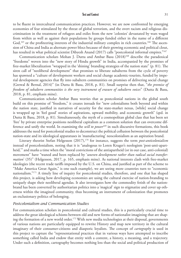to be fluent in intercultural communication practices. However, we are now confronted by emerging economies of fear stimulated by the threat of global terrorism, and the overt racism and religious discrimination in the treatment of refugees and exiles from the new 'colonies' devastated by wars waged from within as well as against their populations by groups funded either in the name of a different God,<sup>165</sup> or the profiteering interests of the industrial military complex in rich countries.<sup>166</sup> The ascension of China and India as alternate power blocs because of their growing economic and political clout, has resulted in what political scientist Dibyesh Anand (2017) calls "postcolonial informal empires."<sup>167</sup>

Communication scholars Mohan J. Dutta and Ambar Basu (2018)<sup>168</sup> describe the paradoxical "freedoms" woven into the "new story of Hindu growth" in India, accompanied by the promises of free-market liberalization "wrapped in the 'shining' branding strategies of the nation state" (p. 81). The siren call of "neoliberal development" that promises to liberate subalterns from the cycle of poverty has spawned a "culture of development workers and social change academic-tourists, funded by imperial development agencies that fly into subaltern communities on promises of delivering social change (Grewal & Bernal, 2014)" (in Dutta & Basu, 2018, p. 81). Small surprise then that, "*the promise of freedom of subaltern communities is the very instrument of erasure of subaltern voices*" (Dutta & Basu, 2018, p. 81, emphasis mine).

Communication scholar Ambar Basu worries that as postcolonial nations in the global south build on this promise of "freedom," it creates inroads for "new colonialisms both beyond and within the nation state, justified in narratives of security for the state-market nexus, [while] social change is wrapped up in 'feel good' stories of aspirations, upward mobility, and economic growth" (qtd. in Dutta & Basu, 2018, p. 81). Simultaneously, the myth of a cosmopolitan global class that has been set 'free' by private enterprise positions neoliberal capitalism as a common solution that can overcome difference and unify the world. In examining the *will to power*<sup>169</sup> in such discursive formations, this book addresses the need for postcolonial studies to deconstruct the political collusion between the postcolonial nation-state and its ideological apparatuses in 'manufacturing' neocolonialism as an aspiration brand.

Literary theorist Stefan Helgesson (2017),<sup>170</sup> for instance, suggests the term *post-anticolonialism* instead of postcolonialism, noting that it is "analogous to Loren Kruger's neologism 'post-anti-apartheid,'" and marks a time when the "moral convictions of the antiapartheid (or in our case, anti-colonial) movement" have "waned and been replaced by '*uneven development rather than radical social transformation*' (35)" (Helgesson, 2017, p. 165, emphasis mine). As national interests clash with free-market ideologies (the recent trade tariffs imposed by the U.S. on China, and justified as part of the scheme to "Make America Great Again," is one such example), we are seeing more countries turn to "economic nationalism."171 A timely line of inquiry for postcolonial studies, therefore, and one that has shaped this project, is asking how developing economies are using the cultural exercise of nation-branding to uniquely shape their neoliberal agendas. It also investigates how the commodity fetish of the nationbrand has been converted by authoritarian politics into a 'magical' sign to stigmatize and cover up otherness within the imagined community, thus becoming an instrument of colonization that promotes an exclusionary politics of belonging.

# *Postcolonialism and Communication Studies*

For communication scholars in postcolonial and cultural studies, this is a particularly crucial time to address the great ideological schisms between old and new forms of nationalist imagining that are shaping the formation of a new world order.<sup>172</sup> With new media technologies at their disposal, governments of various nations are particularly equipped to rewrite History and map new territory in the cultural imaginary of their consumer-citizens and diasporic loyalists. The concept of *cartography* is used in this project to capture the "representational practices that in various ways have attempted to inscribe something called India and endow that entity with a content, a history, a meaning, and a trajectory. Under such a definition, cartography becomes nothing less than the social and political production of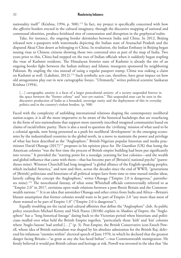nationality itself" (Krishna, 1994, p. 508).<sup>173</sup> In fact, my project is specifically concerned with how the *affective* borders erected in the cultural imaginary, through the discursive mapping of national and communal identities, produce fetishized sites of contestation and disruption in the *geophysical* realm.

Take, for instance, the ongoing border skirmishes between India and China. In 2012, Beijing released new e-passports with watermarks depicting the Indian state of Arunachal Pradesh and the disputed Aksai Chin desert as belonging to China. In retaliation, the Indian Embassy in Beijing began issuing visas to Chinese citizens showing those two contested sites as part of the map of India. Two years prior to this, China had stepped on the toes of Indian officials when it suddenly began stapling the visas of Kashmir residents. The Himalayan frontier state of Kashmir is already the site of an ongoing border fight between the Indian military and Islamic insurgents sponsored by neighboring Pakistan. By stapling the visa instead of using a regular passport stamp, China was staking a claim on Kashmir as well. (Lakshmi, 2012).<sup>174</sup> Such symbolic acts can, therefore, have great impact on how old antagonisms play out in new cartographic forays. "Ultimately," writes political scientist Sankaran Krishna (1994),

[...] cartographic anxiety is a facet of a larger postcolonial anxiety: of a society suspended forever in the space between the "former colony" and "not–yet–nation." This suspended state can be seen in the discursive production of India as a bounded, sovereign entity and the deployment of this in everyday politics and in the country's violent borders. (p. 508)

Faced with the complexity of unfolding international relations shaping the contemporary neoliberal nation-scapes, it is all the more imperative to be aware of the historical backdrops that are resurfacing in the form of neo-nationalisms that support more narrowly inscribed imagined communities based on claims of racial/ethnic purity. There is also a need to question the 'civilizing' mission of what used to be a colonial agenda, now being presented as a push for neoliberal 'development' in the emerging economies by the industrialized countries in the global north, in a move to maintain the power and privilege of what has been described as the "Anglosphere." British-Nigerian popular historian and media practitioner David Olusoga (2017)175 proposes in his opinion piece for *The Guardian* (UK) that losing the American colonies "was the first time the process of British empire building had been put significantly into reverse." It provided the "starting point for a nostalgic yearning for lost colonies—and the wealth and global influence that came with them—that has become part of [Britain's] national psyche" (parentheses mine). Winston Churchill had long imagined "a global alliance of the English-speaking peoples, which included America," and now and then, across the decades since the end of WWII, "generations of [British] politicians and historians of all political stripes have from time to time nursed similar ideas, latterly calling the concept the Anglosphere," writes Olusoga ("Empire 2.0 is dangerous," parentheses mine).<sup>176</sup> The neocolonial fantasy, of what some Whitehall officials controversially referred to as "Empire 2.0" in 2017, envisions open trade relations between a post-Brexit Britain and the Commonwealth nations.177 It is an idea that astonishes Olusoga and other critics from India and Africa—Britain's blatant assumption that former colonies would want to be part of Empire 2.0 "any more than most of them wanted to be part of Empire 1.0" ("Empire 2.0 is dangerous").

Equally troubling are the racial and cultural affinities that define the "Anglosphere" club. As public policy researchers Michael Kenny and Nick Pearce (2018b) explain in *Shadows of Empire*, the "Anglosphere" has a "long historical lineage" dating back to the Victorian period when historians and politicians mulled over what held the British Empire together, "particularly those 'kith' and 'kin' colonies where 'Anglo-Saxons' had settled […]" (p. 3). Post-Empire, the British Conservative icon Enoch Powell, whose idea of British nationalism was shaped by his absolute admiration for the British Raj, delivered his infamous "enemies within" electoral speech of June 1970, in which he declared that the greatest danger facing Britain—"as great as any she has faced before"—was Commonwealth immigration. He firmly believed it would put British culture and heritage at risk. Powell was invested in the idea that "the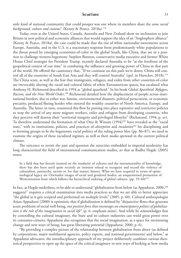only kind of national community that could prosper was one where its members share the *same racial*  background, culture and customs" (Kenny & Pearce, 2018a).<sup>178</sup>

Today, even as the United States, Canada, Australia and New Zealand show no inclination to join Britain in new political and economic alliances that would support the idea of an "Anglosphere alliance" (Kenny & Pearce, 2018a), the case could be made that the rise of white nationalist movements across Europe, Australia, and in the U.S. is a reactionary response from predominantly white populations to the threat posed by emerging economies-of-color in the global South, like China, that are in a position to challenge western hegemony. Stephen Bannon, conservative media executive and former White House Chief strategist for President Trump, recently declared Australia to be "at the forefront of the geopolitical contest of our time" in combating the influence and growing power of China in that part of the world. He offered the cautionary that, "If we continue on this path we're down, China will control all of the countries of South East Asia and they will control Australia" (qtd. in Hartcher, 2018).179 The China scare, as well as the fear that immigrants, refugees, and exiles from other countries-of-color are irrevocably altering the racial and cultural fabric of white Euroamerican spaces, has escalated what Anthony H. Richmond described in 1994 as "global apartheid." In his book *Global Apartheid: Refugees, Racism, and the New World Order*, 180 Richmond detailed how the displacement of people across international borders, due to either war, famine, environmental disasters, political persecution, or economic precarity, produced fleeing hordes who entered the wealthy countries of North America, Europe, and Australia. The latter, in turn, countered this flow by putting into place repressive and restrictive policies to stop the arrival of any more migrant workers, exiles and refugees from developing countries, who they perceive will destroy their "territorial integrity and privileged lifestyles" (Richmond, 1994, p. xv). To therefore understand the formation of what Omi & Winant (1994)<sup>181</sup> have revealed as the "racial state," with its institutions, policies, and practices of *absorption* and *insulation*182 for disciplining and re-forming groups to fit the hegemonic racial politics of the ruling power bloc (pp. 86–87), we need to examine the origins of these racialized regimes, as well as their *modus operandi* in the current political climate.

The reticence to revisit the past and question the atrocities embedded in imperial modernity has long characterized the field of international communication studies, so that as Radha Hegde (2005) notes:

In a field that has fiercely insisted on the insularity of cultures and the instrumentality of knowledge, there has also been until quite recently an insistent refusal to recognize and record the violence of colonialism, patriarchy, racism or, for that matter, history. What we have acquired in terms of epistemological legacy are Orientalist images of racial and gendered bodies, an unquestioned promotion of Westernization from which follows the hierarchical ordering of global cultures. (pp. 59–60)<sup>183</sup>

In fact, as Hegde underlines, to be able to understand "globalization from below (as Appadurai, 2000,<sup>184</sup>) suggests)" requires a critical examination into media practices so that we are able to better appreciate "the global as it gets scripted and performed on multiple levels" (2005, p. 60). Cultural anthropologist Arjun Appadurai (2000) is optimistic that if globalization is defined by "disjunctive flows that generate acute problems of social well-being, *one positive force that encourages an emancipatory politics of globalization is the role of the imagination in social life*" (p. 6, emphasis mine). And while he acknowledges that by controlling the cultural imaginary, the State and its culture industries can wield great power over its consumer-citizens, Appadurai also recognizes that the social imagination, as a space for envisioning change and new ways of being, has great liberating potential (Appadurai, 2000, p. 6).

"By providing a complex picture of the relationship between globalization from above (as defined by corporations, major multilateral agencies, policy experts, and national governments) and below," as Appadurai advocates, the interdisciplinary approach of my project deliberately combines various theoretical perspectives to open up the space of the critical imaginary to new ways of looking at how media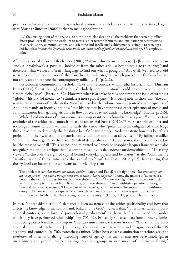practices and representations are shaping local, national, and global politics. At the same time, I agree with Martha Gimenez  $(2002)^{185}$  that to make globalization

[...] the starting point of the analysis, to attribute to globalization all the problems that currently afflict direct producers all over the world, or to marvel at its accomplishments and qualitative transformations in consciousness, communications, and scientific and intellectual achievements is simply to worship a fetish, unless *its historically specific roots in the capitalist mode of production are elucidated*. (p. 87, emphasis mine)

After all, as social theorist Ulrich Beck (2001)<sup>186</sup> shared during an interview, "[w]hat seems to be an 'end', a 'breakdown', a 'post' is—looked at from the other side—a beginning, a restructuring," and therefore, what we need is "a new language to find out what is going on." Above all, we need to avoid what he calls "zombie categories" that "are 'living dead' categories which govern our thinking but are not really able to capture the contemporary milieu […]" (p. 262).

Postcolonial communication scholar Raka Shome concurs with media historian John Durham Peters (2008)<sup>187</sup> that the "'globalization of scholarly communication" could productively "'stimulate a more global past'" (Peters, p. 32). However, what is at stake here is not simply the issue of writing a "'global'" history (of media) to "'stimulate a more global past.'" It is being able to show that "the current received history of media in the West" is linked with "colonialism and postcolonial inequalities." And, it demands an inquiry into how "this history may have suppressed other epistemes of media and communication from gaining visibility in flows of everyday and academic knowledge" (Shome, p. 246).

While decolonization of theory remains an important postcolonial scholarly goal,<sup>188</sup> an important reminder of the critic's role comes from art historian Hal Foster (2012).<sup>189</sup> He shares philosopher and sociologist Bruno Latour's wariness towards the critic who "pretends to an enlightened knowledge that allows him to demystify the fetishistic belief of naive others—to demonstrate how this belief is 'a projection of their wishes onto a material entity that does nothing at all by itself.'" By failing to utilize "this antifetishistic gaze" on their own "fetish of demystification," Latour states, the critic is revealed to be "the most naïve of all." This is a position reiterated by French philosopher Jacques Rancière who also recognizes the trap in critique that "is compromised by its dependence on demystification." In asking viewers "to discover the signs of capital behind everyday objects and behaviors," it also "confirms the 'transformation of things into signs' that capital performs" (in Foster, 2012, p. 5). Recognizing that theory itself can become a fetish means acknowledging that:

The problem is *not that truths are always hidden* (Latour and Rancière are right here) *but that many are all too apparent*—*yet with a transparency that somehow blocks response*: "I know the mantra of 'no taxes' is a boon to the rich, and a bust for me, but nevertheless …" Or: "I know the big museums have more to do with finance capital than with public culture, but nevertheless …" As a fetishistic operation of recognition and disavowal (precisely, "I know, but nevertheless"), cynical reason is also subject to antifetishistic critique. Of course, such critique is never enough: one must intervene in what is given, somehow turn it, and take it elsewhere. Yet that turning begins with critique. (Foster, 2012, p. 7, emphasis mine)

In fact, "antifetishistic critique" demands a keen awareness of the critic's positionality and how that affects the knowledge formation at hand. Raka Shome (2009) reflects that, "for scholars raised in postcolonial contexts, some form of 'post-colonial predicament' has been the 'natural' condition under which they have performed scholarship" (pp. 701–02). Especially since scholars from former colonies conducting postcolonial scholarship in American universities, the translation of "'India' and the postcolonial politics of 'Indianness' [is] through the social space, relations, and imagination of the US academy and context" (p. 702, parentheses mine). What begs closer examination therefore, are "the *conditions* of 'internationalizing' including issues of agency that may or may not be available (given one's history and geopolitical positioning) to certain groups in such moves of 'internationalizing'"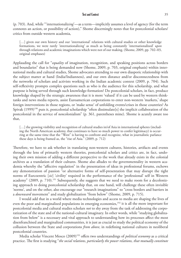(p. 703). And, while "'internationaliz*ing*'—as a term—implicitly assumes a level of agency (for the term connotes an action, or possibility of action)," Shome discerningly notes that for postcolonial scholars/ critics from outside western academia,

[...] given our own history and our 'international' relations with cultural studies or other knowledge formations, we were rarely 'internationaliz*ing*' as much as being constantly 'internationalized' *upon* through relations and academic imaginations which were not of our making. (Shome, 2009, pp. 702–03, original emphases)

Applauding the call for "*equality* of imagination, recognition, and speaking positions across borders and boundaries" that is being demanded now (Shome, 2009, p. 703, original emphasis) within international media and cultural studies, Shome advocates attending to our own diasporic relationship with the subject matter at hand (India/Indianness), and our own distance and/or disconnectedness from the networks of scholars and activists working in the Indian academic context (2009, p. 704). Such self-reflexivity prompts complex questions such as who is the audience for this scholarship, and what purpose is being served through such knowledge-formation? Do postcolonial scholars, in fact, produce knowledge shaped by the strategic awareness that it is more 'valued' if it can be used by western thinktanks and news media reports, assist Euroamerican corporations to enter non-western 'markets,' shape foreign interventions in those regions, or 'make sense' of unfolding events/crises in those countries? As Spivak (1999)<sup>190</sup> puts it, postcolonial scholarship "often dissimulate[s] the implicit collaboration of the postcolonial in the service of *neo*colonialism" (p. 361, parentheses mine). Shome is acutely aware too that,

[...] the growing visibility and recognition of cultural studies in/of Asia in international spheres (including the North American academy, that continues to have so much power to confer legitimacy) is occurring at the same time that the "West" is having to confront and recognize, what in journalistic parlance these days is being framed as, the "rise of Asia." (2009, p. 712)

Therefore, we have to ask whether in translating non-western cultures, histories, artifacts and events through the lens of primarily western theories, postcolonial scholars and critics are, in fact, undoing their own mission of adding a different perspective to the work that already exists in the colonial archives as a translation of their cultures. Shome also alludes to the governmentality in western academia whereby the "affective regulation" in the presentation of ideas in professional forums, eschews any demonstration of passion "or alternative forms of self-presentation that may disrupt the tight norms of Eurcoentric [*sic*] 'civility' required in the performance of the 'professional' self in Western academy" (2009, p. 710).<sup>191</sup> Subsequently, she suggests that we need to make room for a decolonizing approach to doing postcolonial scholarship that, on one hand, will challenge these often invisible 'norms', and on the other, also encourage our "research imaginations" to "cross borders and barriers in a *downward* movement" and study globalization "from below" (Shome, 2009, p. 715).

I would add that in a world where media technologies and access to media are shaping the lives of even the poor and marginalized populations in emerging economies,<sup>192</sup> it is all the more important for postcolonial media and cultural studies scholars *not* to shy away from the task of addressing the corporatization of the state and of the national-cultural imaginary. In other words, while "studying globalization from below" is a necessary and vital approach to understanding how its processes affect the most disenfranchised and marginalized communities, it is just as crucial to study the political economy of the collusion between the State and corporations *from above*, in redefining national cultures in neoliberal postcolonial countries.

Media scholar Vincent Mosco (2009)193 offers two understandings of *political economy* as a critical practice. The first is studying "*the social relations, particularly the power relations, that mutually constitute*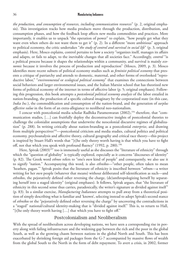*the production, and consumption of resources, including communication resources*" (p. 2, original emphasis). This investigation tracks how media products move through the production, distribution, and consumption phases, and how the feedback loop affects new media commodities and practices. More importantly, it enables us to unpack "the operation of power" to explain, "how people get what they want even when others do not want them to get it" (p. 2). In a different "more ambitious" approach to political economy, the critic undertakes "*the study of control and survival in social life*" (p. 3, original emphasis). Here, Mosco explains, control pertains to how a society "organizes itself, manages its affairs and adapts, or fails to adapt, to the inevitable changes that all societies face." Accordingly, *control* "is a political process because it shapes the relationships within a community, and survival is mainly *economic* because it involves the process of production and reproduction" (Mosco, 2009, p. 3). Mosco identifies more recent subsets of political economy studies such as *feminist political economy* that presents a critique of patriarchy and attends to domestic, maternal, and other forms of overlooked "reproductive labor," "*environmental* or *ecological political economy*" that examines the connections between social behaviors and larger environmental issues, and the Italian Marxist school that has theorized new forms of political economy of the internet in terms of affective labor (p. 5; original emphases). Following this progression, this book attempts a *postcolonial political economy analysis* of the labor entailed in nation-branding, the production of a specific cultural imaginary by the corporatized state (in this case, *India Inc.*), the commodification and consumption of the nation-brand, and the generation of *surplus affective value* in the form of an extra-allegiance to neoliberal neo-nationalism.

I concur with postcolonial media scholar Radhika Parameswaran (2002),194 therefore, that "communication studies, […] can fruitfully deploy the deconstructive insights of postcolonial theories to challenge the colonialist assumptions that underwrite the neocolonial discursive regimes of globalization" (p. 288). In writing critically about nation-branding as a postcolonial *enterprise*, and drawing from multiple perspectives<sup>195</sup>—postcolonial criticism and media studies, cultural politics and political economy, psychoanalysis and affective theory, cultural geography and critical race theory—this project is inspired by Stuart Hall's words that "[t]he only theory worth having is that which you have to fight off, not that which you speak with profound fluency" (1992, p. 280).<sup>196</sup>

Here, Spivak (2003)<sup>197</sup> too is immensely useful as she discusses the "literature of ethnicity" through which the "question of globality" is typically explored, especially as it concerns "discourses of identity" (p. 82). The Greek word *ethnos* refers to "one's *own* kind of people" and consequently, we also use it to signify "nation." Accompanying this word, is also *ethnikos*—"other people, often taken to mean 'heathen, pagan.'" Spivak posits that the literature of ethnicity is inscribed between "*ethno*s—a writer writing for her *own* people (whatever that means) without deliberated self-identification as such—and *ethnikos*, the pejoratively defined other reversing the charge, (de)anthropologizing herself by separating herself into a staged identity" (original emphases). It follows, Spivak argues, that "the literature of ethnicity in this second sense thus carries, paradoxically, the writer's signature as divided against itself" (p. 83). In a similar exercise, *Manufacturing Indianness* attempts to pull away from a theoretical position of simply describing what is familiar and 'known', selecting instead to adopt Spivak's second stance of *ethnikos* or the "pejoratively defined other reversing the charge" by uncovering the contradictions in a "staged" national/cultural identity-making that is "divided against itself." This is, to return to Hall, "[t]he only theory worth having […] that which you have to fight off."

# Postcolonialism and Neoliberalism

With the spread of neoliberalism across developing nations, we have seen a corresponding rise in poverty along with failing infrastructure and the widening gap between the rich and the poor in the global South, as well as the growing chasm between nations in the global North and South. This has been exacerbated by shrinking foreign aid packages from the G-7 accompanied by massive flows of wealth from the global South to the North in the form of debt repayment. To avert a crisis, in 2002, former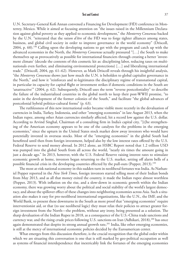U.N. Secretary-General Kofi Annan convened a Financing for Development (FfD) conference in Monterrey, Mexico. While it aimed at focusing attention on "the issues raised in the Millennium Declaration against global poverty as they applied to economic development," the *Monterrey Consensus* backed by the U.N. "reiterated that the *raison d'être* of the FfD was to forge tighter alliances among states, business, and global civil society in order to improve governance in the world economy" (Driscoll, 2004, p.  $60$ ).<sup>198</sup> Calling upon the developing nations to get with the program and catch up with the advanced economies in the North, the *Monterrey Consensus* actually pressured "[…] the South to make themselves up as provocatively as possible for international financiers through creating a better 'investment climate' (decode the contents of this cosmetic kit as: disciplining labor, reducing taxes on multinationals even further, and eliminating environmental protections) […] and liberalizing international trade." (Driscoll, 2004, pp. 61–62). However, as Mark Driscoll reveals through his insightful analysis, "the *Monterrey Consensus* shows just how much the U.N. is beholden to global capitalist governance in the North," and how it "reinforces and re-legitimates the disciplinary regime of transnational capital, in particular its capacity for capital flight or investment strikes if domestic conditions in the South are 'unattractive'" (2004, p. 62). Subsequently, Driscoll uses the term "reverse postcoloniality" to describe the failure of the industrialized countries in the global north to keep their post-WWII promise, "to assist in the development of the former colonies of the South," and facilitate "the global advances of postcolonial hybrid politico-cultural forms" (p. 63).

The ruthlessness of this new international order became visible more recently in the devaluation of currencies in India, Turkey, Indonesia, and other "emerging economies" in late August 2013, when the Indian rupee, among other Asian currencies similarly affected, hit a record low against the U.S. dollar. According to Arvind Singhal, Chairman of a consulting firm in India's capital city, "[t]he strengthening of the American economy appears to be one of the catalysts for the problems in the emerging economies," since the upturn in the United States stock market drew away investors who would have potentially invested in overseas stocks. Most of the "emerging economies" in the global South had benefitted until then from foreign investment, helped also by the low interest rates offered by the U.S. Federal Reserve to send money abroad. In 2012 alone, an HSBC Report noted that 1.2 trillion USD was pumped into the global South from all across the world, "nearly six times the amount going in just a decade ago." In 2013, however, with the U.S. Federal Reserve raising interest rates to stimulate economic growth at home, investors began returning to the U.S. market, setting off alarm bells of a possible financial crisis in the developing countries effected by the pull-outs (Popper, 2013).199

The most at-risk national economy in this sudden turn in neoliberal fortunes was India. As Nathaniel Popper reported in the *New York Times*, foreign investors started selling most of their Indian bonds from May 2013, and as all that money exited the country, it made the Indian rupee almost worthless (Popper, 2013). With inflation on the rise, and a slow-down in economic growth within the Indian economy, there was growing worry about the political and social stability of the world's largest democracy, and about the spillover effect of these changes into neighboring economies across Asia. Such a situation also makes it easy for pro-neoliberal international organizations, like the U.N., the IMF, and the World Bank, to present these downturns in the South as more proof that "emerging economies" require interventionist aid, or that (to use neoliberal logic) they must relax their policies to attract greater foreign investment from the North—the problem, without any irony, being presented as a solution. The sharp devaluation of the Indian Rupee in 2018, as a consequence of the U.S.-China trade sanctions and currency war, and the rising crude prices following U.S. sanctions on Iran (Adhikari, 2018),<sup>200</sup> has once again demonstrated that despite its strong annual growth rate,<sup>201</sup> India, like other emerging economies, is still at the mercy of international economic policies decided by the Euroamerican center.

What emerges from this discussion therefore, is the crucial recognition that the global order within which we are situating this conversation is one that is still marked by geo-political occupation as well as systems of financial interdependence that inextricably link the fortunes of the emerging economies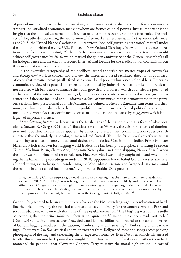of postcolonial nations with the policy-making by historically established, and therefore economically stronger industrialized economies, many of whom are former colonial powers. Just as important is the insight that the political economy of the free market does not necessarily support a free world. The project of allegedly democratizing the world *through* free market enterprise is, in fact, questionable since, as of 2018, the United Nations' website still lists sixteen "non-self-governing territories" that fall under the dominion of either the U.K, U.S., France, or New Zealand (See: http://www.un.org/en/decolonization/nonselfgovterritories.shtml).202 The U.N. had announced that these incorporated territories would achieve self-governance by 2010, which marked the golden anniversary of the General Assembly's call for independence and the end of its second International Decade for the eradication of colonialism. But this emancipation has yet to be realized.

In the discursive cartography of the neoliberal world the fetishized master tropes of *civilization* and *development* work to conceal and disavow the historically-based racialized abjection of countriesof-color that remain stereotypically fixed as backward and poor within a neo-colonial lens. Emerging economies are viewed as potential markets to be exploited by industrialized economies, but are clearly not credited with being able to manage their own growth and progress. Which countries are positioned at the center of the international power grid, and how other countries are arranged with regard to this center (or if they are included at all) informs a *politics of visibility* so that as demonstrated in the previous sections, how postcolonial countries/cultures are defined is often on Euroamerican terms. Furthermore, as ethnic nationalisms have begun to proliferate within this neocolonial political economy, the metaphor of *expansion* that dominated colonial mapping has been replaced by *segregation* which is the legacy of imperial violence.

*Manufacturing Indianness* deconstructs the fetish-signs of the nation-brand as a form of what sociologist Stewart R. Clegg (1994) calls "efficacious resistance."203 Here, the existing patterns of domination and subordination are made apparent by adhering to established communication codes to such an extent that the underlying ideologies are rendered farcical. Thus, the fetish reveals exactly what it is attempting to conceal, namely its cultural desires and anxieties. Case in point: Indian Prime Minister Narendra Modi is known for hugging world leaders. He has been photographed embracing President Trump, Vladimir Putin, Shinzo Abe, Benjamin Netanyahu—not even skipping Nawaz Sharif, when the latter was still prime minister of Pakistan. However, Modi was totally caught off-guard when, during the Parliamentary proceedings in mid-July 2018, Opposition leader Rahul Gandhi crossed the aisle, after delivering a vitriolic speech condemning the Modi administration, and "wrapped his arms around the man he had just called incompetent." As Journalist Barkha Dutt puts it:

Imagine Hillary Clinton surprising Donald Trump in a clasp right at the close of their fiery presidential debates in 2016. "The Hug," as it is being called in India, was dramatic, unlikely and unexpected. The 48-year-old Congress leader was caught on camera winking at a colleague right after; he totally knew he had won the headlines. The Modi government handsomely won the no-confidence motion moved by the opposition in Parliament, but Gandhi won the talking points. (Dutt, 2018c)<sup>204</sup>

Gandhi's hug seemed to be an attempt to talk back in the PM's own language—a combination of hardline rhetoric, followed by the political embrace of affected intimacy for the cameras. And the Press and social media went to town with this. One of the popular memes on "The Hug" depicts Rahul Gandhi "discovering that the prime minister's chest is not quite the 56 inches it has been made out to be" (Dutt, 2018c). Dairy manufacturer *Amul* dedicated its next billboard ad round to the cartoon images of Gandhi hugging Modi, with the caption, "Embracing *ya* embarrassing?" (Embracing or embarrassing?). There were *YouTube* satirical shorts of excerpts from Bollywood romantic songs accompanying photographs of the hug, and celebrating the unexpected bromance. Even Dutt was sufficiently amused to offer this tongue-in-cheek journalistic insight: "'The Hug' has been offered as a turn-the-other-cheek moment," she penned, "that allows the Congress Party to claim the moral high ground—a sort of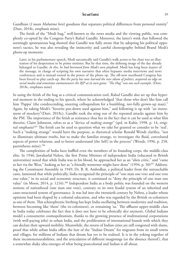Gandhian (*I mean Mahatma here*) goodness that separates political differences from personal enmity" (Dutt, 2018c, emphasis mine).

The fetish of the "Modi hug," well-known to the news media and the viewing public, was completely co-opted by the Congress Party's Rahul Gandhi. Moreover, the latter's wink that followed the seemingly spontaneous hug showed that Gandhi was fully aware that by adopting his political opponent's tactics, he was also revealing the insincerity and careful choreography behind Brand Modi's photo-op moments:

Later, in his parliamentary speech, Modi sarcastically said Gandhi's walk across to his chair was an illustration of his desperation to be prime minister. But by that time, the defining image of the day already belonged to Gandhi. *In this, he had borrowed from Modi's own playbook*. Modi has long been master of the message, in charge of scripting his own narrative that often bypasses media interviews and news conferences and is instead rooted in the power of the photo op. The till-now moribund Congress has been forced to play catch-up. *But the party has now learned the new idiom of politics, acquired an edge on social media and sometimes outmaneuvers the BJP at its own game. "The Hug" was one such example*. (Dutt, 2018c, emphases mine)

In using the fetish of the hug as a critical communication tool, Rahul Gandhi also set up that hyperreal moment in the ending to his speech, where he acknowledged "that those who don't like him call him 'Pappu' (the condescending, sneering colloquialism for a bumbling, not-fully grown-up man)." Again, by taking Modi's "favorite put-down used against him," and following it up with "an instrument of mockery"(Dutt, 2018c), Gandhi took the sting out of the repeated attacks against him by the PM. The importance of the fetish as resistance thus lies in the fact that it can be used as what film theorist, Claire Johnston, refers to as a "device of *making strange*" (qtd. in Kabir, 1998, p. 14, original emphasis)<sup>205</sup> The fetish can be used to question what we take for granted or consider to be 'real'. Such a "making strange" would have the purpose, as rhetorical scholar Ronald Wendt clarifies, "not to illuminate ultimate truths, but to make the familiar strange, to investigate the fluid, convoluted aspects of power relations, and to better understand [the Self] in the process" (Wendt, 1996, p. 258, parentheses mine).<sup>206</sup>

The complexities of India have baffled even the members of its founding corps, the middle-class elite. In 1946, Jawaharlal Nehru, the first Prime Minister of independent India (educated in British universities) noted that while India was in his blood, he approached her as an "alien critic," and "came to her via the West," looking at her as "a friendly westerner might have done" (1994, p. 50)<sup>207</sup> Addressing the Constituent Assembly in 1949, Dr. B. R. Ambedkar, a political leader from the untouchable caste, lamented that while politically, India recognized the principle of "one man one vote and one vote one value," in its social and economic structure, it continued to "deny the principle of one man one value" (in Moon, 2014, p. 1216).<sup>208</sup> Independent India as a body politic was founded on the western notions of nationhood (one man one vote), contrary to its own feudal system of an inherited and caste-structured system of governance. It was led into the twentieth century by Nehru, a leader whose opinions had been shaped by a colonial education, and who was regarded by the British ex-colonizers as one of them. This schizophrenic birthing has kept India oscillating between modernity and tradition, between becoming like 'them' (the ex-colonizers), or remaining 'us.' The affluent upper-middle class in India today celebrates the fact that it does not have to be ethnically *desi* anymore. Global Indians model a consumerist cosmopolitanism, thanks to the growing presence of multinational corporations (with well-paying jobs) in urban India, and the proliferation of international brands with which they can declare their upward mobility. Meanwhile, the streets of Indian cities are still congested with slums, proof that while urban India offers the lure of the "Indian Dream" for migrants from its small towns and villages, for millions of Indians that dream has yet to be realized. It is in the yoking together of these incommensurabilities, and the articulation of different imaginings (or the absence thereof), that a somewhat shaky idea emerges of what being postcolonial and Indian is all about.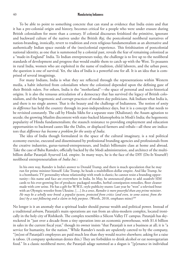To be able to point to something concrete that can stand as evidence that India exists and that it has a pre-colonial origin and history, becomes critical for a people who were under erasure during British colonialism for more than a century. If colonial discourses fetishized the primitive, ignorant and backward culture of the natives under the British *Raj*, the postcolonial neoliberal narratives of nation-branding, ironically, revert to tradition and even religious fundamentalism as an alternative and authentically Indian space outside of the (neo)colonial experience. This fetishization of postcolonial national identity, as one that is summoned by a colonial past, reveals the fear of remaining colonized as a "made-in-England" India. To Indian entrepreneurs today, the challenge is to live up to the neoliberal standards of development and progress that would enable them to catch up with the West. To peasants in rural India, women who are exploited in the name of tradition, child laborers, and the urban poor, the question is one of survival. Yet, the idea of India is a powerful one for all. It is an idea that is comprised of several imaginings.

For many Indians, India is what they see reflected through the representations within Western media, a habit inherited from colonialism where the colonized depended upon the defining gaze of their British rulers. For others, India is the "motherland"—the space of personal and socio-historical origins. It is also the tenuous articulation of a democracy that has survived the legacy of British colonialism, and the hegemonic and corrupt practices of modern day politicians. Ask Indians what India is, and there is no single answer. That is the beauty and the challenge of Indianness. The notion of *unity in difference* has held the country through its post-independence days, but it is a concept that needs to be revisited constantly. The call by Hindu Sikhs for a separate state (Khalistan); the Assam agitation to secede; the growing Muslim discontent with state-backed Islamophobia in Modi's India; the hegemonic popularity of Hindu fundamentalism; the staunch resistance to providing employment and education opportunities to backward castes like the Dalits, or displaced farmers and tribals—all these are indicators that *difference has become a problem for the unity of India*.

The idea of India though formulated in the space of the cultural imaginary, is a real political economy exercise, executed and disseminated by professional branding agencies and professionals from the creative industries, gurus-turned-entrepreneurs, and India's billionaire class at home and abroad. Take the case of Baba Ramdev, officially backed by the Modi administration, and architect of the multibillion dollar Patanjali Ayurved Ltd. empire. In many ways, he is the face of the DIY (Do-It-Yourself) neoliberal entrepreneurialism of *India Inc.*:

In his own way, Ramdev is India's answer to Donald Trump, and there is much speculation that he may run for prime minister himself. Like Trump, he heads a multibillion-dollar empire. And like Trump, he is a bombastic TV personality whose relationship with truth is elastic; he cannot resist a branding opportunity—his name and face are everywhere in India. In May, he announced plans to add *swadeshi* SIM cards to his ever-growing list of products: packaged noodles, herbal constipation remedies, floor cleaner made with cow urine. He has a gift for W.W.E.-style publicity stunts: Last year he "won" a televised bout with an Olympic wrestler from Ukraine. […] *In a sense*, *Ramdev is more powerful than any prime minister*. *He may be a wholly new breed: a populist tycoon, protected from critics (and even, to some extent, from the law) by a vast following and a claim to holy purpose*. (Worth, 2018, emphases mine)<sup>209</sup>

No longer is it an anomaly that a spiritual leader should pursue wealth and political power. Instead of a traditional *ashram*, Patanjali's main operations are run from an ultra-modern complex, located ironically in the holy city of Rishikesh. The complex resembles a Silicon Valley IT campus. Patanjali has skyrocketed in "just over a decade from a tiny operation into an economic powerhouse, with \$1.6 billion in sales in the current fiscal year," though its owner insists "that Patanjali is not a business at all; it is "a service for humanity, for the nation." While Ramdev's needs are opulently catered to by the company, "[m]ost of Patanjali's employees are paid much less than they would receive elsewhere; asking for a raise is taboo. (A company spokesman denies this.) They are forbidden to drink alcohol or eat nonvegetarian food." In a classic neoliberal move, the Patanjali adage summed as a slogan is "[p]enance in individual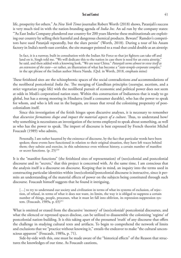life, prosperity for others." As *New York Times* journalist Robert Worth (2018) shows, Patanjali's success is very much tied in with the nation-branding agenda of *India Inc.* An ad run by the company states: "'As East India Company plundered our country for 200 years likewise these multinationals are exploiting our country by selling their harmful and dangerous chemical products. Beware!' Ramdev's competitors have sued Patanjali repeatedly, but the slurs persist" (Worth, 2018). During a tour of his Assam factory in India's north-east corridor, the site manager pointed to a road that could double as an airstrip:

In fact, it is a runway, built in consultation with the Indian Air Force so that jet fighters can take off and land on it, Singh told me. "We will dedicate this to the nation in case there is need for an extra airstrip," he said, and then added with a knowing look, "We are near China." *Patanjali seems almost to view itself as an extension of the state*—or rather, an illustration of what has become a "*state-temple-corporate complex*," in the apt phrase of the Indian author Meera Nanda. (Qtd. in Worth, 2018, emphasis mine)

These fetishized sites are the schizophrenic spaces of the social contradictions *and* accommodations of the neoliberal postcolonial *India Inc.* The merging of Gandhian principles (*swarajya*, ascetism, and a strict vegetarian yogic life) with the neoliberal pursuit of economic and political power does not seem at odds in Modi's corporatized nation state. Within this construction of Indianness that is ready to go global, but has a strong mooring in Hindutva (itself a consumer durable), who has the power to speak for whom, and who is left out in the bargain, are issues that reveal the colonizing propensity of postcolonialism itself.

Since this investigation of the fetish hinges upon discursive analyses, it is necessary to remember that *discursive formations shape and impact the material aspects of a culture*. Thus, to understand how/ why something is necessitates an investigation of the terms employed to speak about something, as well as who has the power to speak. The import of discourse is best expressed by French theorist Michel Foucault (1989) who admits,

Personally, I am rather haunted by the existence of discourse, by the fact that particular words have been spoken; these events have functioned in relation to their original situation, they have left traces behind them; they subsist and exercise, in this subsistence even without history, a certain number of manifest or secret functions.  $(p. 25)^{210}$ 

It is the "manifest functions" (the fetishized sites of representation) of (neo)colonial and postcolonial discourse and its "secrets," that this project is concerned with. At the same time, I am conscious that the analysis itself is a discourse on discourse. Keeping that in mind, an inquiry into the terms used in constructing particular identities within (neo)colonial/postcolonial discourse is instructive, since it permits an understanding of the material effects of power on the subjects being constituted through such discourse. Foucault himself suggests that he found it intriguing,

[...] to try to understand our society and civilization in terms of what its systems of exclusion, of rejection, of refusal, in terms of what it does not want, its limits, the way it is obliged to suppress a certain number of things, people, processes, what it must let fall into oblivion, its repression-suppression system. (Foucault, 1989a, p. 65)<sup>211</sup>

What is omitted or erased from the discursive 'memory' of (neo)colonial/ postcolonial discourses, and what the silenced or repressed spaces disclose, can be utilized to disassemble the colonizing 'regime' of postcolonial nation-building. It is this taking apart of the presumed 'truth' of any discourse that offers the challenge in studying cultural texts and artifacts. To begin to comprehend the network of limits and exclusions that we "practice without knowing it," entails the endeavor to make "the cultural unconscious apparent" (Foucault, 1989a, p. 71).

Side-by-side with this, one must be made aware of the "historical effects" of the Reason that structures the knowledges of our time. As Foucault cautions,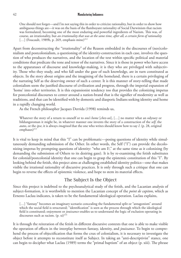One should not forget—and I'm not saying this in order to criticize rationality, but in order to show how ambiguous things are—it was on the basis of the flamboyant rationality of Social Darwinism that racism was formulated, becoming one of the most enduring and powerful ingredients of Nazism. This was, of course, an irrationality, but *an irrationality that was at the same time, after all, a certain form of rationality* [...] (Foucault, 1989b, p. 269, emphasis mine) $^{212}$ 

Apart from deconstructing the "irrationality" of the Reason embedded in the discourses of (neo)colonialism and postcolonialism, a questioning of the identity-construction in each case, involves the question of who produces the narratives, and the location of the text within specific political and material conditions that predicate the tone and tenor of the narratives. Since it is those in power who have access to the apparatuses of discourse and knowledge-making, it is they who are privileged with subjectivity. Those who they study, and who fall under the gaze of such knowledge, are in turn constituted as objects. In the story about origins and the imagining of the homeland, there is a certain privileging of the narrating Self as the deserving owner of such a center. It is this manner of story-telling that made colonialism seem the justified discourse of civilization and progress, through the imperial expansion of 'home' into other territories. It is this expansionist tendency too that provides the colonizing impetus for postcolonial discourses to center around a nation-brand that is the signifier of modernity as well as traditions, and that can be identified with by domestic and diasporic Indians seeking identity and home in a rapidly changing world.

As the French philosopher Jacques Derrida (1998) reminds us,

Whatever the story of a return to oneself or to *one's home* [*chez-soi*], […] no matter what an odyssey or bildungsroman it might be, in whatever manner one invents the story of a construction of the *self*, the *autos*, or the *ipse*, it is always *imagined* that the one who writes should know how to say *I*. (p. 28, original emphases $)^{213}$ 

It is vital to keep in mind that this "I" can be problematic—posing questions of identity while simultaneously demanding submission of the Other. In other words, the Self ("I") can provide the decolonizing impetus by prompting questions of identity: "who am I?," at the same time as it colonizing (by demanding the submission of Others to its desiring gaze). It is by re-examining the fetish substitutes for colonial/postcolonial identity that one can begin to grasp the epistemic constitution of this "I". By looking behind the fetish, this project aims at challenging established identity politics—one that makes visible the irrational rationality of discursive practices. It is only through such a critique that one can begin to reverse the effects of epistemic violence, and hope to stem its material effects.

# The Subject Is the Object

Since this project is indebted to the psychoanalytical study of the fetish, and the Lacanian analysis of subject-formation, it is worthwhile to mention the Lacanian concept of the *point de capiton*, which as Ernesto Laclau indicates, is taken to be the fundamental ideological operation. Laclau explains,

[...] "fantasy" becomes an imaginary scenario concealing the fundamental split or "antagonism" around which the social field is structured; "identification" is seen as the process through which the ideological field is constituted; enjoyment or *jouissance* enables us to understand the logic of exclusion operating in discourses such as racism.  $(p. xi)^{214}$ 

It is through the reiteration of the fetish in different discursive contexts that one is able to make visible the operation of effects in the interplay between fantasy, identity, and *jouissance*. To begin to comprehend the process of objectification that forms the crux of colonialism, it is necessary to investigate the object before it attempts to reconstitute itself as Subject. In taking an "anti-descriptivist" stance, one can begin to decipher what Laclau (1989) terms the "primal baptism" of an object (p. xiii). The phrase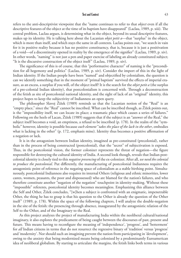refers to the anti-descriptivist viewpoint that the "name continues to refer to that *object* even if all the descriptive features of the object at the time of its baptism have disappeared" (Laclau, 1989, p. xiii). The central problem, Laclau argues, is determining what in the object, beyond its usual descriptive features, makes up its identity. He is talking here about the Lacanian *objet petit a*—that "surplus" in the object, which is more than itself, and which stays the same in all contexts. Laclau points out, "we search in vain for it in positive reality because it has no positive constituency, that is, because it is just a positivation of a void—of a discontinuity opened in reality by the emergence of the signifier" (Laclau, 1989, p. xiv). In other words, "naming" is not just a pen and paper exercise of labeling an already constituted subject; "It is the discursive construction of the object itself" (Laclau, 1989, p. xiv).

The significance of this is of course, that this "performative character" of naming is the "precondition for all hegemony and politics" (Laclau, 1989, p. xiv). Consider the import of this in the light of Indian identity. If the Indian people have been "named" and objectified by colonialism, the question is can we identify something that in the moment of "primal baptism" survived the effects of imperial erasure, as an excess, a surplus if you will, of the object itself? It is the search for the *objet petit a* (the surplus of a pre-colonial Indian identity), that postcolonialism is concerned with. Through a deconstruction of the fetish as site of postcolonial national identity, and the sight of lack of an "original" identity, this project hopes to keep the subjectivity of Indianness an open query.

The philosopher Slavoj Žižek (1989) reminds us that the Lacanian notion of the "Real" is an "empty place," since the "Real" cannot be inscribed. What can be inscribed though, as Žižek points out, is the "impossibility itself, we can locate its place; a traumatic place which causes a series of failures." Following on the heels of Lacan, Žižek (1989) suggests that if the subject is an "answer of the Real," the subject itself becomes a void, an emptiness, a refusal to be inscribed (p. 178). In the realm of the "symbolic" however, identity is possible because *each element* "*takes the place of the lack in the other*, embodies what is lacking in the other" (p. 172, emphasis mine). Identity thus becomes a positive affirmation of a negation or lack.

It is in the antagonism between Indian identity, imagined as pre-constituted (precolonial), rather than in the process of being constructed (postcolonial), that the "secret" of subjectivation is exposed. Thus, in the postcolonial vision, the former colonizer represents the threat of negation—the figure responsible for destroying the cultural identity of India. A second look though, reveals that Indian postcolonial identity is closely tied to this *negative presencing* of the ex-colonizer. After all, *we need the colonial to produce the postcolonial*. Put differently, the manufacturing of postcolonial Indianness requires the antagonistic point of reference in the negating space of colonialism as a stable birthing point. Simultaneously, postcolonial Indianness also requires its internal Others (religious and ethnic minorities, lower castes, women, peasants, the poor and dispossessed) who are blamed for the nation's failures, and who therefore constitute another "negation of the negation" touchpoint in identity-making. Without these "impossible" referents, postcolonial identity becomes meaningless. Emphasizing this alliance between the Self and Other, Žižek concludes, "[w]hen a subject is confronted with an enigmatic, impenetrable Other, the thing he has to grasp is that his question to the Other is already the question of the Other itself" (1989, p. 178). Within the space of the following chapters, I will analyze the double-negation in the site of the fetish: the presencing through absence, inaugurated by the antagonistic relation of the Self to the Other, and of the Imaginary to the Real.

As this project analyzes the project of manufacturing India within the neoliberal cultural/national imaginary, it also explores the predicament of being caught between the discourses of past, present and future. This means having to reconfigure the meaning of 'independence', 'progress', and 'betterment' for *all* Indian citizens in terms that do not resurrect the regressive binary of 'tradition' versus 'progress' and 'modernity'. Nor should such an imagining prevent the nation from participating in 'development', owing to the anxiety that being modernized means being colonized by a predominantly Euroamerican idea of neoliberal globalism. By starting to articulate the margins, the fetish links both terms in various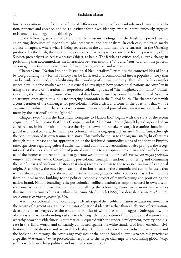binary oppositions. The fetish, as a form of "efficacious resistance," can embody modernity and tradition, presence and absence, and be a substitute for a fixed identity, even as it simultaneously suggests resistance to such hegemonic thinking.

In the following six chapters, I examine the resistant readings that the fetish can provide to the colonizing discourses of imperialism, phallocentrism, and nationalism. In each case, the fetish marks a place of rupture, where what is being repressed in the cultural memory re-surfaces. In the Othering produced by the fetish, there is also the possibility of starting to "become," or for the presencing of the Subject, presently fetishized as a passive Object, to begin. The fetish, as a critical tool, allows a change in positioning that accommodates the interaction between multiple "I"-s and "You"-s, and in the process, encourages repetition, displacement, (re)membering, reversal and recognition.

Chapter One, "Nation Inc. and Postcolonial Neoliberalism," examines the contested idea of India by foregrounding how formal History can be fabricated and commodified into a populist history that can be easily consumed, thus facilitating the reworking of cultural memory. Through specific examples we see how, in a free-market world, it is crucial to investigate how postcolonial nations are *complicit* in using the rhetoric of liberation to (re)produce colonizing ideas of "the imagined community." Simultaneously, the 'civilizing mission' of neoliberal development used by countries in the Global North, is an attempt, once again, to subjugate emerging economies in the Global South. The chapter closes with a consideration of the challenges for postcolonial media critics, and some of the questions that will be examined in subsequent chapters as we examine how neoliberal postcolonialism is remapping what we mean by the 'national' and the 'global.'

Chapter two, "From the East India Company to Nation Inc." begins with the story of the recent acquisition of the historic East India Company and its Merchants' Mark (brand) by a diasporic Indian entrepreneur, in his pursuit to purchase the rights to own and remake History. It examines how, in the global neoliberal context, the Indian postcolonial nation is engaging in *postcolonial cannibalism* through the consumption of its own traumatic history. This symbolic return to the original site/sight of trauma through the purchase and/or appropriation of the fetishized commodity signs of the former Empire, raises questions regarding cultural authenticity and commodity nationalism. It also prompts the recognition that the neocolonial impulse of postcolonial India to appropriate the cultural and symbolic capital of the former colonizer and use it to generate wealth and value for itself *depends on keeping colonial history and identity intact*. Consequently, postcolonial triumph is undone by othering and consuming the painful parts of one's own History that always seems to return to the repressed trauma of a colonial origin. Accordingly, the move by postcolonial nations to accrue the economic and symbolic assets that will set them apart and give them a competitive advantage above other countries, has led to the shift from political nation-building to the political economy project of manufacturing and positioning the nation-brand. Nation-branding is the postcolonial neoliberal nation's attempt to control its own discursive construction and dissemination, and to challenge the colonizing Euro-American media narratives that insist on circumscribing it within what Anne McClintock (1995) has described as an *anachronistic space outside of history proper* (p. 30).

Within postcolonial nation-branding the fetish sign of the neoliberal nation or *India Inc. announces* the return of pigment as a *positive* indicator of national identity rather than an absence of civilization, development, or progress, as the epidermal politics of white bias would suggest. Subsequently, one of the tasks in nation-branding tasks is to challenge the racialization of the postcolonial nation state, whereby brownness/blackness is automatically equated with the under-development, poverty and disease in the Third World, and constantly contrasted against the white standard of Euro-American civilization, industrialization and 'natural' leadership. The link between the individual citizen's body and the body politic through the *commodity-body-sign* of the nation-brand allows us to see this practice as a specific *historically situated* postcolonial response to the larger challenge of a colonizing global *image politics* with far-reaching political and material consequences.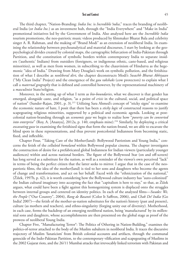The third chapter, "Nation-Branding: *India Inc.* is *Incredible !ndia*," traces the branding of neoliberal India (or *India Inc.*) as an investment hub, through the "India Everywhere" and "Make in India" promotional initiatives led by the Government of India. Also analyzed here are the *Incredible !ndia* tourism promotions, the neo-patriotic music videos produced by filmmaker Bharat Bala and celebrity singer A. R. Rahman, and the making of "Brand Modi" as an extension of neoliberal India. In examining the relationship between psychoanalytical and material discourses, I start by looking at the geopsychological divides created by colonial maps, the cartographic bifurcation of India-Pakistan through Partition, and the constitution of symbolic borders within contemporary India to separate insiders ('authentic' Indians) from outsiders (foreigners, or indigenous ethnic, caste-based, and religious minorities), as well as men from women, in subscribing to the chauvinism of Hindutva as the hegemonic "idea of India." Drawing from Mary Douglas's work on symbolic pollution, and the fetishization of what I describe as *neoliberal dirt*, the chapter deconstructs Modi's *Swachh Bharat Abhiyaan* ("My Clean India" Project) and the emergence of the *gau rakshaks* (cow protectors) to explain what I call a *maternal geography* that is defined and controlled however, by the representational machinery of a *masculinist* State/religion.

Moreover, in the setting up of what I term as *bio-boundaries*, what we discover is that gender has emerged, alongside caste, and religion, "as a point of *crisis* in the cultural, social, and political space of nation" (Sunder-Rajan, 2001, p. 3).<sup>215</sup> Utilizing Sara Ahmed's concept of "sticky signs" to examine the economic nature of hate, I posit that there has been a *sticky logic* of constructed reasons to justify scapegoating religious minorities, supported by a political and economic agenda. Looking at postcolonial nation-branding through an *economic gaze* we begin to realize how "*poverty can be converted into enterprise*" (Roy, A. [Ananya], 2012a, p. 140, emphasis mine).<sup>216</sup> Similarly, by deploying a critical *excavating gaze* in examining the fetishized signs that form the nation-brand, we are able to excavate the blind spots in these representations, and thus prevent postcolonial Indianness from becoming static, fixed, and inflexible.

Chapter Four, "Taking Care of the Mother(land): Bollywood Patriotism and Young India*,*" concerns the fetish of the *celluloid homeland* within Bollywood popular cinema. The chapter investigates the construction of desire for a prefabricated global Indianness for Indian viewers (particularly younger audiences) within and across national borders. The figure of the Bollywood Star (on and off-screen) has long served as a substitute for the nation, as well as a reminder of the viewer's own perceived "lack" in terms of being the perfect citizen that the latter seeks to mirror. I argue that in the case of the neopatriotic films, the idea of the mother(land) is tied to her sons and daughters who become the agents of change and transformation, and act on her behalf. Faced with the "ethnicization of the national," (Žižek, 1997b, p. 42), it is worth considering how the Bollywood culture industry has "auto-colonized" the Indian cultural imaginary into accepting the fact that "capitalism is here to stay," so that, as Žižek argues, what could have been a fight against this homogenizing system is displaced onto the struggles between internal groups and centered on identity politics. In each of the analyzed films—*Swades: We, the People* ("Our Country", 2004), *Rang de Basanti* (Color It Saffron, 2006), and *Chak De! India* (Go India! 2007)—the fetish of the mother-as-nation substitutes for the nation's history (past and present), culture (as mothers and teachers), and ethno-singularity (forging unity out of diversity). Motherhood, in each case, forms the backdrop of an emerging neoliberal nation, being 'manufactured' by its millennial sons and daughters, whose accomplishments are then presented on the global stage as proof of the prowess of neoliberal Young India.

Chapter Five, "Manufacturing Terror®: The Politics of Othering in Nation-Building," examines the politics-of-terror attached to the body of the Muslim subaltern in neoliberal India. It traces the discursive trajectory of Muslim 'fanaticism' from British colonial accounts and artifacts, through the communal genocide of the Indo-Pakistan Partition, to the contemporary vilification and scapegoating of Muslims in the 2002 Gujarat riots, and the 26/11 Mumbai attacks that irrevocably linked terrorism with Pakistan and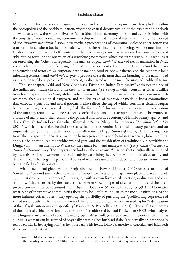Muslims in the Indian national imagination. Death and economic 'development' are closely linked within the necropolitics of the neoliberal nation, where the critical deconstruction of the fetishization of death allows us to see how the 'value' of lives lost/taken (the political economy of death and dying) is linked with the projects of neo-nationalism, economic 'development', and historical retribution. Using the concept of *the disruptive necrofetish*, I show how media *re*presentations of communal violence (riots, terrorism) transform the subaltern bodies into loaded symbolic sites/sights of re-membering. At the same time, the fetish disrupts the 'screened off' content in the media images and narratives used to construct violent subalternity, revealing the operation of a *petrifying gaze* through which the terror resides in us who insist on terrorizing the Other. Subsequently, the analysis of *postcolonial violence* of neoliberalization in *India Inc.* touches upon the 'manufacturing' of the Muslim as a violent subaltern, the 'labor' behind the binary constructions of terrorism vs. corporate patriotism, and good vs. bad subalterns, and the economic logic informing terrorism and *neoliberal sacrifice* to produce the realization that the branding of the nation, tied as it is to the neoliberal project of 'development,' is also linked with the manufacturing of neoliberal terror.

The last chapter, "Old and New Goddesses: Disrobing Indian Femininity," addresses the rise of the Indian neo-middle class, and the creation of an *identity economy* in which consumer-citizens utilize brands to shape an *authentically* global Indian image. The tension between the cultural obsession with whiteness that is a colonial hangover, and the *desi* fetish of *swadeshi* or made-in-India commodities that embody a patriotic and moral goodness, also reflects the tug-of-within consumer-citizens caught between aspiring to be national and global. The first half of this analysis entails a critical investigation of the uncanny return of whiteness as postcolonial desire, and the attempts to transcode brownness as a source of *desi* pride. I then examine the political and affective economy of female beauty, agency, and desire through Indian-born Canadian filmmaker Nisha Pahuja's documentary *The World before Her* (2011) which offers a rich behind-the-scenes look at the Femina Miss India beauty pageant and an unprecedented glimpse into the world of the all-women *Durga Vahini* right-wing Hindutva organization. The juxtaposition here is between the beauty pageant as a neoliberal stage where a globalized Indianness is being produced for a white-washed gaze, and the fetishization of feminine divinity within the Durga Vahini, in an attempt to *disembody* the female form and make *femininity a spiritual attribute in a distinctly Hindutva way*. The chapter then looks at the *postcolonial violence* that is culturally sanctioned by the fetishization of women's bodies. It ends by examining the decolonization of female sexuality and desire that can challenge the patriarchal codes of neoliberalism and Hindutva, and liberate women from being reified as fetish objects.

Within neoliberal globalization, Benjamin Lee and Edward LiPuma (2002) urge us to think of "circulation" beyond simply the movement of people, artifacts, and images from place to place. Instead, "[c]irculation is a cultural process," they argue, "with its own forms of abstraction, evaluation, and constraint, which are created by the interactions between specific types of circulating forms and the interpretive communities built around them" (qtd. in Gaonkar & Povinelli, 2003, p. 391).<sup>217</sup> No matter what type of interpretive communities these may be—culture industries, financial institutions, or the more intimate coffeehouses—they open up the possibility of pursuing the "proliferating copresence of varied textual/cultural forms in all their mobility and mutability," rather than settling for "a delineation of their fragile autonomy and specificity" (Gaonkar & Povinelli, 2003, p. 391). "The analytic dilemma of the material vehicularization of cultural forms" is addressed by Paul Kockelman (2002) who analyzes "the linguistic mediation of social life in a Q'eqchi'-Maya village in Guatemala." He notices that in this culture, a woman can be accused of physically harming her husband if she "accidentally or intentionally tears a tortilla in her frying pan," as he is preparing his fields. Dilip Parameshwar Gaonkar and Elizabeth A. Povinelli (2003) ask:

How should the organization of gender and power be analyzed if one of the sites of its investment is the fragility of a tortilla? Other aspects of materiality are equally at play in the aporia between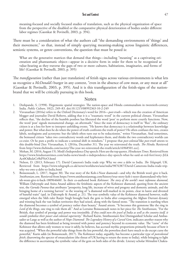meaning-focused and socially focused studies of translation, such as the physical organization of space from the perspective of the disabled or the comparative physical deterioration of bodies under different labor regimes (Gaonkar & Povinelli, 2003, p. 394).

There must be a consideration of what the authors call "the demanding environments of 'things' and their movement," so that, instead of simply querying meaning-making across linguistic differences, semiotic systems, or genre conventions, the question that must be posed is:

What are the generative matrices that demand that things—including "meaning" as a captivating orientation and phantasmatic object—appear in a decisive form in order for them to be recognized as value-bearing as they traverse the gaps of two or more cultures, habitations, imaginaries, and forms of life? (Gaonkar & Povinelli, 2003, p. 395)

The *transfiguration* (rather than just translation) of fetish signs across various environments is what lets us recognize a *McDonald's* burger in any context, "even in the absence of cow meat, or any meat at all" (Gaonkar & Povinelli, 2003, p. 395). And it is this transfiguration of the fetish-signs of the nationbrand that we will be critically pursuing in this book.

# Notes

- 1. Deshpande, S. (1998). Hegemonic spatial strategies: The nation-space and Hindu communalism in twentieth-century India. *Public Culture*, 10(2), 249–83. doi:10.1215/08992363-10-2-249
- 2. Visvanathan (2016a) refers to the Oxford Dictionary's word for 2016—*post-truth*—which was the creation of American blogger and journalist David Roberts, adding that it is a "traumatic word" in the current political climate. Visvanathan reflects that, "the decline of the humble postbox has liberated the word 'post' to perform more courtly functions. Now, the word 'post' signals monumental change, an aftermath." Since the state of democracy is itself in "flux", the ordinary citizen is at a loss for how to interpret unfolding events. "He knows that democracy is a relationship between knowledge and power. But what does he do when the power of truth confronts the truth of power? He often confuses the two, creates labels, neologisms and acronyms: but the labels often turn out to be reductionist," writes Visvanathan. And sometimes, the bemused citizen "takes two contradictory words and hyphenates them, and thinks the two contradictory worlds can co-exist. Or he puts a prefix to indicate a seminal shift in mindsets." I propose that *post-colonial* like *post-truth* attests to this double-bind [See: Visvanathan, S. (2016a, December 31). The year we reinvented the truth. *The Hindu*. Retrieved from http://www.thehindu.com/society/The-year-we-reinvented-the-truth/article16968501.ece].
- 3. Mohan, M. (2016, August 15). Modi's Independence Day speech: Here are the top quotes. *Hindustan Times*. Retrieved from https://www.hindustantimes.com/india-news/modi-s-independence-day-speech-what-he-said-at-red-fort/story-JiLk Act0OdhsIeCt9hPNrO.html
- 4. Nelson, D. (2013, February 17). David Cameron's India trade trip: Why we owe a debt to India. *The Telegraph,* UK*.* Retrieved from https://www.telegraph.co.uk/news/worldnews/asia/india/9876387/David-Camerons-India-trade-tripwhy-we-owe-a-debt-to-India.html
- 5. Boissoneault, L. (2017, August 30). The true story of the Koh-i-Noor diamond—and why the British won't give it back. *Smithsonian.com.* Retrieved from https://www.smithsonianmag.com/history/true-story-koh-i-noor-diamondand-why-british-wont-give-it-back-180964660/. In their co-authored book *Kohinoor: The story of the world's most infamous diamond*, William Dalrymple and Anita Anand address the fetishistic aspects of the Kohinoor diamond, quoting from the ancient text, the *Garuda Purana* that attributes "prosperity, long life, increase of wives and progeny and domestic animals, and the bringing home of a teeming harvest" to the wearing of "a diamond well-marked in its points, clear in lustre and divested of baneful traits" (qtd. in Dalrymple & Anand, p. 21). The true symbolic value of the Kohinoor diamond however, really emerged when the Sikh ruler Ranjit Singh brought back the gem to India after conquering the Afghan Durrani dynasty and winning back the vast Indian territories they had seized, along with the famed stone. "The transition is startling when the diamond becomes a symbol of potency rather than beauty," Anand attests. "It becomes this gemstone like the ring in *Lord of the Rings*, one ring to rule them all." And as Lorraine Boissoneault notes in her piece for *The Smithsonian*, "For the British, that symbol of prestige and power was irresistible. *If they could own the jewel of India as well as the country itself, it would symbolize their power and colonial superiority*." Richard Kurin, Smithsonian's first Distinguished Scholar and Ambassador-at-Large as well as the author of *Hope Diamond: The Legendary History of a Cursed Gem*, indicates another reason why the diamond has been fetishized as being invested with power and potency beyond its economic value. The "curse" of the Kohinoor that allows only women to wear it safely, he believes, has accrued mythic proportions primarily because of how it was acquired. "When the powerful take things from the less powerful, the powerless don't have much to do except curse the powerful," Kurin adds (in Boissoneault, 2017). The Kohinoor today, arguably, has become a particular type of *postcolonial fetish*, disavowing the specter of emasculation (the threat of UK having to return the stone to India), while bringing to light the difference in ascertaining the symbolic value of the gem on both sides of the divide. Literary scholar Mrinalini Chakra-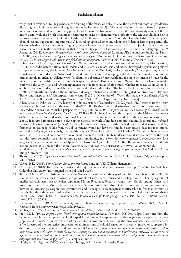vorty (2014) refers back to the psychoanalytic framing of the fetish, whereby it "takes the place of our most tangled desires, displacing onto itself the causes and origins of our overt fixations" (p. 33). The famed diamond is both a fixture of postcolonial and neocolonial desires. For many postcolonial Indians, the Kohinoor embodies the exploitative dynamics of British imperialism, while the British government continues to insist the diamond was a 'gift' from the ten-year old Sikh heir to a throne he never got to occupy. "Critical fetishism," Emily Apter has argued, "both simulates the fetishist's desire by way of an object and exposes its 'imposter value'." Depending upon whether one adopts the Indian or British perspective, the decision whether the jewel was looted or gifted, remains irreconcilable. Accordingly, the "fetish object incites deep affective responses even despite the understanding that it is an empty cipher" (Chakravorty, p. 33) [For more, see Dalrymple, W. & Anand, A. (2018). *Kohinoor: The story of the world's most infamous diamond*. London, UK: Bloomsbury Publishing, Kurin, R. (2006). *Hope Diamond: The legendary history of a cursed gem*. Washington, D. C.: Smithsonian Books, and Chakravorty, M. (2014). *In stereotype: South Asia in the global literary imaginary*. New York, NY: Columbia University Press.].

- 6. In his review of Niall Ferguson's. *Civilization: The west and the rest*, Indian novelist and essayist Pankaj Mishra writes, "In 1877, decades before anti-colonial leaders and intellectuals across Asia and Africa developed a systematic political critique of colonialism, the itinerant Muslim activist Jamal al-Din al-Afghani was attacking 'the trap of duplicity' in British accounts of India. The British had invested immense sums in developing a global network of modern communications simply in order, al-Afghani wrote, 'to drain the substance of our wealth and facilitate the means of trade for the inhabitants of the British Isles and extend their sphere of riches'. Two generations of Western historians have essentially confirmed the early Asian and African arguments that the imperatives of 'free trade', whether imposed, as on China, by gunboats, or as on India, by outright occupation, had a devastating effect. The Indian Declaration of Independence in 1930 inadvertently summed up the multifarious damage inflicted on a swathe of subjugated countries from Ottoman Turkey and Egypt to Java" [Excerpted from Mishra, P. (2011, November 03). Watch this man. *London Review of Books* 33 (21), 10–12. Retrieved from https://www.lrb.co.uk/v33/n21/pankaj-mishra/watch-this-man].
- 7. Allen, C. (2013, February 19). The history of India is a history of colonialism. *The Telegraph,* UK*.* Retrieved from https:// www.telegraph.co.uk/news/worldnews/asia/india/9879883/The-history-of-India-is-a-history-of-colonialism.html. See the academic exposition of such a perspective in Ferguson, N. (2004). *Empire: The rise and demise of the British world order and the lessons for global power*. New York, NY: Basic Books. in which the author argues that the 19th century project of British imperialism "undeniably pioneered free trade, free capital movements and, with the abolition of slavery, free labour. It invested immense sums in developing a global network of modern communications. It spread and enforced the rule of law over vast areas" (p. 304). As such, Ferguson continues, if British rule had not expanded across the globe, former colonized peoples, like from the sub-continent, would not have their modern democratic ideas and institutions, or the global *lingua franca*, namely, the English language. Postcolonial theorist Arif Dirlik (2002) rightly observes therefore, that, "[l]iberal and conservative development discourses, most notably modernization discourse, have for the most part dismissed colonialism as an important aspect of modernity, and, *where they have recognized its importance, they have assigned to it a progressive historical role*" (p. 430, emphasis mine) [See: Dirlik. A. (2002). Rethinking colonialism: Globalization, postcolonialism, and the nation. *Interventions*, 4(3), 428–48. doi:10.1080/1369801022000013833].
- 8. Sunderland, J. T. (1929). *India in bondage: Her right to freedom and a place among the great nations*. New York, NY: Cambridge University Press.
- 9. Tharoor, S. (2017). *Inglorious empire: What the British did to India*. London, UK: C. Hurst & Co. (Original work published 2016).
- 10. Varma, P. K. (2005). *Being Indian: Inside the real India*. London, UK: William Heinemann.
- 11. Chatterjee, P. (2010). Those fond memories of the Raj. In *Empire and nation: Selected essays* (pp. 161–63). New York, NY: Columbia University Press (original work published 2005).
- 12. Tejaswini Ganti (2014) distinguishes between "late capitalism", which she regards as a historical phase, and neoliberalism, which she sees as "an ideological and philosophical movement" translated into hegemonic policy by a group of intellectual architects such as Walter Lippman, Milton Friedman, Friedrich August von Hayek, among others, and institutions such as the Mont Pelerin Society. What's central to neoliberalism, Ganti argues, is the binding agreement, between an increasingly corporatized government and its people, to reconceptualize citizenship in free market terms so that the health of the market rather than the welfare of the citizens becomes the new marker of the nation's well-being (p. 91) [See: Ganti, T. (2014). Neoliberalism. *Annual Review of Anthropology*, 43, 89–104. doi:10.1146/annurev-anthro-092412-155528].
- 13. Radhakrishnan, R. (1993). Postcoloniality and the boundaries of identity. [Special issue]. *Callaloo*, 16(4), 750–71. Retrieved from http://www.jstor.org/stable/2932208
- 14. Shohat, E. (1992). Notes on the "post-colonial". *Social Text*, 31/32, 99–113. doi:10.2307/466220
- 15. Pratt, M. L. (1992). *Imperial eyes: Travel writing and transculturation*. New York, NY: Routledge. Pratt notes that, the "'contact zone' is an attempt to invoke the spatial and temporal co-presence of subjects previously separated by geographic and historical disjunctures, and whose trajectories now intersect. By using the term 'contact,'" she states, her aim is "to foreground the interactive, improvisational dimensions of colonial encounters so easily ignored or suppressed by diffusionist accounts of conquest and domination. *A 'contact' perspective emphasizes how subjects are constituted in and by their relations to each other. It treats the relations among colonizers and colonized, or travelers and 'travelees,' not in terms of separateness or apartheid, but in terms of copresence, interaction, interlocking understandings and practices, often within radically asymmetrical relations of power*" (p. 7; emphasis mine).
- 16. Hardt, M., & Negri, A. (2000). *Empire*. Cambridge, MA: Harvard University Press.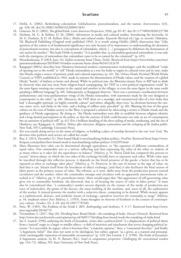- 17. Dirlik, A. (2002). Rethinking colonialism: Globalization, postcolonialism, and the nation. *Interventions*, 4(3), pp. 428–48. doi:10.1080/1369801022000013833
- 18. Gimenez, M. E. (2002). The global fetish. *Latin American Perspectives*, 29(6), pp. 85–87. doi:10.1177/009458202237780
- 19. Durham, M. G. & Kellner, D. M. (2006). Adventures in media and cultural studies: Introducing the keyworks. In M. G. Durham, & D. M. Kellner (Eds.), *Media and cultural studies: Keyworks* (Revised ed.) (pp. ix–xxxviii). Hoboken, NJ: Blackwell Publishing (Original work published 1992). It is worth raising Dirlik's (2002) observation that "[t]he question of the nation is of fundamental significance not only because of its importance to understanding the dynamics of postcolonial societies, but also to conceptions of colonialism, which, […] presuppose by definition the domination of one nation by another." This leads Dirlik to ponder: "Is it possible that, as colonialism generated nationalism, it was only with the emergence of nationalism that colonialism came to be so named by the colonized?" (p. 435).
- 20. Mourdoukoutas, P. (2018, June 14). India's economy beats China. *Forbes.* Retrieved from https://www.forbes.com/sites/ panosmourdoukoutas/2018/06/14/indias-economy-beats-china/#62447cfc3e78
- 21. Rajagopal (2001a) describes how Hindutva harnessed modern communication technologies, and the neoliberal "credo of opening out to the world" to "sell" Hindu nationalism as a way for India to regain its cultural roots and in turn, make this Hindu origin a source of patriotic pride and cultural supremacy (p. 42). The *Vishwa Hindu Parishad* (World Hindu Council, or VHP) established in 1964, made its mission the dissemination of Hindu values, and the creation of a global Hindu "family" of Indians at home and abroad. While its political arm, the Bharatiya Janata Party or BJP had to abide by electoral rules and stay away from religion-based campaigning, the VHP as a non-political organization could "be the same figure wearing one costume in the capital and another in the villages, or even the same figure in the same outfit speaking a different language"(p. 60). Subsequently, as Rajagopal observes, "there was a systematic coordination between parliamentary and extra-parliamentary wings of the Hindu nationalists, with statements made by the one designed as counterpoint to the other" (p. 60). Moreover, the VHP drew on a nostalgic and romanticized idea of a lost India that had "a thoroughly spiritual, yet highly scientific culture" and where, allegedly, there were "no divisions between the various castes, sects, and faiths at the time, and a feeling of selfless unity prevailed" (p. 60). Blaming the loss of this great culture on the turn of Indian society to the West, it proposed a solution by advocating a return to Hindu rituals and the guidance of Hindu sages/gurus. By doing so, "the Hindu nationalists were able to establish between religious identity and a long-denied participation in the polity, so that the exercise of faith could become not only an act of consumption but an assertion of political will" (p. 61) [For a brilliant detailing of the dove-tailing of media, marketing, and the rise of Hindutva, see: Rajagopal, A. (2001a). *Politics after television: Religious nationalism and the reshaping of the Indian public*. New York, NY: Cambridge University Press].
- 22. *Kar seva* entails doing service in the name of religion, or building a place of worship devoted to the one 'true' God. The devotees who perform such service are called *kar sevaks*.
- 23. Roy, S. (2014, December 21). How brand Modi is merchandising Indian politics. *FirstPost*. Retrieved from https://www. firstpost.com/politics/how-brand-modi-is-merchandising-indian-politics-1162299.html
- 24. Marx illustrates how value can be determined through equivalence, or "the equation of different commodities of equal value. One commodity acts as a mirror, reflecting and thus expressing the value of the other or, indeed, of as many others as it takes for the equivalence to balance" (Mulvey, p. 9). Slavoj Žižek has compared this process to Lacan's "mirror phase, in which the two sides of the exchange literally have to represent each other. While value may be inscribed through this reflective process, it depends on the literal presence of the goods, a barter that has to be repeated as often as exchange takes place" (Mulvey, p. 9). However, in the case of money as the sign of value, we find that it can "detach itself from the literalness of object exchange, [and that] it also facilitates the final erasure of labor power as the primary source of value. The referent, as it were, shifts away from the production process toward circulation and the market, where the commodity emerges and circulates with an apparently autonomous value attached to it" (Mulvey, pp. 9–10, parentheses mine). Marx would argue that "this appearance of self-generating value gives rise to commodity fetishism, the disavowal, that is, of locating the source of value in labor power." It must also be remembered that, "a commodity's market success depends on the erasure of the marks of production-any trace of indexicality, the grime of the factory, the mass-molding of the machine, and, most of all, the exploitation of the worker. It instead presents the market with a seductive sheen, competing to be desired. While money appears as a sophisticated, abstract, and symbolic means of exchange, *capitalism resurrects the commodity as image*" (Mulvey, p. 10, emphasis mine) [See: Mulvey, L. (1993). Some thoughts on theories of fetishism in the context of contemporary culture. *October*, 65, 3–20. doi:10.2307/778760].
- 25. Pietz, W. (1985). The Problem of the Fetish I. *RES: Anthropology and Aesthetics*, 9, 5–17. Retrieved from http://www. jstor.org/stable/20166719
- 26. Visvanathan, S. (2017, May 26). Dividing lines: Brand Modi—the remaking of India. *Deccan Chronicle*. Retrieved from http://www.deccanchronicle.com/opinion/op-ed/260517/dividing-lines-brand-modi-the-remaking-of-india.html
- 27. Ian S. Lustick (1996) analyzing the fetish of Jerusalem, writes that a *political fetish* "is a displacement of political desire from a 'natural' target to a larger or smaller object—a shift of attention and attachment that serves changing political interests." It is successful, he argues, when it becomes first, "a majority opinion," then, a "consensual doctrine," and finally, "a hegemonic belief" that does not seem to be ideological, but rather, appears "as a given, as a natural and presumptively unchangeable expression of immutable circumstances" (p. 143) [See Lustick, I. S. (1996). The fetish of Jerusalem: A hegemonic analysis. In M. N. Barnett (Ed.), *Israel in comparative perspective: Challenging the conventional wisdom* (pp. 143–72). Albany, NY: State University of New York Press].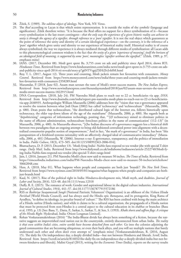- 28. Žižek, S. (1989). *The sublime object of ideology*. New York, NY: Verso.
- 29. The *Real* according to Lacan is that which resists representation. It is outside the realm of the *symbolic* (language and signification). Žižek therefore writes: "It is because the Real offers no support for a direct symbolization of it—because every symbolization is the last resort contingent—*that the only way the experience of a given historic reality can achieve its unity is through the agency of a signifier, through reference to a 'pure' signifier*. It is not the real object which guarantees as the point of reference the unity and identity of a certain ideological experience—on the contrary, it is the reference of a 'pure' signifier which gives unity and identity to our experience of historical reality itself. Historical reality is of course always symbolized; the way we experience it is always mediated through different modes of symbolization: all Lacan adds to this phenomenological common wisdom is the fact that *the unity of a given 'experience of meaning', itself the horizon of an ideological field of meaning, is supported by some 'pure', meaningless 'signifier without the signified'*." (Žižek, 1989, p. 97, emphases mine)
- 30. IANS. (2017, December 08). Modi govt spent Rs. 3,755 crore on ads and publicity since April 2014, shows RTI. *Hindustan Times*. Retrieved from https://www.hindustantimes.com/india-news/modi-govt-spent-rs-3-755-crore-on-adsand-publicity-since-april-2014-rti-reveals/story-p7g6NTVqpjZXHi2IvJvk0M.html
- 31. Roy, T. L. (2017, August 12). Three years and counting, Modi jackets remain hot favourites with consumers. *Money Control*. Retrieved from https://www.moneycontrol.com/news/india/three-years-and-counting-modi-jackets-remainhot-favourites-with-consumers-2358289.html
- 32. Mazumdar, P. (2018, June 02). Assam man savours the taste of Modi's sweet success mantra. *The New Indian Express*. Retrieved from http://www.newindianexpress.com/thesundaystandard/2018/jun/02/assam-man-savours-the-taste-ofmodis-sweet-success-mantra-1822915.html
- 33. DNA Correspondent. (2018, July 24). PM Narendra Modi plans to reach out to 22 cr. beneficiaries via app. *DNA*. Retrieved from http://www.dnaindia.com/india/report-pm-narendra-modi-plans-to-reach-out-to-22-cr-beneficiariesvia-app-2640935. Anthropologist William Mazzarella (2006) addresses how the "vision that was e-governance appeared to resolve the tension between what Jodi Dean (2002) has called 'technocracy' and 'technoculture'" (Mazzarella, 2006, p. 480). Dean posits that technoculture, "the distributed cultural logic of the Internet era, follows historically upon technocracy, the older top-down idiom of the age of the mainframe" (Mazzarella, 2006, p. 480). She regards both as "depoliticizing" categories of information technology, positing that, "'[i]f technocracy aimed to eliminate politics in the name of efficient administration, technoculture forecloses politics in the name of communication' (112–13)" (in Mazzarella, 2006, p. 480). As Mazzarella observes, "[t]he Indian discourse of e-governance suggests less a historical shift between two paradigms than an ongoing attempt to bring old-fashioned centralized power into alignment with a decentralized consumerist-populist notion of empowerment." And in fact, "the mark of e-governance" in India, has been "this juxtaposition of a fetishized systems rationality with an affectively charged ideal of communicative immediacy" (Mazzarella, 2006, p. 481) [Mazzarella, W. (2006). Internet x-ray: E-governance, transparency, and the politics of immediation in India. *Public Culture*, 18(3), 473–505. doi:10.1215/08992363-2006-016].
- 34. Bhattacharya, D. P. (2013, December 13). 'Modi-fying India': NaMo fans respond to tea vendor jibe with special T-shirt range. *Daily Mail*, India. Retrieved from http://www.dailymail.co.uk/indiahome/indianews/article-2522740/Modi-fying-India-NaMo-fans-respond-tea-vendor-jibe-special-T-shirt-range.html
- 35. Jain, I. (2016, January 21). PM Narendra Modi's chest now said to measure 50 inches. *The Times of India*. Retrieved from https://timesofindia.indiatimes.com/india/PM-Narendra-Modis-chest-now-said-to-measure-50-inches/articleshow/ 50662048.cms
- 36. Hess, A. (2018, May 01). What happens when people and companies are both just 'brands'? *The New York Times*. Retrieved from https://www.nytimes.com/2018/05/01/magazine/what-happens-when-people-and-companies-are-bothjust-brands.html
- 37. Kaul, N. (2017). Rise of the political right in India: Hindutva‐development mix, Modi myth, and dualities. *Journal of Labor and Society*, 20(4), 523–48. doi:10.1111/wusa.12318
- 38. Duffy, B. E. (2015). The romance of work: Gender and aspirational labour in the digital culture industries. *International Journal of Cultural Studies*, 19(4), 441–57. doi:10.1177/1367877915572186
- 39. RSS or *Rashtriya Swayamsevak Sangh* (National Patriotic Volunteers' Organization) is an offshoot of the *Vishwa Hindu Parishad* (World Hindu Council), and has always used the Hindu epic *Ramayana*, and its protagonist, King Rama of Ayodhya, "to define its ideology, its peculiar brand of 'culture'." The RSS has been credited with being the main architect of a Hindu *rashtra* (Hindu nation), and while it claims to be a cultural organization, the propaganda of a Hindu nation that must be protected from non-Hindus is a central aspect to the cultural education in its *shakhas* or branches (Basu et al, 1993, p. 13) [See: Basu, T., Datta, P., Sarkar, S., Sarkar, T., & Sen, S. (1993). *Khaki shorts and saffron flags: A critique of the Hindu Right*. Hyderabad, India: Orient Longman Limited].
- 40. Rohan Venkataramakrishnan (2016) "The India-Bharat divide has always been something of a fiction, because the narrative suggests an impoverished rural nation out in the countryside, entirely disconnected from urban India. *The reality is that even within India's cities, entire worlds have become detached from each other*. Go into the colonies adjoining the gated communities that are becoming ubiquitous, or even their back alleys, and you will see multiple nations that barely understand each other and often don't even attempt to" (emphasis mine) [Venkataramakrishnan, R. (2016, August 15). The daily fix: On independence day, a deeply divided India—but not between Hindutva and liberals. *Scroll*, India. Retrieved from https://scroll.in/article/814032/the-daily-fix-on-independence-day-a-deeply-divided-india-but-not-between-hindutva-and-liberals]. Malini Goyal (2013), writing for the *Economic Times* (India), reports on the survey results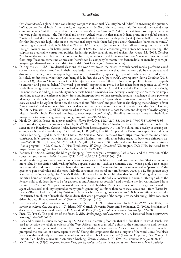that *FutureBrands*, a global brand consultancy, compiles as an annual "Country Brand Index". In answering the question, "What defines Brand India?" the majority of respondents (64.3% of those surveyed) said Bollywood; the second most common answer "hit the other end of the spectrum—Mahatma Gandhi (57%)." The next two most popular answers too were polar opposites—the Taj Mahal and cricket. Asked what is it that makes Indians proud in the global context, "84% reckoned the opening up of the economy made their hearts swell with pride, [while] almost half of the sample felt that Bollywood's high-jinks on the international stage made them feel good about themselves (parentheses mine)." Interestingly, approximately 60% felt that "'incredible' is the apt adjective to describe India—although more than half thought 'corrupt' was a far better prefix." And all of 83% feel India's economic growth story has taken a beating. The culprits are predictable: corruption, political leadership, policy paralysis and red-tapism [See: Goyal, M. (2013, October 27). Incredible or incredibly corrupt: For young Indians, what does brand India stand for? *The Economic Times*. Retrieved from http://economictimes.indiatimes.com/news/news-by-company/corporate-trends/incredible-or-incredibly-corruptfor-young-indians-what-does-brand-india-stand-for/articleshow\_opt/24764568.cms]

- 41. During the 2016 U.S. Presidential elections, the world witnessed the extent to which social media platforms could customize what viewers read/saw in their news feeds. It also became evident that information could be manipulated and disseminated widely, so as to appear legitimate and trustworthy, by appealing to populist values, so that readers were less likely to fact-check what they were being fed. In fact, the word "post-truth", says reporter Neerja Deodhar (2018, January 13), refers to "circumstances in which objective facts are less influential in shaping public opinion than appeals to emotion and personal belief." The word "post-truth" originated in 1992, but has taken front-stage since 2016, with battle lines being drawn between authoritarian administrations in the US and UK and the Fourth Estate. Increasingly, the news media is finding its credibility under attack, being dismissed as fake-news by "a majority and State that is simply unwilling to accept the inferences drawn from and interpretations of their research, because it challenge[s] their power or ideology directly, or because it [goes] against the dominant narrative" (parenthetical insertions mine). Now, more than ever, we need to be vigilant about how the debate about "fake news" and post-facts is also shaping the tendency to favor "post-histories" and manipulate historical evidence and narratives to suit hegemonic political agendas [See: Deodhar, N. (2018, January 13). Sunil Khilnani on what it means to be Indian in a post-fact era, and dangers of mythologising history. *FirstPost*, India. Retrieved from https://www.firstpost.com/living/sunil-khilnani-on-what-it-means-to-be-indianin-a-post-fact-era-and-dangers-of-mythologising-history-4296251.html].
- 42. Hook, D. (2008). Postcolonial psychoanalysis. *Theory Psychology*, 18(2), 269–83. doi:10.1177/0959354307087886
- 43. For more details, see, for instance: Gamble, R. (2018, June 18). The China-India rivalry is causing an ecological disaster in the Himalayas. *Quartz*, India. Retrieved from https://qz.com/1307728/the-china-india-rivalry-is-causing-anecological-disaster-in-the-himalayas/; Chaudhury, D. R. (2018, June 07). Stop work in Pakistan-occupied Kashmir, says India after being urged to back 'One China'. *The Economic Times*. Retrieved from https://economictimes.indiatimes. com/news/defence/stop-work-in-pakistan-occupied-kashmir-says-india-after-being-urged-to-back-one-china/articleshow/64500030.cms; Norris, M., & Schofield, V. (2008, December 03). Kashmir dispute has roots in colonial history [Radio program]. In M. Gray, & A. Hsu (Producers), *All Things Considered*. Washington, DC: NPR. Retrieved from https://www.npr.org/templates/story/story.php?storyId=97766007.
- 44. Bennett, D. (2005). Getting the Id to go shopping: Psychoanalysis, advertising, Barbie dolls, and the invention of the consumer unconscious. *Public Culture*, 17(1), 1–26. doi:10.1215/08992363-17-1-1
- 45. While conducting extensive consumer interviews for *Ivory* soap, Dichter discovered, for instance, that "that soap acquires more value by association with washing before a special occasion—such as a romantic date—when people bathe longer, more carefully, and more luxuriously; hence the more erotic a soap's connotations or the more sexual its "personality," the greater its perceived value and the more likely the consumer is to spend on it (in Bennett, 2005, p. 14). His greatest coup was the marketing campaign for *Mattel*'s Barbie dolls where he combined his view that "sex sells" with giving the commodity a brand *personality*. Again, his research helped him position the doll as a socializing instrument through which the female child could learn how to be "as glamorous and American as possible," and therefore the doll was marketed from the start as a "person." "Happily unmarried, parent-free, and child-free, Barbie was a successful career girl and sexual free agent whose social mobility required as many (profit-generating) outfits as there were social occasions—from 'Easter Parade' to 'Roman Holiday' and 'Gay Parisienne,' from beach dates to high state occasions." Dichter and *Mattel* successfully "constructed an object of female childhood desire that was a prototype of the compulsive spender and guiltless consumer driven by desublimated sexual desire" (Bennett, 2005, pp. 13–15).
- 46. For this and a detailed discussion on fetishism, see Apter, E. (1993). Introduction. In E. Apter & W. Pietz, (Eds.), *Fetishism as cultural discourse* (pp. 1−12). Ithaca, NY: Cornell University Press; and Bernheimer, C. (1993). Fetishism and decadence: Salome's severed heads. In E. Apter & W. Pietz (Eds.), *Fetishism as cultural discourse* (pp. 62–83).
- 47. Pietz, W. (1985). The problem of the fetish, I. *RES: Anthropology and Aesthetics*, 9, 5–17. Retrieved from http://www. jstor.org/stable/20166719
- 48. Race and cultural historian Harvey Young (2005) adds an interesting footnote that the "fact that [the] word "fetish" was used to describe the religious objects of the West African rather than 'idol' points to the ethnocentrism and, perhaps, racism of the Portuguese traders who refused to acknowledge the legitimacy of African spirituality. Their bias/prejudice prompted the creation of a new, separate word." Young also emphasizes the racial origins of the word, since "the black body was always already a fetish—the word was created with blackness in mind" (footnote 37, p. 649) [See: Young, H. (2005). Black body as souvenir in American lynching. *Theatre Journal*, 57(4), 639–657. doi:10.1353/tj.2006.0054]
- 49. McClintock, A. (1995). *Imperial leather: Race, gender, and sexuality in the colonial context*. New York, NY: Routledge.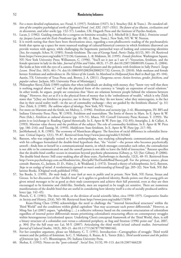- 50. For a more detailed explanation, see: Freud, S. (1957). Fetishism (1927). In J. Strachey (Ed. & Trans.). *The standard edition of the complete psychological works of Sigmund Freud. (vol. XXI, 1927–1931). The future of an illusion, civilization and its discontents, and other works* (pp. 152–57). London, UK: Hogarth Press and the Institute of Psycho-Analysis.
- 51. Lacan, J. (1982). Guiding remarks for a congress on feminine sexuality. In J. Mitchell & J. Rose (Eds.). *Feminine sexuality: Jacques Lacan and the École Freudienne* (pp. 86−98). (J. Rose, Trans.). New York, NY: W. W. Norton.
- 52. It is worth noting that there have been theorizations since, regarding a non-phallocentric reading of the psychoanalytic fetish that opens up a space for more nuanced readings of cultural/historical contexts in which fetishistic disavowal can provide women with agency, while challenging the hegemonic patriarchal ways of looking and constructing identities [See, for example, Schor, N. (1985). Female fetishism: The case of George Sand. *Poetics Today*, 6(1/2), 301–10. Retrieved from https://www.jstor.org/stable/1772136; Gamman, L. & Makinen, M. (1995). *Female fetishism*. Washington Square, NY: New York University Press; Williamson, C. (1996). "You'll see it just as I saw it": Voyeurism, fetishism, and the female spectator in lady in the lake. *Journal of Film and Video*, 48(3), 17–29. doi:10.2307/20688109; Guano, E. (2004). She looks at him with the eyes of a camera: Female visual pleasures and the polemic with fetishism in Sally Potter's *Tango Lesson*. *Third Text*, 18(5), 461–74. doi:10.1080/0952882042000251732; Greven, D. (2010). Male medusas and female heroes: Fetishism and ambivalence in *The Silence of the Lambs*. In *Manhood in Hollywood from Bush to Bush* (pp. 85–104). Austin, TX: University of Texas Press; and, Brown, J. A. (2011). *Dangerous curves: Action heroines, gender, fetishism, and popular culture*. Jackson, MS: University Press of Mississippi.]
- 53. Philosopher Slavoj Žižek (1989) explains that when individuals are dealing with money, they "know very well that there is nothing magical about it," and that the physical form of the currency is "simply an expression of social relations." In other words, he argues, people are conscious that "there are relations between people behind the relations between things." However, they *act* as if it is the physical form of money that is the 'embodiment of wealth," which is why Žižek states that "[t]hey are fetishists in practice, not in theory. What they 'do not know,' what they misrecognize, is the fact that in their social reality itself—in the act of commodity exchange—they are guided by the fetishistic illusion" (p. 31) [See: Žižek, S. (1989). *The sublime object of ideology*. New York, NY: Verso].
- 54. For more on Marxism and the fetish, see Mulvey, L. (1996). *Fetishism and curiosity* (pp. 2–6). Bloomington, IN: BFI and Indiana University Press; Pietz, W. (1993). Fetishism and materialism: The limits of theory in Marx. In E. Apter & W. Pietz (Eds.), *Fetishism as cultural discourse* (pp. 119–51). Ithaca, NY: Cornell University Press; Keenan, T. (1993). The point is to (ex)change it: Reading *Capital* rhetorically. In E. Apter & W. Pietz (pp. 152–85); Amariglio, J. & Callari, A. (1993). Marxian value theory and the problem of the subject: The role of commodity fetishism. In E. Apter & W. Pietz (pp. 186–216); and Taussig, M. (1993). *Maleficium*: State fetishism. In E. Apter & W. Pietz (pp. 217–50).
- 55. JanMohamed, A. R. (1985). The economy of Manichean allegory: The function of racial difference in colonialist literature. *Critical Inquiry*, 12(1), 59–87. Retrieved from http://www.jstor.org/stable/1343462
- 56. Bateson, who was originally trained to be an anthropologist, was studying schizophrenic communication, and along with his colleagues formulated the double-bind hypothesis that, "the "victim"—the person who becomes psychotically unwell—finds him or herself in a communicational matrix, in which messages contradict each other, the contradiction is not able to be communicated on and the unwell person is not able to leave the field of interaction." Bateson specifies that the double-bind conflict occurs in situations beyond psychotic phenomena (Gibney, p. 52) [See: Gibney, P. (2006). The double bind theory: Still crazy-making after all these years. *Psychotherapy in Australia*, 12(3), 48–55. Retrieved from http://www.psychotherapy.com.au/fileadmin/site\_files/pdfs/TheDoubleBindTheory.pdf. For the primary source, please consult: Bateson, G., Jackson, D. D., Haley, J., & Weakland, J. (1972). Toward a theory of schizophrenia. In G. Bateson, *Steps to an ecology of mind: A revolutionary approach to man's understanding of himself* (pp. 205–32). New York, NY: Ballantine Books. (Original work published 1956).
- 57. See Bordo, S. (1999). *The male body: A new look at men in public and in private.* New York, NY: Farrar, Straus and Giroux. In her discussion of the "double-bind" as it applies to gendered identity, Bordo points out that young girls are given mixed messages to be as good as their male counterparts and achieve their full potential, even as they are then encouraged to be feminine and child-like. Similarly, men are required to be tough yet sensitive. There are numerous manifestations of the double bind that are useful in considering how identity itself is a site of socially produced ambivalence (pp. 142–45).
- 58. Pletsch, C. E. (1981). The three worlds, or the division of social scientific labor, circa 1950–1975. *Comparative Studies in Society and History*, 23(4), 565–90. Retrieved from http://www.jstor.org/stable/178394 Kuan-Hsing Chen (1996) acknowledges the need to challenge the "'internal hierarchical structures' within the Third World" and the conditions within global capitalism "that may accentuate such power differentials." However, as Ming-Yan Lai (2007) argues, "upholding […] a collective reference based on the common structuration of colonialism regardless of internal power differentials means prioritizing colonialism's structuring effects on contemporary struggles within heterogeneous (ex)colonized spaces. Underlying Chen's conceptual framework of the Third World, then, is still a binary structure of a colonialist core versus a colonized periphery, as Ang and Stratton (1996) point out" (Lai, 2007, p. 304) [For the full essay see: Lai, M-Y. (2007). Articulating the third world in/and cultural studies. *International Journal of Cultural Studies*, 10(3), 303–21. doi:10.1177/1367877907080146].
- 59. For her complete argument, please see Mohanty, C. T. (1991). Introduction—Cartographies of struggle: Third world women and the politics of feminism. In C. T. Mohanty, A. Russo, & L. Torres (Eds.), *Third world women and the politics of feminism* (pp. 1–47). Bloomington, IN: Indiana University Press.
- 60. Shohat, E. (1992). Notes on the "post-colonial". *Social Text*, 31/32, 99–113. doi:10.2307/466220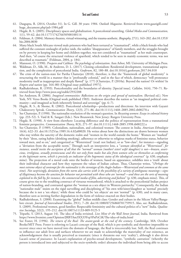- 61. Dasgupta, R. (2014, October 31). In G. Gill. 30 years: 1984. *Outlook Magazine*. Retrieved from www.gaurigill.com/ huge\_document.php?pd=1984.pdf
- 62. Hegde, R. S. (2005). Disciplinary spaces and globalization: A postcolonial unsettling. *Global Media and Communication*, 1(1), 59–62. doi:10.1177/174276650500100114
- 63. Feldman, A. (2004). Memory theatres, virtual witnessing, and the trauma-aesthetic. *Biography*, 27(1), 163–202. doi:10.1353/ bio.2004.0030
- 64. Many black South Africans viewed male prisoners who had been tortured as "traumatized", while a black female who had suffered the constant onslaught of police raids, the sudden "disappearance" of family members, and the struggles brought on by poverty in keeping her home and children together, was not considered as "traumatized" as her male counterpart. And then, "of course the structural violence of apartheid, which tended to be seen in mainly economic terms, was not described as traumatic" (Feldman, 2004, p. 184).
- 65. Mannoni, O. (1990). *Prospero and Caliban: The psychology of colonization*. Ann Arbor, MI: University of Michigan Press.
- 66. Waldman, D., Silk, M., & Andrews, D. L. (2017). Cloning colonialism: Residential development, transnational aspiration, and the complexities of postcolonial India. *Geoforum*, 82, 180–88. doi:10.1016/j.geoforum.2017.04.018
- 67. The crisis of the nation-state for Partha Chatterjee (2010), therefore, is that the "framework of global modernity" is structuring the world in a manner that is "profoundly colonial," and in the face of which, democracy "will pronounce modernity itself as inappropriate and deeply flawed" (p. 177) [Chatterjee, P. (2010a). Beyond the nation? Or within? In *Empire and nation* (pp. 164–80) (Original essay published 1997)].
- 68. Radhakrishnan, R. (1993). Postcoloniality and the boundaries of identity. [Special issue]. *Callaloo*, 16(4), 750–71. Retrieved from http://www.jstor.org/stable/2932208
- 69. See Anderson, B. (2006). *Imagined communities: Reflections on the origin and spread of nationalism*. (Revised ed.). New York, NY: Verso Books (Original work published 1983). Anderson describes the nation as "an imagined political community—and imagined as both inherently limited and sovereign" (pp. 6–7).
- 70. Hegde, R. S., & Shome, R. (2002). Postcolonial scholarship—productions and directions: An interview with Gayatri Chakravorty Spivak. *Communication Theory*, 12(3), 271–86. doi:10.1111/j.1468–2885.2002.tb00270.x
- 71. See Chatterjee, P. (1990). The nationalist resolution of the woman's question. In *Recasting women: Essays in colonial history* (pp. 233–52). S. Vaid & K. Sangari (Eds.). New Brunswick: New Jersey: Rutgers University Press.
- 72. Hegde, R. (1998). A view from elsewhere: Locating difference and the politics of representation from a transnational feminist perspective. *Communication Theory*, 8(3), 271–97. doi:10.1111/j.1468-2885.1998.tb00222.x
- 73. See Chatterjee, P. (1989). Colonialism, nationalism, and colonized women: The contest in India. *American Ethnologist* 16(4), 622–33. doi:10.1525/ae.1989.16.4.02a00020. He writes about how the distinctions are drawn between women who stay within the sanctity of the domestic realm and "women in the world outside the home." Women are "marked" by their "dress, eating habits (drinking smoking), adherence or otherwise to religious marks of feminine status, behavior toward men, and so on," and categorized as "Westernized" (read: not Indian), or as "low-class", for instance—signaling a "deviation from the acceptable norm." Through such an interpretive lens, a "*woman identified as "Westernized", for instance, would invite the ascription of all that the "normal" woman (mother/ sister/ wife/ daughter) is not*—*brazen, avaricious, irreligious, sexually promiscuous and this not only from males but also from women who see themselves as conforming to the legitimate norm, which is precisely an indicator of the hegemonic status of the ideological construct*" (p. 630, emphasis mine). The projection of a moral code onto the bodies of women, based on appearance, solidifies into a 'truth' about their individual character and how they represent the values of Indian culture. Thus, Chatterjee writes, "(*Perhaps the most extreme object of contempt for the nationalist is the stereotype of the Anglo-Indian—Westernized and common at the same time*)*. Not surprisingly, deviation from the norm also carries with it the possibility of a variety of ambiguous meanings—signs of illegitimacy become the sanction for behavior not permitted with those who are 'normal*'—*and these are the sorts of meaning exploited to the full by, for instance, the commercial media of film, advertising and fashion*" (p. 630, emphasis mine). This, of course gives rise to the troubling construct of virtuous womanhood, which is attached to the postcolonial Indian project of nation-branding, and contrasted against the "woman as a sex object in Western patriarchy." Consequently, the Indian "nationalist male" insists on the rigid surveilling and disciplining of "his own wife/sister/daughter as 'normal' precisely because she is not a 'sex object,' while those who could be 'sex objects' are not 'normal'" (p. 630), and in many cases, therefore seen as inviting further degradation in the form of violence enacted on their bodies.
- 74. Radhakrishnan, S. (2008). Examining the "global" Indian middle class: Gender and culture in the Silicon Valley/Bangalore circuit. *Journal of Intercultural Studies*, 29(1), 7–20. doi:10.1080/07256860701759915. Also, see: Radhakrishnan, S. (2009). Professional women, good families: Respectable femininity and the cultural politics of a "new" India. *Qualitative Sociology*, 32(2), 195–212. doi:10.1007/s11133-009-9125-5
- 75. Tripathi, S. (2013, August 14). The idea of India revisited. *Live Mint & the Wall Street Journal*, India. Retrieved from https://www.livemint.com/Opinion/JRBTAm3XX33Yvp5PnPzCiK/The-idea-of-india.html
- 76. See Foster, H. (1996). *The return of the Real: The avant-garde at the end of the century*. Cambridge, MA: October Books/MIT Press. Foster is referring to Lacan's concept of the Real, which is pre-symbolic and therefore impossible to recover since once we have moved into the domain of language, the Real is irrecoverably lost. Still, the Real continues to influence our adult lives and surfaces whenever we are made to acknowledge the materiality of our existence, an acknowledgement that is usually perceived as traumatic (since it threatens our very 'reality'), although it also drives Lacan's sense of *jouissance*. In Lacan's explanation of psycho-sexual development, "symbolic castration" (whereby the person is introduced into and subjected to the socio-symbolic order) alienates the individual from being able to access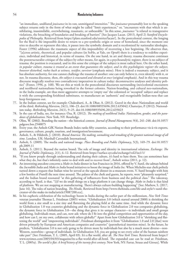"an immediate, undiluted *jouissance* in its raw, unmitigated intensities." The *jouissance* presumably lost to the speaking subject returns only in the form of what might be called "limit experiences," or, "encounters with that which is annihilating, inassimilable, overwhelming, traumatic, or unbearable." In this sense, *jouissance* "is related to transgressive violations, the breaching of boundaries and breaking of barriers" [See Jacques Lacan. (2013, April 2) *Stanford Encyclopedia of Philosophy*. Retrieved from https://plato.stanford.edu/entries/lacan/]. In the postcolonial context, the longing for the Real is the impossible desire to return to a pre-symbolic origin or sense of homeland, since the moment one tries to describe or represent this idea, it passes into the symbolic domain and is recolonized by nationalist ideologies. Foster (1996) addresses the traumatic aspect of this impossibility of recovering a lost beginning. He observes that, "[a]cross artistic, theoretical, and popular cultures (in SoHo, at Yale, on *Oprah*) there is a tendency to redefine experience, individual and historical, in terms of trauma. On the one hand, in art and theory, trauma discourse continues the poststructuralist critique of the subject by other means, for again, in a psychoanalytic register, there is no subject of trauma; the position is evacuated, and in this sense the critique of the subject is most radical here. On the other hand, *in popular culture, trauma is treated as an event that guarantees the subject, and in this psychologistic register the subject, however disturbed, rushes back as witness, testifier, survivor* (emphasis mine). Here is indeed a traumatic subject, and it has absolute authority, for one cannot challenge the trauma of another: one can only believe it, even identify with it, or not. In trauma discourse, then, *the subject is evacuated and elevated at once* (original emphasis). And in this way trauma discourse magically resolves two contradictory imperatives in culture today: deconstructive analyses and identity politics" (Foster, 1996, p. 168). We see this at work in the postcolonial discourses surrounding (neo)colonial encounters and neoliberal nationalisms being reworked in the former colonies. Nation-branding, and cultural neo-nationalism, in the India example, are thus more aggressive attempts to 'empty out' the colonized or 'occupied' subject and replace it with the corresponding fetishized substitutes, to manufacture an 'authentic' and recognizable Indian-ness that can keep foreignness out.

- 77. In the Indian context, see for example: Chakrabarti, A., & Dhar, A. (2012). Gravel in the shoe: Nationalism and world of the third. *Rethinking Marxism*, 24(1), 106–23. doi:10.1080/08935696.2012.635042; Chatterjee, P. (2012). Nationalism today. *Rethinking Marxism*, 24(1), 9–25. doi:10.1080/08935696.2012.635023
- 78. In the case of India, see, for instance: Oza, R. (2012). *The making of neoliberal India: Nationalism, gender, and the paradoxes of globalization*. New York, NY: Routledge.
- 79. Olins, W. (2002). Branding the nation—the historical context. *Journal of Brand Management*, 9(4), 241−248. doi:10.1057/ palgrave.bm.2540075
- 80. Every year, the Anholt-GfK Nation Brands Index ranks fifty countries, according to their performance vis-à-vis exports, governance, culture, people, tourism, and immigration/investment.
- 81. Anholt, S., & Hildreth, J. (2010). *Brand America: The making, unmaking and remaking of the greatest national image of all time*. London, UK: Marshall Cavendish International.
- 82. Anholt, S. (2009). The media and national image. *Place Branding and Public Diplomacy*, 5(3), 169–79. doi:10.1057/ pb.2009.11
- 83. Anholt, S. (2011). Beyond the nation brand: The role of image and identity in international relations. *Exchange: The Journal of Public Diplomacy*, 2(1), 6–12. Retrieved from https://surface.syr.edu/exchange/vol2/iss1/1/
- 84. "If you know people through understanding and sharing their culture, it's hard to hate them. You can sometimes hate what they do, but that's infinitely easier to deal with and to recover from", Anholt writes (2011, p. 12).
- 85. An interesting anecdote concerns a *Make in India* dinner in San Francisco in 2016, offered by V. Sunil, the adman behind the *Incredible India* and *Make in India* brand initiatives to boost the image of *India Inc.* When Michelin-star chefs politely turned down a request that Indian wine be served at the upscale dinner-in-a-museum event, V. Sunil brought with him a few bottles of *Fratelli* the next time around. The palates of the chefs and guests, he reports, were "pleasantly surprised," and the Indian brand resonated "at this gathering of influencers from business and the political class." The takeaway, according to Sunil, is that, "[i]f we do small things on a large platform it can change things. *Make in India* is that kind of platform. We are not stopping at manufacturing. There's always culture-building happening" [See: Mathew, S. (2017, June 16). The rules of nation branding. *The Hindu*. Retrieved from http://www.thehindu.com/life-and-style/v-sunil-thecreator-of-the-make-in-india/article19087200.ece].
- 86. In his euphoric celebration of the technology boom in India during the earlier part of the millennium, *New York Times* veteran journalist Thomas L. Friedman (2005) writes, "Globalization 3.0 (which started around 2000) is shrinking the world from a size small to a size tiny and flattening the playing field at the same time. And while the dynamic force in Globalization 1.0 was countries globalizing and the dynamic force in Globalization 2.0 was companies globalizing, the dynamic force in Globalization 3.0—the thing that gives it its unique character—is individuals and small groups globalizing. Individuals must, and can, now ask: where do I fit into the global competition and opportunities of the day, and how can I, on my own, collaborate with others globally?" Apart from how Globalization 3.0 is "shrinking and flattening the world" and "empowering individuals", Friedman distinguishes it from "Globalization 1.0 and 2.0 [that] were driven primarily by European and American companies and countries" (parenthetical insertion mine). In the future, he predicts, "Globalization 3.0 is not only going to be driven more by individuals but also by a much more diverse—non-Western, nonwhite—group of individuals. In Globalization 3.0, you are going to see every color of the human rainbow take part" [See: Friedman, T. L. (2005, April 03). It's a flat world, after all. *The New York Times*. Retrieved from https:// www.nytimes.com/2005/04/03/magazine/its-a-flat-world-after-all.html. The expanded case can be read at: Friedman, T. L. (2005a). *The world is flat: A brief history of the twenty-first century*. New York, NY: Farrar, Straus and Giroux]. While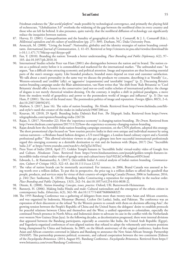Friedman endorses the "*flat-world platform*" made possible by technological convergence, and primarily the playing field of technocrats, "Globalization 3.0" overlooks the widening of the gap between the neoliberal elites in every country and those who are left far behind. It also presumes, quite naively, that the neoliberal diffusion of technology can significantly reduce the inequities between nations.

- 87. Harvey, D. (2001). Cosmopolitanism and the banality of geographical evils. In J. Comaroff, & J. L. Comaroff (Eds.), *Millennial capitalism and the culture of neoliberalism* (pp. 271−309). Durham, NC: Duke University Press.
- 88. Aronczyk, M. (2008). "Living the brand": Nationality, globality and the identity strategies of nation branding consultants. *International Journal of Communication*, 2, 41–65. Retrieved at http://citeseerx.ist.psu.edu/viewdoc/download?do i=10.1.1.471.7170&rep=rep1&type=pdf
- 89. Fan, Y. (2010). Branding the nation: Towards a better understanding. *Place Branding and Public Diplomacy*, 6(2), 97– 103. doi:10.1057/pb.2010.16
- 90. International Studies scholar Peter van Ham (2001) also distinguishes between the nation and its brand. The nation exists as a political entity before it is commodified and marketed for the international market. "The unbranded state." he argues, "has a difficult time attracting economic and political attention. Image and reputation are thus becoming essential parts of the state's strategic equity. Like branded products, branded states depend on trust and customer satisfaction. We talk about a state's personality in the same way we discuss the products we consume, describing it as 'friendly' (i.e., Western-oriented) and 'credible' (ally), or 'aggressive' (expansionist) and 'unreliable' (rogue)" (p. 2). Discussing Britain's nation branding campaign under the Blair administration, van Ham writes that "the shift from 'Rule Britannia' to 'Cool Britannia' should offer a lesson to the conservative (and not-so-cool) realist scholars of international politics: the change of slogans is not merely rhetorical window-dressing. On the contrary, it implies a shift in political paradigms, a move from the modern world of geopolitics and power to the postmodern world of images and influence" (p. 3) [See van Ham, P. (2001). The rise of the brand state: The postmodern politics of image and reputation. *Foreign Affairs*, 80(5), 2–6. doi:10.2307/20050245].
- 91. Mathew, S. (2017, June 16). The rules of nation branding. *The Hindu*. Retrieved from http://www.thehindu.com/lifeand-style/v-sunil-the-creator-of-the-make-in-india/article19087200.ece
- 92. Kesavan, M. (2018, 29 April). Branding India: Dalmia's Red Fort. *The Telegraph*, India. Retrieved from https://www. telegraphindia.com/opinion/branding-india-226726
- 93. Rajan, S. (2017, November 22). How the 'experience economy' is changing nation branding. *The Drum*. Retrieved from http://www.thedrum.com/opinion/2017/11/22/how-the-experience-economy-changing-nation-branding
- 94. Rajan details how the *Incredible India* nation-branding campaign extension, on the CNN platform, adopted this strategy. The short promotional clips focused on "how tourists perceive India in their own unique and individual manner by using various narrators—a Brisbane-based fashion designer, a US travel blogger, a London-based culinary expert and a Scottish professional golfer." This allowed television viewers to also get a glimpse into how successful international professionals regard this emerging economy as a desirable destination to visit and do business with (Rajan, 2017) [See: "Incredible !ndia 2.0" at https://www.youtube.com/watch?v=AtOgTu1MTws]
- 95. Press Trust of India (2018, April 27). Golden Temple features in 'Incredible India' virtual-reality video of Google Arts and Culture. *Hindustan Times*. Retrieved from https://www.hindustantimes.com/punjab/golden-temple-features-inincredible-india-virtual-reality-video-of-google-arts-and-culture/story-IzjxV82LkCw9hBsuucs4HN.html
- 96. Edwards, L., & Ramamurthy, A. (2017). (In)credible India? A critical analysis of India's nation branding. *Communication, Culture & Critique* 10(2), 322–43. doi:10.1111/cccr.12152
- 97. The value of nation brands can be monetarily ascertained. For instance, in 2006, Brand Canada was assessed as being worth over a trillion dollars. To put this in perspective, the price tag is a trillion dollars to afford the goodwill that people, products, and services enjoy by virtue of their country-of-origin being Canada (Penner, 2006 in Sasikumar, 2016, p. 244) [See: Sasikumar, K. (2016). Branding India: Constructing a reputation for responsibility in the nuclear order. *Place Branding and Public Diplomacy*, 13(3), 242–54. doi:10.1057/s41254-016-0038-2].
- 98. Dinnie, K. (2008). *Nation branding: Concepts, issues, practice*. Oxford, UK: Butterworth-Heinneman.
- 99. Bannerji, H. (2006). Making India Hindu and male: Cultural nationalism and the emergence of the ethnic citizen in contemporary India. *Ethnicities*, 6(3), 362–90. doi:10.1177/1468796806068325
- 100. The 1955 Bandung Conference was a gathering of delegates from more than twenty-nine Asian and African countries, and was organized by Indonesia, Myanmar (Burma), Ceylon (Sri Lanka), India, and Pakistan. The conference was an expression of their discontent at the refusal "by the Western powers to consult with them on decisions affecting Asia"; the growing tension between the People's Republic of China and the United States; the delegates' desire to establish protocols for peaceful relations between China and themselves and the West; a unified opposition to colonialism, especially the continued French presence in North Africa; and Indonesia's desire to advocate its case in the conflict with the Netherlands over western New Guinea (Irian Jaya). In the following decades, as decolonization progressed, there were internal divisions that appeared between the Bandung participants, especially as countries like India, the United Arab Republic (Egypt), and Yugoslavia organized conferences of non-aligned nations that refused to adopt the vehemently anti-western positions being championed by China and Indonesia. In 2005, on the fiftieth anniversary of the original conference, leaders from Asian and African countries convened in Jakarta and Bandung to announce the New Asian-African Strategic Partnership (NAASP). This partnership promotes political, economic, and cultural cooperation between the two continents [Editors of the *Encyclopedia Britannica*. (2014, August 05). Bandung Conference. *Encyclopedia Britannica*. Retrieved from https:// www.britannica.com/event/Bandung-Conference].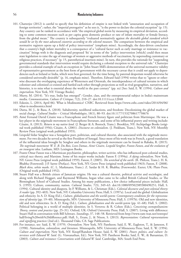- 101. Chatterjee (2012) is careful to specify that his definition of empire is not linked with "annexation and occupation of foreign territories"; rather, the "imperial prerogative" as he sees it, "is the power to declare the colonial exception" (p. 15). Any country can be ranked in accordance with "the empirical global norm by measuring its empirical deviation, according to some common measure such as per capita gross domestic product or rate of infant mortality or female literacy, from the global mean." The country is subsequently "evaluated normatively against *the desirable global standard which would be set by the most advanced countries according to the selected measure*. The comparison between the empirical and normative registers opens up a field of policy intervention" (emphasis mine). Accordingly, the data-driven conclusion that a country's high infant mortality is a consequence of a "cultural factor such as early marriage or resistance to vaccination" brings with it the diagnosis and proposed 'fix' in terms of the "policy intervention [which] could then mean state legislation to raise the age of marriage of women or aggressive methods of vaccination, by superseding customary or religious practices, if necessary" (p. 15, parenthetical insertion mine). In turn, this provides the rationale for "suspending governmental standards that intervention would require declaring a colonial exception to the universal rule." Chatterjee provides a colonial example of such an exception in "John Stuart Mill's demonstration of the universal normative validity of representative government as the best form of government with the necessary caveat that it could *not* apply to dependencies such as Ireland or India, which were best governed, for the time being, by paternal despotism would otherwise be considered universally desirable" (p. 16, emphasis mine). Therefore, Edward Said (1994) writes that to "ignore or otherwise discount the overlapping experience of Westerners and Orientals, the interdependence of cultural terrains in which colonizer and colonized co-existed and battled each other through projections as well as rival geographies, narratives, and histories, is to miss what is essential about the world in the past century" (pp. xx) [See: Said, E. W. (1994). *Culture and imperialism*. New York, NY: Vintage Books].
- 102. Murty, M. (2014). "It's true, India has emerged": Gender, class, and the entrepreneurial subject in India's mainstream media. *Communication, Culture & Critique*, 7(2), 210–27. doi:10.1111/cccr.12048
- 103. Eskesin, L. (2014, April 06). What is Modinomics? *CNBC*. Retrieved from https://www.cnbc.com/video/2014/04/06/ what-is-modinomics.html
- 104. Dutta, M. J., & Basu, A. (2018). Subalternity, neoliberal seductions, and freedom: Decolonizing the global market of social change. *Cultural Studies – Critical Methodologies*, 18(1), 80–93. doi:10.1177/1532708617750676
- 105. Aimé Fernand David Césaire was a Francophone and French literary figure and politician from Martinique. He was a key player in the négritude movement in Francophone literature, and some of his influential poetry and writing include: Césaire, A. (2013). *Return to my native land*. (J. Berger & A. Bostock, Trans.). Brooklyn, NY: Archipelago Books (original work published 1956); Césaire, A. (2001). *Discourse on colonialism*. (J. Pinkham, Trans.). New York, NY: Monthly Review Press (original work published 1955).
- 106. Léopold Sédar Senghor was a Senegalese poet, politician, and cultural theorist, also associated with the négritude movement. For two decades he served as the first President of Senegal. Since most of his work was in French, a good translation of the influential ideas brought by Senghor and others in the négritude movement can be found in Rabaka, R. (2015). *The negritude movement: W. E. B. Du Bois, Leon Damas, Aimé Césaire, Leopold Senghor, Frantz Fanon, and the evolution of an insurgent idea*. Lanham, MD: Lexington Books.
- 107. Frantz Omar Fanon was a Martinican psychiatrist, philosopher, writer-activist, who has influenced post-colonial studies, critical race theory, and Marxism. Some of his major works include: Fanon F. (1994a). *A dying colonialism*. New York, NY: Grove Press (original work published 1959); Fanon, F. (2005). *The wretched of the earth*. (R. Philcox, Trans.). H. K. Bhabha (Foreword). J-P. Sartre (Preface). New York, NY: Grove Press (original work published 1963); Fanon, F. (2008). *Black skins, white masks.* (C. L. Markmann, Trans.). Z. Sardar & H. K. Bhabha; (Forewords). Exeter, UK: Pluto Press. (Original work published 1952).
- 108. Stuart Hall was a British citizen of Jamaican origins. He was a cultural theorist, political activist and sociologist, and along with Richard Hoggart, and Raymond Williams, began what came to be called British Cultural Studies, or The Birmingham School of Cultural Studies. Among his many publications, a few choice influential pieces include: Hall, S. (1993). Culture, community, nation. *Cultural Studies*, 7(3), 349–63. doi:10.1080/09502389300490251; Hall, S. (1994). Cultural identity and diaspora. In P. Williams, & L. Chrisman (Eds.), *Colonial discourse and post-colonial theory: A reader* (pp. 392–403). New York, NY: Columbia University Press; Hall, S. (1997a). Local and the global: Globalization and ethnicity. In A. D. King (Ed.), *Culture, globalization and the world-system: Contemporary conditions for the representation of identity* (pp. 19–40). Minneapolis, MN: University of Minnesota Press; Hall, S. (1997b). Old and new identities, old and new ethnicities. In A. D. King (Ed.), *Culture, globalization and the world-system* (pp. 41–68); Hall, S. (2002). Political belonging in a world of multiple identities. In S. Vertovec & R. Cohen (Eds.), *Conceiving cosmopolitanism: Theory, context and practice* (pp. 25–31). Oxford, UK: Oxford University Press; Hall, S. (2007). Living with difference: Stuart Hall in conversation with Bill Schwarz. *Soundings*, 37, 148–58. Retrieved from http://www.ram-wan.net/restrepo/ hall/living%20with%20difference.pdf; Hall, S., Evans, J., & Nixon, S. (2013). *Representation: Cultural representations and signifying practices* (2nd ed.). Thousand Oaks, CA: Sage Publications.
- 109. For instance, see: Said, E. W. (1979). *Orientalism*. New York, NY: Pantheon; Said, E. W., Eagleton, T., & Jameson, F. (1990). *Nationalism, colonialism, and literature*. Minneapolis, MN: University of Minnesota Press; Said, E. W. (1994). *Culture and imperialism*. New York, NY: Knopf/Random House; Said, E. W. (2001). *Power, politics, and culture: Interviews with Edward W. Said*. (G. Viswanathan, Ed.). New York, NY: Pantheon Books; Said, E. W., & Barsamian, D. (2003). *Culture and resistance: Conversations with Edward W. Said*. Cambridge, MA: South End Press.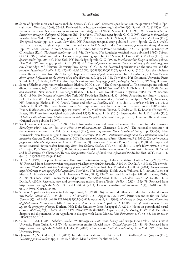- 110. Some of Spivak's most cited works include: Spivak, G. C. (1985). Scattered speculations on the question of value [Special issue]. *Diacritics*, 15(4), 73–93. Retrieved from http://www.jstor.org/stable/464935; Spivak, G. C. (1985a). Can the subaltern speak? Speculations on widow sacrifice. *Wedge* 7/8, 120–30; Spivak, G. C. (1990). *The Post-colonial critic: Interviews, strategies, dialogues*, (S. Harasym Ed.). New York, NY: Routledge; Spivak, G. C. (1993). *Outside in the teaching machine*. New York, NY: Routledge; Spivak, G. C. (1996a). Echo. In G. C. Spivak, D. Landry, & G. MacLean (Eds.), *The Spivak reader* (pp. 175–202). New York, NY: Routledge (original essay published 1993); Spivak, G. C. (1996b). Poststructuralism, marginality, postcoloniality and value. In P. Mongia (Ed.), *Contemporary postcolonial theory: A reader* (pp. 198–222). London: Arnold; Spivak, G. C. (1996c). More on Power/Knowledge. In G. C. Spivak, D. Landry, & G. Maclean (Eds.), *The Spivak reader* (pp. 141–74). New York, NY: Routledge (original work published 1992); Spivak, G. C. (1996d). Subaltern studies: Deconstructing historiography. In G. C. Spivak, D. Landry, & G. Maclean (Eds.), *The Spivak reader* (pp. 203–36), New York, NY: Routledge; Spivak, G. C. (1998). *In other worlds: Essays in cultural politics*. New York, NY: Routledge; Spivak, G. C. (1999). *A Critique of postcolonial reason: Toward a history of the vanishing present*. Cambridge, MA: Harvard University Press; Spivak, G. C. (2005). Scattered speculations on the subaltern and the popular. *Postcolonial Studies*, 8(4), 475–86. doi:10.1080/13688790500375132; Spivak, G. C. (2010). Can the subaltern speak? Revised edition from the "History" chapter of *Critique of postcolonial reason*. In R. C. Morris (Ed.), *Can the subaltern speak*? *Reflections on the history of an idea* (Revised ed.). (pp. 21–78). New York, NY: Columbia University Press; Spivak, G. C., & Butler, J. (2011). *Who sings the nation-state?: Language, politics, belonging*. New York, NY: Seagull Books.
- 111. Some of Bhabha's important works include: Bhabha, H. K. (1983). "The Other question"… The stereotype and colonial discourse. *Screen*, 24(6), 18–36. Retrieved from https://doi.org/10.1093/screen/24.6.18; Bhabha, H. K. (1990). *Nation and narration*. New York, NY: Routledge; Bhabha, H. K. (1992). Double visions. *Artforum*, 30(5), 85–89; Bhabha, H. K. (1994). *The location of culture*. New York, NY: Routledge; Bhabha, H. K. (1996); Unpacking my library … again. In I. Chambers & L. Curtis (Eds.), *The post–colonial question: Common skies, divided horizons* (pp. 199–211). New York, NY: Routledge; Bhabha, H. K. (2002). Terror and after … *Parallax*, 8(1), 3–4. doi:10.1080/13534640110119579; Bhabha, H. K. (2008). Remembering Fanon: Self, psyche and the colonial condition. Foreword to the 1986 edition. Fanon, F. *Black skins, white masks* (pp. xxi–xxxvii). (C. L. Markmann, Trans.). Z. Sardar & H. K. Bhabha (Forewords). Exeter, UK: Pluto Press. (Original work published 1952); Bhabha, H. K. (2015). Introduction. In H. K. Bhabha (Ed.), *Debating cultural hybridity: Multi-cultural identities and the politics of anti-racism* (pp. ix−xiii). London, UK: Zed Books. (Original work published 1997).
- 112. See, for example, Chatterjee, P. (1989). Colonialism, nationalism, and colonized women: The contest in India. *American Ethnologist* 16(4), 622–33. doi:10.1525/ae.1989.16.4.02a00020; Chatterjee, P. (1990). The nationalist resolution of the woman's question. In S. Vaid & K. Sangari (Eds.), *Recasting women: Essays in colonial history* (pp. 233–52). New Brunswick: New Jersey: Rutgers University Press; Chatterjee, P. (1993). *Nationalist thought and the postcolonial world: A derivative discourse* (2nd ed.). Minneapolis, MN: University of Minnesota Press; Chatterjee, P. (1993b). *The nation and its fragments: Colonial and postcolonial histories*. Princeton, NJ: Princeton University Press; Chatterjee, P. (2005). Empire and nation revisited: 50 years after Bandung. *Inter-Asia Cultural Studies*, 6(4), 487–96. doi:10.1080/14649370500316752; Chatterjee, P., & Sanyal, K. (2016). Rethinking postcolonial capitalist development: A conversation between K. Sanyal and P. Chatterjee. (P. Chatterjee, Trans.). *Comparative Studies of South Asia, Africa and the Middle East*, 36(1), 102–111. doi:10.1215/1089201X-3482147
- 113. Dirlik, A. (1994). The postcolonial aura: Third world criticism in the age of global capitalism. *Critical Inquiry* 20(2), 328– 56. Retrieved from http://www.jstor.org.ezproxy1.allegheny.edu:2048/stable/1343914; Dirlik, A. (1998a). *The postcolonial aura: Third world criticism in the age of global capitalism*. New York, NY: Routledge; Dirlik, A. (2001). *Global modernity: Modernity in the age of global capitalism*. New York, NY: Routledge; Dirlik, A., & Williams, J. J. (2002). A sense of history: An interview with Arif Dirlik. *Minnesota Review*, 58 (1), 79–92. Retrieved from Project MUSE database; Dirlik, A. (2007). Global south: Predicament and promise. *The Global South*, 1(1), 12–23. doi:10.2979/GSO.2007.1.1.12; Dirlik, A. (2008). Race talk, race, and contemporary racism. [Special Topic]. *PMLA*, 123(5), 1363–79. Retrieved from http://www.jstor.org/stable/25501941; and Dirlik, A. (2014). Developmentalism. *Interventions*, 16(1), 30–48. doi:10.1 080/1369801X.2012.735807
- 114. Some of Appadurai's key works include: Appadurai, A. (1990). Disjuncture and difference in the global cultural economy. *Public Culture*, 2(2), 1–24. doi:10.1215/08992363-2-2-1; Appadurai, A. (1993). Patriotism and its futures. *Public Culture*, 5(3), 411–29. doi:10.1215/08992363-5-3-411; Appadurai, A. (1996). *Modernity at large: Cultural dimensions of globalization.* Minneapolis, MN: University of Minnesota Press; Appadurai, A. (2006). *Fear of small numbers: An essay on the geography of anger*. Durham, NC: Duke University Press; Rajagopal, A. (2011). Notes on postcolonial visual culture. *BioScope,* 2(1), 11–22. doi:10.1177/097492761000200103; Appadurai, A., & Morley, D. (2011a). Decoding diaspora and disjuncture: Arjun Appadurai in dialogue with David Morley. *New Formations*, (73), 43−55. doi:10.3898/ NEWF.73.03.2011
- 115. Guha, R. (Ed.). (1984). *Subaltern studies III: Writings on south Asian history and society*. New Delhi, India: Oxford University Press; Guha, R. (1997). Not at home in empire [Special issue]. *Critical Inquiry*, 23, 488–93. Retrieved from http://www.jstor.org/stable/1344031; Guha, R. (2002). *History at the limit of world-history*. New York, NY: Columbia University Press.
- 116. Quayson, A., & Goldberg, D. T. (2002). Introduction: Scale and sensibility. In D. T. Goldberg & A. Quayson (Eds.), *Relocating postcolonialism* (pp. xi−xxiii). Malden, MA: Blackwell Publishers Ltd.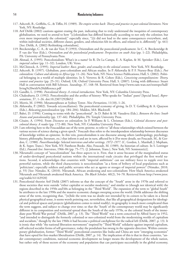- 117. Ashcroft, B., Griffiths, G., & Tiffin, H. (1989). *The empire writes back: Theory and practice in post-colonial literatures*. New York, NY: Routledge.
- 118. Arif Dirlik (2002) cautions against erasing the past, indicating that to truly understand the inequities of contemporary globalization, we need to attend to how "[c]olonialism has differed historically according to not only the colonizer, but even more importantly the colonized," especially since, "[i]t did not lead to the same consequences everywhere, and, within individual societies, different classes, genders, and ethnicities felt its effects, and related to it, differently" (p. 441) [See: Dirlik, A. (2002) Rethinking colonialism].
- 119. Breckenridge, C. A., & van der Veer, P. (1993). Orientalism and the postcolonial predicament. In C. A. Breckenridge & P. van der Veer (Eds.), *Orientalism and the postcolonial predicament: Perspectives on south Asia* (pp. 1–22). Philadelphia, PA: University of Pennsylvania Press.
- 120. Ahmad, A. (1995). Postcolonialism: What's in a name? In R. De La Campa, E. A. Kaplan, & M. Sprinker (Eds.), *Late imperial culture* (pp. 11–32). London, UK: Verso.
- 121. McClintock, A. (1995). *Imperial leather: Race, gender, and sexuality in the colonial context*. New York, NY: Routledge.
- 122. Ashcroft, B. (1997). Globalism, post-colonialism and African studies. In P. Ahluwalia & P. F. Nursey-Bray (Eds.), *Post colonialism: Culture and identity in Africa* (pp. 11–26). New York, NY: Nova Science Publications; Hall, S. (2002). Political belonging in a world of multiple identities. In S. Vertovec & R. Cohen (Eds.), *Conceiving cosmopolitanism: Theory, context and practice* (pp. 25–31). Oxford, UK: Oxford University Press; Hall, S. (2007). Living with difference: Stuart Hall in conversation with Bill Schwarz. *Soundings*, 37, 148–58. Retrieved from http://www.ram-wan.net/restrepo/hall/ living%20with%20difference.pdf
- 123. Gandhi, L. (1998). *Postcolonial theory: A critical introduction*. New York, NY: Columbia University Press.
- 124. Chakrabarty, D. (1992). Postcoloniality and the artifice of history: Who speaks for "Indian" pasts? [Special Issue]. *Representations*, 37, 1–26. doi:10.2307/2928652
- 125. Morris, M. (1990). Metamorphoses at Sydney Tower. *New Formations*, 11(10), 1–26.
- 126. Ahluwalia, P. (2002). Towards re(conciliation): The postcolonial economy of giving. In D. T. Goldberg & A. Quayson (Eds.), *Relocating postcolonialism* (pp. 184–204). Malden, MA: Blackwell.
- 127. Bahri, D. (1996). Coming to terms with the "postcolonial". In D. Bahri & M. Vasudeva (Eds.), *Between the lines: South Asians and postcoloniality* (pp. 137–66). Philadelphia, PA: Temple University Press.
- 128. Césaire, A. (1994). From *Discourse on colonialism*. In P. Williams & L. Chrisman (Eds.), *Colonial discourse and postcolonial theory: A reader* (pp. 172–80). New York, NY: Columbia University Press.
- 129. I am referring here to the Foucauldian use of the term *episteme*, to refer to "all those relationships which existed between the various sectors of science during a given epoch." Foucault thus refers to the interdependent relationship between discourses of knowledge within an episteme. In this vein, postcolonialism is one discourse among others (anthropology, psychology, history, philosophy, literature, etc.) that inform it and are in turn, affected by it [For more details, see Foucault, M., & Gordon, C. (1980). *Power/knowledge: Selected interviews and other writings, 1972*−*1977*. (C. Gordon, L. Marshall, J. Mepham, & K. Soper, Trans.). New York, NY: Pantheon Books. Also, Foucault, M. (1989). An historian of culture. In S. Lotringer (Ed.), *Foucault live: Interviews*, 1966−84 (pp. 75–77). (J. Johnston, Trans.), New York, NY: Semiotext(e)].
- 130. Nkrumah's concept of "neocolonialism" has three aspects to it. First, that it arose because of the marginalized status of under-developed postcolonial nations within the international trade circuits that privileged the first world nations. Second, it acknowledges that countries with "imperial ambitions" can use military force to topple over less powerful nations, while the third characteristic is neocolonialism "as a form of bribery of local populations such as 'politicians'; especially soldiers and public servants who act as agents or stooges of imperial powers" (Nimako, 2010, p. 55) [See: Nimako, K. (2010). Nkrumah, African awakening and neo-colonialism: How black America awakened Nkrumah and Nkrumah awakened black America. *The Black Scholar*, 40(2), 54–70. Retrieved from http://www.jstor. org/stable/41163920]
- 131. Postcolonial theorist Arif Dirlik (2007) informs us that the concept of the "South" arose in the 1970s and referred to those societies that were outside "either capitalist or socialist modernity," and similar to (though not identical with) the regions described in the 1950s and'60s as belonging in the "Third World". The expansion of the term to "global South" he attributes to the late 1990s and the massive economic changes sweeping across the world. Dirlik addresses the shifting sense of the term, recognizing that, "[w]hile the term was no doubt not intended by its coiners to be taken in a literal physical geographical sense, it seems worth pointing out, nevertheless, that like all geographical designations for ideological and political spaces and projects (globalization comes to mind readily), its geography is much more complicated than the term suggests, and subject to change over time; so that the 'South' of the contemporary world may be significantly different in its composition and territorial spread than the South of the early 1970s, or the colonial South of the immediate post-World War period" (Dirlik, 2007, p. 13). The "Third World" was a term conceived by Alfred Sauvy in 1952, "and intended to distinguish the formerly colonized or neo-colonized world from the modernizing worlds of capitalism and socialism," though by the late 1960s it had become a political catchphrase for the radical left (Dirlik, 2007, p. 13). It is ironic that while "the national liberation movements" inspired by "Third World" solidarity against imperial capitalism, self-selected socialist forms of self-governance, today the pendulum has swung in the opposite direction. Within contemporary globalization, former "Third World" postcolonial countries like India and China are now "emerging economies" that have opted for free-market liberalization (Dirlik, 2007, p. 14). The implication of this is that in these countries, "under contemporary conditions, national economic development no longer means the development of the whole nation, but rather only of those sectors of the economy and population that can participate successfully in the global economy,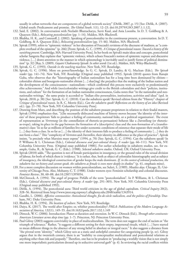usually in urban networks that are components of a global network society" (Dirlik, 2007, p. 15) [See: Dirlik, A. (2007). Global south: Predicament and promise. *The Global South*, 1(1), 12–23. doi:10.2979/GSO.2007.1.1.12].

- 132. Said, E. (2002). In conversation with Neeladri Bhattacharya, Suvir Kaul, and Ania Loomba. In D. T. Goldberg & A. Quayson (Eds.), *Relocating postcolonialism* (pp. 1–14). Malden, MA: Blackwell.
- 133. Bhabha, H. K., and Comraoff, J. (2002). Speaking of postcoloniality in the continuous present, a conversation. In D. T. Goldberg, & A. Quayson (Eds.), *Relocating postcolonialism* (pp. 15–46). Malden, MA: Blackwell.
- 134. Spivak (1999), refers to "epistemic violence" in her discussion of Foucault's revisions of the discourse of madness, as "a complete overhaul of the episteme" (p. 266) [From: Spivak, G. C. (1999). *A Critique of postcolonial reason: Toward a history of the vanishing present*. Cambridge, MA: Harvard University Press]. In her book on Spivak's main ideas and concepts, postcolonial scholar Sangeeta Ray explains that "epistemic violence, which echoes Foucault's notion of epistemic rupture and discursive violence, […] draws attention to the manner in which epistemology is inevitably used to justify forms of political domination" (p. 32) [Ray, S. (2009). *Gayatri Chakravorty Spivak: In other words* (1st ed.). Malden, MA: Wiley-Blackwell].
- 135. Spivak, G. C. (1993). *Outside in the teaching machine*. New York, NY: Routledge.
- 136. Spivak, G. C. (1996). More on power/knowledge. In G. C. Spivak, D. Landry, & G. Maclean (Eds.), *The Spivak reader* (pp. 141–74). New York, NY: Routledge (Original essay published 1992). Spivak (2010) quotes from Ranajit Guha, who observes that the "historiography of Indian nationalism has for a long time been dominated by elitism colonialist elitism and bourgeois-nationalist elitism […] shar[ing] the prejudice that the making of the Indian nation and the development of the consciousness—nationalism—which confirmed this process were exclusively or predominantly elite achievements." And while (neo)colonialist writings give credit to the British colonialists and their "policies, institutions, and culture" for the formation of an Indian nationalist consciousness, Guha notes that "in the nationalist and neonationalist writings," the same praise is accorded to "Indian elite personalities, institutions, activities and ideas" (qtd. in Spivak, 2010, p. 38) [See: Spivak, G. C. (2010). Can the subaltern speak? Revised edition from the "History" chapter of *Critique of postcolonial reason*. In R. C. Morris (Ed.), *Can the subaltern speak? Reflections on the history of an idea* (Revised ed.). (pp. 21–78). New York, NY: Columbia University Press].
- 137. Drawing from Marx, and describing the position of the subaltern peasant proprietors in relation to their feudal masters, Spivak (1994) emphasizes that, "[t]he necessarily dislocated machine of history moves because 'the identity of the interests' of these proprietors 'fails to produce a feeling of community, national links, or a political organization'. The event of representation as *Vertretung* (in the constellation of rhetoric-as-persuasion) behaves like a *Darstellung* (or rhetoricas-trope), taking its place in the gap between the formation of a (descriptive) class and the non-formation of a (transformative) class: 'In so far as millions of families live under economic conditions of existence that separate their mode of life […] they form a class. In so far as […] the identity of their interests fails to produce a feeling of community […] they do not form a class'." This "complicity of *Vertreten* and *Darstellen*, their identity-in-difference as the place of practice", Spivak insists, "is precisely what Marxists must expose" (1994, p. 70) [See: Spivak, G. C. (1994). Can the subaltern speak? In P. Williams & L. Chrisman (Eds.), *Colonial discourse and post-colonial theory: A reader* (pp. 66–111). New York, NY: Columbia University Press. (Original essay published 1988)]. For earlier scholarship in subaltern studies, see, for example, Guha, R., & Spivak, G. C. (Eds.). (1988). *Selected subaltern studies*. Oxford, UK: Oxford University Press.
- 138. Spivak (2010) adds, "The question is not of female participation in insurgency, or the ground rules of the sexual division of labour, for both of which there is 'evidence.' It is rather, that, both as object of colonialist historiography and as subject of insurgency, the ideological construction of gender keeps the male dominant. *If, in the contest of colonial production, the subaltern has no history and cannot speak, the subaltern as female is even more deeply in shadow*" (p. 41, emphasis mine).
- 139. For a more complete discussion on women within postcolonialism, see Suleri, S. (1989). *Meatless days.* Chicago, IL: University of Chicago Press. Also, Mohanty, C. T. (1988). Under western eyes: Feminist scholarship and colonial discourses. *Feminist Review*, 30, 60–88. doi:10.2307/1395054.
- 140. McClintock, A. (1994). The angel of progress: Pitfalls of the term "postcolonialism". In P. Williams, & L. Chrisman (Eds.), *Colonial discourse and post-colonial theory: A reader* (pp. 291–305). New York, NY: Columbia University Press (Original essay published 1992).
- 141. Dirlik, A. (1994). The postcolonial aura: Third world criticism in the age of global capitalism. *Critical Inquiry* 20(2), 328–56. Retrieved from http://www.jstor.org.ezproxy1.allegheny.edu:2048/stable/1343914.
- 142. Gandhi, L. (2006). *Affective communities: Anticolonial thought, fin-de-siècle radicalism, and the politics of friendship*. Durham, NC: Duke University Press.
- 143. Bhabha, H. K. (1994). *The location of culture*. New York, NY: Routledge.
- 144. Daiya, K. (2017). The world after Empire; or, whither postcoloniality? *PMLA: Publications of the Modern Language Association of America*, 132(1), 149−55. doi:10.1632/pmla.2017.132.1.149
- 145. Dimock, W. C. (2006). Introduction: Planet as duration and extension. In W. C. Dimock (Ed.), *Through other continents: American Literature across deep time* (pp. 1−7). Princeton, NJ: Princeton University Press.
- 146. Paul Gilroy (2003) suggests conviviality in place of multiculturalism. The term does not suggest the end of racism or "the triumph of tolerance." Rather, "it suggests a different setting for their empty, impersonal rituals, which […] have started to mean different things in the absence of any strong belief in absolute or integral races." It also suggests a distance from "the pivotal term 'identity,'" which Gilroy sees as a static and unhelpful container for categorizing people (p. xv). Gilroy argues that in the twentieth century, there is an "inability to conceptualize multicultural and postcolonial relations as anything other than risk and jeopardy." Therefore, one has to be prudent in "producing a worldly vision that is not simply one more imperialistic particularism dressed up in seductive universal garb" (p. 4). In reviewing the racial conflicts within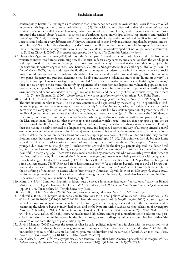contemporary Britain, Gilroy urges us to consider that "dominance can carry its own wounds, even if they are veiled in colonial privilege and postcolonial melancholia" (p. 52). He revisits Fanon's observation that "the colonizer's abstract whiteness is never a parallel or complementary 'white' version of the culture, history, and consciousness that previously produced the natives' abject 'blackness' as an object of anthropological knowledge, colonial exploitation, and racialized power" (p. 52). And, it subsequently leads him to suggest that the interpretation of political conflicts in multicultural societies could take on a very different cast if "they are understood to exist firmly in a context supplied by imperial and colonial history." Such a historical situating provides "a store of unlikely connections and complex interpretative resources" that are important because they continue to "shape political life in the overdeveloped-but-no-longer-imperial countries" (p. 2). [See: Gilroy, P. (2003). *Postcolonial melancholia*. New York, NY: Columbia University Press].

- 147. Philosopher Zygmunt Bauman (2004) addresses the "moral panic" caused by the influx of refugees and exiles from nonwestern countries into Europe, examining how this, in turn, reflects a larger anxiety and alienation from the world's poor and dispossessed, so that those at the margins are now feared as the 'enemy' or viewed as abject and therefore, rejected by the State and its acknowledged citizens [See: Bauman, Z. (2016). *Strangers at our door*. Cambridge, UK: Polity Press]. In *Liquid Times* (2007), Bauman addresses the fluidity of contemporary modernity, in which the impermanence of social institutions do not provide individuals with the stable referential ground on which to build lasting relationships or longterm plans. Exigency and precarity determine how flexible and adaptive individuals must be in "liquid modernity", so that, if the concept of an 'open society' originally implied "the self-determination of free society cherishing its openness," then "it now brings to most minds the terrifying experience of a heteronomous, hapless and vulnerable population confronted with, and possibly overwhelmed by forces it neither controls nor fully understands; a population horrified by its own undefendability and obsessed with the tightness of its frontiers and the security of the individuals living inside them […]" (p. 7) [See: Bauman, Z. (2007). *Liquid times: Living in an age of uncertainty*. Cambridge, UK: Polity Press].
- 148. Spivak, G. C., & Butler, J. (2011). *Who sings the nation-state?: Language, politics, belonging*. New York, NY: Seagull Books. The authors examine what it means "to be at once contained and dispossessed by the state" (p. 5). In specifically attending to the plight of those who are temporarily or permanently "stateless" (refugees, exiles, political detainees, etc.), Butler notes that this category is "reproduced not simply by the nation-state but by a certain operation of power that seeks to forcibly align nation with state, one that takes the hyphen, as it were, as chain" (p. 12). Butler recalls the 2006 demonstrations by undocumented immigrants in Los Angeles, who sang the American national anthem in Spanish, along with the Mexican anthem. "It's not just that many people sang together, which is true—but also that singing is a plural act, an articulation of plurality," writes Butler. "If, as Bush claimed at the time, the national anthem can only be sung in English, then the nation is clearly restricted to a linguistic majority, and language becomes one way of asserting criterial control over who belongs and who does not. In [Hannah] Arendt's terms, this would be the moment when a national majority seeks to define the nation on its own terms and even sets up or polices norms of exclusion deciding who may exercise freedom, since that exercise depends upon certain acts of language" (pp. 59–60). This point was forcibly brought home with the 2014 Super Bowl *Coca-Cola* commercial controversy. The commercial showed "a panoply of American faces, young, old, brown, white, straight, gay (it included what are said to be the first gay parents depicted in a Super Bowl ad), in cowboy hats and hijabs, playing, eating, and exploring all-American vistas", as various voices sang "America the Beautiful" in many languages. There was a social media backlash by commentators who were clearly peeved that "America the Beautiful" was being 'lost in translation'. Most of the angry outbursts equated being American with being able to speak (and sing) in English [Poniewozik, J. (2014, February 03). Coca-Cola's "It's Beautiful" Super Bowl ad brings out some ugly Americans. *TIME*. Retrieved from http://time.com/3773/coca-colas-its-beautiful-super-bowl-ad-brings-outsome-ugly-americans/]. The xenophobia demonstrated in the fallout from the *Coca-Cola* ad illustrates Butler's point in the re-defining of the nation to decide who is 'authentically' American. Spivak, later on in *Who sings the nation-state?*, reinforces the point that the Indian national anthem, though written in Bengali, nonetheless has to be sung in Hindi: "The nation-state requires the national language" (p. 74).
- 149. Mitra, I. (1996). "Luminous Brahmin children must be saved': Imperialist ideologies, "postcolonial" stories in Bharati Mukherjee's The Tiger's Daughter. In D. Bahri & M. Vasudeva (Eds.), *Between the lines: South Asians and postcoloniality* (pp. 284–97). Philadelphia, PA: Temple University Press.
- 150. Lewis, R., & Mills, S. (Eds.). (2003). *Feminist postcolonial theory: A reader*. New York, NY: Routledge.
- 151. Ahluwalia, P. (2004). Empire or imperialism: Implications for a 'new' politics of resistance. *Social Identities*, 10(5), 629–45. doi:10.1080/1350463042000294278. Here, Ahluwalia uses Hardt & Negri's *Empire* (2000) as a starting point to explore how postcolonial theories may be useful in tracing where sovereignty resides, if not in the nation-state, and in examining the relations between individual bodies and the body politic within such a reconceptualization of sovereignty. Also, see: Ahluwalia, P. (2011). At home in motion: Evolving Sikh identities. *Sikh Formations*, 7(2), 95–109, doi:10.108 0/17448727.2011.603186. In this essay, Ahluwalia uses Sikh culture and its global manifestations to address how postcolonial transformations are influenced by the "host culture," as well as diasporic influences stemming from either "the age of colonization or the age of globalization" (p. 95).
- 152. Arvind Mandair (2004) explores the return of what he calls "political religion" and its clash with the secular politics of multiculturalism as this applies to the negotiation of contemporary South Asian identity [See: Mandair, A. (2004). The unbearable proximity of the Orient: Political religion, multiculturalism and the retrieval of South Asian identities. *Social Identities*, 10(5), 647–63, doi:10.1080/1350463042000294287].
- 153. See, Colás, S. (1995). Of Creole symptoms, Cuban fantasies, and other Latin American postcolonial ideologies. *PMLA: Publications of the Modern Language Association of America*, 110(3), 382–96. doi:10.2307/462934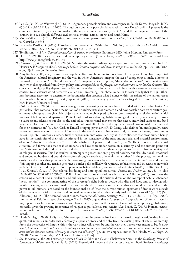- 154. Lee, S., Jan, N., & Wainwright, J. (2014). Agamben, postcoloniality, and sovereignty in South Korea. *Antipode*, 46(3), 650–68. doi:10.1111/anti.12070. The authors conduct a postcolonial analysis of how Korea's political present is the complex outcome of Japanese colonialism, the imperial interventions by the U.S., and the subsequent division of the country into two sharply differentiated political entities, namely, north and south Korea.
- 155. Moore-Gilbert, B. (2018). Palestine, postcolonialism and pessoptimism. *Interventions*, 20(1), 7–40. doi:10.1080/13698 01X.2016.1156555
- 156. Fernández Parrilla, G. (2018). Disoriented postcolonialities: With Edward Said in (the labyrinth of) Al-Andalus. *Interventions*, 20(2), 229–42. doi:10.1080/1369801X.2017.1403347
- 157. Tomlinson, J. (1991). *Cultural imperialism: A critical introduction.* Baltimore, MD: Johns Hopkins University Press.
- 158. Dirlik, A. (2008). Race talk, race, and contemporary racism. [Special Topic]. *PMLA*, 123(5), 1363–79. Retrieved from http://www.jstor.org/stable/25501941
- 159. Comaroff, J., & Comaroff, J. L. (2005). Naturing the nation: Aliens, apocalypse, and the postcolonial state. In T. B. Hansen & F. Stepputut (Eds.), *Sovereign bodies: Citizens, migrants and states in the postcolonial world* (pp. 120–48). Princeton, NJ: Princeton University Press.
- 160. Amy Kaplan (2005) analyzes American popular culture and literature to reveal how U.S. imperial forays have imprinted the American cultural imaginary and the way in which Americans imagine the act of conquering to make a home in the world, as a sort of "manifest domesticity". Consequently, Kaplan posits, "the notion of *domestic* policy makes sense only when distinguished from *foreign* policy, and *uncoupled from the foreign, national issues are never labeled domestic*. The concept of foreign policy depends on the idea of the nation as a domestic space imbued with a sense of at-homeness, in contrast to an external world perceived as alien and threatening" (emphases mine). It follows equally that foreign Otherness becomes necessary to determine the boundaries that separate what belongs within the sphere of the nation versus what needs to be kept outside (p. 25) [Kaplan, A. (2005). *The anarchy of empire in the making of U.S. culture*. Cambridge, MA: Harvard University Press].
- 161. Cash & Kinvall (2005) discuss how sovereignty and governing techniques have expanded with new technologies: "In particular, it has come to include the notions of e-borders, virtual or biometric, and how portable borders constitute government techniques through which subjects are rendered mobile, predictable and/or threatening in relation to influential notions of belonging and apartness." Postcolonial bordering also highlights "ontological insecurity as not only referring to subjects and identities but also to the embodied transpersonal movements that exceed individual subjects and bind together collectives in ways that create conditions of possibility for both the crystallisation of postcolonial structures and for their contestation" (p. 268). Cash & Kinvall bring up psychiatrist R. D. Laing, who defines "an ontologically secure person as someone who has a sense of 'presence in the world as real, alive, whole, and, in a temporal sense, a continuous person'" (p. 269). Anthony Giddens further expands on ontological security as "the confidence that most human beings have in the continuity of their self-identity and in the constancy of the surrounding social and material environments of action," that is dependent on a "sense of the reliability of persons and things" (p. 269). The ideological and material structures and formations that enabled imperialism have come under postcolonial scrutiny, and the authors point out that "this erosion of the old certainties and the many efforts to sustain them are prone to create confusion, anxiety and ontological insecurity. This has resulted in attempts to govern not only physical borders, but also ideational, emotional and embodied borders and boundaries—often through narratives of one kind or another." In the process, temporal linearity, or a discourse that privileges "an homogenising process in subjective, spatial or territorial terms," is abandoned, as "this ongoing conflict and tension generates a border politics filled with ruptures, ambivalences and insecurities, in which societies, identities and the postcolonial present are being redefined, reconstructed and reimagined" (p. 270). [See: Cash, J., & Kinnvall, C. (2017). Postcolonial bordering and ontological insecurities. *Postcolonial Studies*, 20(3), 267–74. doi: 10.1080/13688790.2017.1391670]. Political and International Relations scholar Jamie Allinson (2015) also covers the colonizing aspect of new surveillance and military technologies. The critique draws on the concept of Achille Mbembe's "necro-politics"—the commandeering of the sovereign's right both to decide who dies and how, and to ideologically ascribe meaning to the dead—to make the case that the discussions, about whether drones should be invested with the power to kill humans, are based on the foundational belief "that the current human operators of drones work outside of the context of racial distinction and colonial encounter in which they already make decisions to kill" (p. 113) [See: Allinson, J. (2015). The necropolitics of drones. *International Political Sociology*, 9(2), 113–27. doi:10.1111/ips.12086]. International Relations researcher Giorgio Shani (2017) argues that a "post-secular" appreciation of human security may open up useful ways of looking at ontological security within the seismic changes of contemporary globalization, especially given the growing importance of religion to postcolonial subjectivity [See: Shani, G. (2017.) Human security as ontological security: A post-colonial approach. *Postcolonial Studies*, 20(3), 275–93. doi:10.1080/13688790.2017.137 8062].
- 162. Hardt & Negri (2000) clarify that, "the concept of Empire presents itself not as a historical regime originating in conquest, but rather as an order that effectively suspends history and thereby fixes the existing state of affairs for eternity. From the perspective of Empire, this is the way things will always be and the way they were always meant to be. *In other words, Empire presents its rule not as a transitory moment in the movement of history, but as a regime with no territorial boundaries and in this sense outside of history or at the end of history*" (pp. xiv−xv, emphasis mine) [See: Hardt, M., & Negri, A. (2000). *Empire*. Cambridge, MA: Harvard University Press].
- 163. See, for example, the 2014 exchange between Vivek Chibber and Gayatri Chakravarty Spivak in the *Cambridge Review of International Affairs* [See: Spivak, G. C. (2014). Postcolonial theory and the specter of capital. Book Reviews. *Cambridge*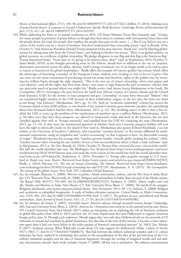*Review of International Affairs*, 27(1), 184–98. doi:10.1080/09557571.2014.877262; Chibber, V. (2014). Making sense of postcolonial theory: A response to Gayatri Chakravorty Spivak. Book Reviews. *Cambridge Review of International Affairs*, 27(3), 617–24. doi:10.1080/09557571.2014.943593]

- 164. While addressing her Party at its annual conference in 2016, UK Prime Minister Teresa May famously said, "[t]oday, too many people in positions of power behave as though they have more in common with international elites than with the people down the road, the people they employ, the people they pass on the street. […] But if you believe you are a citizen of the world, you are a citizen of nowhere. You don't understand what citizenship means" (qtd. in Bearak, 2016, October 5). And American President Donald Trump jumpstarted his post-election "thank you" tour by blaming globalization for taking away jobs from the United States, and making its borders less secure. "There is no global anthem, no global currency, no certificate of global citizenship. We pledge allegiance to one flag and that flag is the American flag," Trump hammered home. "From now on it's going to be America first, okay?" (qtd. in Stephenson, 2016, October 5). James Bridle (2018), in his thought-provoking essay in *The Atlantic*, details how in addition to the rise in "populist, identitarian movements across the globe, identity itself is being virtualized, too. It no longer needs to be tied to place or nation to function in the global marketplace." Bridle offers the example of Cyprus's golden-visa scheme which offers the advantages of becoming a member of the European Union, without even needing to visit or live in Cyprus. One can carry out the entire transaction of purchasing virtual real estate and therefore, rights to the golden-visa, by investing two million Euros through the right channels. "This is the new era of virtual citizenship, where your papers and your identity—and all the rights that flow from them—owe more to legal frameworks and investment vehicles than any particular patch of ground where you might live," Bridle writes. And Atossa Araxia Abrahamian in her book, *The Cosmopolites* (2015), investigates the pact between the small East African country of Comoro islands and the United Arab Emirates (UAE) for the former to issue passports and give "citizenship" to some forty-thousand "Bidoon" who are considered legally stateless in the UAE because of their tribal/ethnic origins, or the fact that the State sees them as not being "true Emiratis" (Abrahamian, 2015, pp. 52–53). Such an "economic citizenship" scheme has earned the Comoran island at least \$200 million, or one-fourth of the annual Comoran gross domestic product, for naturalizing about four thousand *bidoon* families alone (Abrahamian, 2015, p. 42). The troubling aspect to this is that it has enabled the UAE to cover up the problem of the statelessness of anywhere up to a million Bidoon (Abrahamian, 2015, p. 56) who, once they have these passports, are allowed to temporarily reside and work in the Emirates, but are now classified against their will, as "foreign nationals," and expelled from the UAE for critiquing the state (Abrahamian, 2015, pp. 15–16). It also raises the unanswered question of whether these new Comoran passport holders will ever have the right to physically reside on the island if they need to. Abrahamian also quotes Edward Kleinbard, a tax law scholar at the University of Southern California, who researches "stateless income" or the money offshored by multinational corporations, using tax loopholes and "creative accounting" so that it appears to have "no discernible country of origin." Kleinbard expresses his outrage that "stateless persons wander a hostile globe, looking for asylum," while, "stateless income takes a bearing for any number of zero or low-tax jurisdictions where it finds a ready welcome" (qtd. in Abrahamian, 2015, p. 56) [See: Bearak, M. (2016, October 5). Theresa May criticized the term 'citizen of the world.' But half the world identifies that way. *The Washington Post*. Retrieved from https://www.washingtonpost.com/news/ worldviews/wp/2016/10/05/theresa-may-criticized-the-term-citizen-of-the-world-but-half-the-world-identifies-thatway/?utm\_term=.6951ddc6a2fe; Stephenson, E. (2016, December 1). Trump takes populist message to U.S. heartland in 'thank you' tour. *Reuters*. Retrieved from https://www.reuters.com/article/us-usa-trump-idUSKBN13Q5HT; Bridle, J. (2018, February 21). The rise of virtual citizenship. *The Atlantic*. Retrieved from https://www.theatlantic. com/technology/archive/2018/02/virtual-citizenship-for-sale/553733/; Abrahamian, A. A. (2015). *The Cosmopolites: The coming of the global citizen*. New York, NY: Columbia Global Reports].
- 165. See, for example, Banerjee, S. (2000). *Warriors in politics: Hindu nationalism, violence, and the Shiv Sena in India*. Boulder, CO: Westview Press; Wariavwalla, B. (2000). Religion and nationalism in India: Ram the god of the Hindu nation. *The Round Table*, 89(357), 593–605. doi:10.1080/003585300225223; Varshney, A. (2002). *Ethnic conflict and civil life: Hindus and Muslims in India*. New Haven, CT: Yale University Press; Bhatt, C. (2006). The fetish of the margins: Religious absolutism, anti-racism and postcolonial silence. *New Formations*, 59(1), 98–115; Asthana, S. (2008). Religion and secularism as embedded imaginaries: A study of Indian television narratives. *Critical Studies in Media Communication*, 25(3), 304−323. doi:10.1080/15295030802191998; Patil, T. (2017). The politics of race, nationhood and Hindu nationalism. *Asian Journal of Social Science*, 45(1−2), 27−54. doi:10.1163/15685314-04501002
- 166. See, for instance, de Grazia, V. (2005). *Irresistible empire: America's advance through twentieth-century Europe*. Cambridge, MA: Harvard University Press; Weiss, L. (2014). *America Inc.? Innovation and enterprise in the national security state*. Ithaca, NY: Cornell University Press. Paul Moody (2017) makes an interesting case in exploring the role of American embassies in global film policy from 2003 to 2010 and how the US State Department has used Hollywood to support American foreign policy aims. In Through such endeavors, Moody argues that "not only does Hollywood rely on the network of US embassies to extend and maintain its global dominance, but also that at the turn of the century, it became a more important agent than it had ever been before in the wider pursuit of America's international interests" (p. 1063) [See: Moody, P. (2017). Embassy cinema: What WikiLeaks reveals about US state support for Hollywood. *Media, Culture & Society*, 39(7), 1063–77. doi:10.1177/0163443716686673]. This link between the military industrial complex and U.S. culture industries has been explored in scholarship that points to the normalization of the idea of the pervasiveness of the U.S. military industrial complex and the idea of American hegemony through the overlap of imagined worlds and real military interventions abroad. Such works include: Lenoir, T. (2000). All but war is simulation: The military-entertainment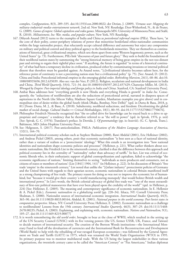complex, *Configurations*, 8(3), 289–335. doi:10.1353/con.2000.0022; der Derian, J. (2009). *Virtuous war: Mapping the military–industrial–media–entertainment network*, 2nd ed. New York, NY: Routledge; Dyer-Witherford, N., & de Peuter, G. (2009). *Games of empire: Global capitalism and video games*. Minneapolis MN: University of Minnesota Press; and Stahl, R. (2010). *Militainment, Inc: War, media, and popular culture*. New York, NY: Routledge.

- 167. Dibyesh Anand (2012) turns to the examples of India and China as *postcolonial informal empires* (PIEs). These have, "at the core of their polity, center-periphery relations of power that minoritize borderland ethno-nationalist communities within the large nationalist project, that reluctantly accept cultural difference and autonomy but reject any compromise on military and political control and deny political agency to the borderlands minorities. They see themselves as continuations of historical, great civilizational empires, which sets them apart from some Western hegemonic powers, such as the United States" (p. 73). Furthermore, PIEs link "discourses of past and future glory." They seek to build the foundations of their neoliberal nation-states by summoning the "strong historical memory of being great empires in the not-too-distant past and striving to regain their rightful place soon." If anything, the future is regarded "in terms of a historical continuity" of what had been a temporary decline in civilization, produced either by contaminating invasions or internal political dissent that therefore must be guarded against. As Anand notes, "[c]ivilizational identity becomes salient here, for the reference point of continuity is not a preexisting nation-state but a civilizational polity" (p. 75). [See: Anand, D. (2012). China and India: Postcolonial informal empires in the emerging global order. *Rethinking Marxism*, 24(1), 68–86. doi:10. 1080/08935696.2012.635039. Also see: van der Veer, P. (2012). Religion, secularism and national development in India and China. *Third World Quarterly*, 33(4), 721–34. doi:10.1080/01436597.2012.657429; Chatterjee Miller, M. (2013). *Wronged by Empire: Post-imperial ideology and foreign policy in India and China*. Stanford, CA: Stanford University Press].
- 168. Ambar Basu addresses how "everything growth is now Hindu and everything Hindu is growth" in *India Inc*. Consequently, the "seductions of neoliberalism are also the seductions of postcolonial arrival, narrated in diaspora spaces of aspirations in the North (the Silicon Valley, Madison Square Garden, Manhattan examples you give above) and in cosmopolitan sites of desire within the global South (think Dhaka, Bombay, New Delhi)" (qtd. in Dutta & Basu, 2018, p. 81) [From: Dutta, M. J., & Basu, A. (2018). Subalternity, neoliberal seductions, and freedom: Decolonizing the global market of social change. *Cultural Studies ↔ Critical Methodologies*, 18(1), 80–93. doi:10.1177/1532708617750676].
- 169. Philosopher Friedrich Nietzsche recognized that "the so-called drive for knowledge can be traced back to a drive to appropriate and conquer," a tendency that he therefore referred to as "the will to power" (qtd. in Spivak, 1976, p. xxii) [See: Spivak, G. C. (1976). Translator's preface. In Derrida, J. *Of grammatolog*y (pp. ix–lxxxviii). (G. C. Spivak, Trans.). Baltimore, MD: Johns Hopkins University Press].
- 170. See: Helgesson, S. (2017). Post-anticolonialism. PMLA: *Publications of the Modern Language Association of America*, 132(1), 164–70.
- 171. International political economy scholars such as Stephen Shulman (2000), Rawi Abdelal (2001), Eric Helleiner (2002), and Andreas Pickel (2003), among others, posit that economic nationalism "is best seen as a facet of national identity, rather than a variant of realism or a 'protectionist' ideology." What this entails is an investigation into "how national identities and nationalism shape economic policies and processes" (Helleiner, p. 221). What earlier thinkers about economic nationalism, like Friedrich List in the nineteenth century, clarified is that the difference between this approach and political economy lies in the centrality of "'nationality' rather than advocacy of tariffs." In fact, List was critical of economic liberals who, in their enthusiastic support of global cosmopolitanism and capitalism, failed to acknowledge "the economic significance of nations," limiting themselves to seeing "'individuals as mere producers and consumers, not as citizens of states or members of nations' (List [1841] 1904, 141)" (in Helleiner, p. 222). In his discussion of Britain's "free trade 'empire' in the nineteenth century," List noted that unlike the "[i]nfant industry" protectionist policies of Germany and the United States with regards to their agrarian sectors, economic nationalism in colonial Britain manifested itself as a strong championing of free trade. The primary reason for doing so was not to improve the economic lot of humankind, but "because it would give their country 'a world manufacturing monopoly' that would bolster British wealth and international power." In List's words, the British colonial advocacy of global free trade was "'one of the most extraordinary of first-rate political manoeuvres that have ever been played upon the credulity of the world'" (qtd. in Helleiner, p. 224) [See: Helleiner, E. (2005). The meaning and contemporary significance of economic nationalism. In E. Hellenier & A. Pickel (Eds.), *Economic nationalism in a globalizing world* (pp. 220–34). Ithaca, NY: Cornell University Press; Shulman, S. (2000). Nationalist sources of international economic integration. *International Studies Quarterly*, 44(3), 365–90. doi:10.1111/0020-8833.00164; Abdelal, R. (2001). *National purpose in the world economy: Post-Soviet states in comparative perspective*. Ithaca, NY: Cornell University Press; Helleiner, E. (2002). Economic nationalism as a challenge to neoliberalism? Lessons from the 19th century. *International Studies Quarterly*, 46(3), 307–29. doi:10.1111/1468- 2478.00235; Pickel, A. (2003). Explaining, and explaining with, economic nationalism. *Nations and Nationalism*, 9(1), 105–27. doi:10.1111/1469-8219.00077]
- 172. It is worth remembering the *old world order*, brought to bear at the close of WWII, which resulted in the setting up of the UN Security Council (UNSC) with its five vetoing powers (the US, former USSR, UK, France, and Taiwan) to decide matters of international security. The creation of the Bretton Woods institutions—the International Monetary Fund to fend off the devaluation of currencies and the International Bank for Reconstruction and Development (World Bank) to help with the rebuilding of war-ravaged European economies—was followed by the General Agreement on Trade and Tariffs (GATT) in 1975, which was renamed the World Trade Organization (WTO) in 1995. Its primary purpose was to monitor multilateral trade. With the US being the largest stakeholder in these various organizations, the twentieth century came to be called the "American Century" or "Pax Americana." Indian diplomat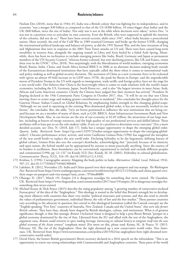Neelam Deo (2018), notes that in 1944–45, India was a British colony that was fighting for its independence, and its economy "was a meagre \$30 billion as compared to that of the US (\$300 billion, 10 times bigger than India) and the UK (\$60 billion, twice the size of India). Not only was it not at the table when decisions were taken," writes Deo, "it was not in a position even to articulate its own concerns. Even the British, who were supposed to uphold the interests of the colonies, did not do so." There have been several tectonic shifts since 1947, when India became a postcolonial nation. More recently, the end of the Cold War in 1989 reunited Germany and broke up the former USSR, changing the international political landscape and balance-of-power, as did the 1991 Kuwait War, and the later invasions of Iraq and Afghanistan that were in response to the 2001 Twin Tower attacks on US soil. These wars have caused long-term instability in western Asia, alongside the ongoing tumult in Libya and Syria fueled by a failed Arab Spring. Meanwhile, there has been no inclination to include emerging powers like India, Brazil, Germany and Japan as permanent members of the UN Security Council, "whereas former colonial, but now declining powers, like UK and France, retain their veto in the UNSC" (Deo, 2018). Not surprisingly, with the liberalization of world markets, emerging economies Brazil, Russia, India, China, and South Africa formed BRICS in 2006 as an alternate decision-making body outside of the Euroamerican dominated institutions that have typically called the shots when it comes to international trade and policy making as well as global security decisions. The ascension of China as a new economic force to be reckoned with (given an almost 49-fold increase in its GDP since 1978), the push for Brexit in Europe, and the unpredictable moves of President Trump in the US with regards to immigration, trade tariffs, and foreign policy, have set the stage for a *new world order*. Deo believes that China is the heavyweight when it comes to trade relations with the world's major economies, including the US, Germany, Japan, South Korea etc., and is also "the largest investor in most Asian, Arab, African and Latin American countries. Clearly the Chinese have judged that their moment has arrived." President Xi Jinping declared at the 19th Communist Party Congress in October 2017, that, "'It will be an era that sees China moving closer to centre stage and making greater contributions to mankind." Deo concludes her thought-piece for the Gateway House: Indian Council on Global Relations, by emphasizing India's strength in this changing global-scape: "Although we are used to operating in the existing West-dominated global order, it has not necessarily worked in our favour," she concludes. But, she adds, "[w]e are better positioned to influence the new institutions that are being created because we are a member of many of them, such as G20, BRICS, Asian Infrastructure Investment Bank and New Development Bank. Also, in our favour are the size of our economy at \$2.85 trillion, the attractions of our large market, including as buyers of energy resources, and the high quality of our professional services and skilled labour. These attributes will at least put us on the rule-makers' table, if not yet in a position to determine every outcome" [For a more detailed account, see: Deo, N. (2018, July 17). India has a unique opportunity to shape the emerging global order. *Quartz*, India. Retrieved from https://qz.com/1329573/indias-unique-opportunity-to-shape-the-emerging-globalorder/]. Chicano performance writer, activist, and writer Guillermo Gómez-Peña (1996) has suggested the metaphor of the *new world border* to replace the *new world order*. Declaring hybridity to be the hegemonic defining feature of global culture, Gómez-Peña also sees the concept's drawbacks, acknowledging that "'precisely because of its elasticity and open nature, the hybrid model can be appropriated by anyone to mean practically anything. Since the essence of its borders is oscillation, these boundaries can be conveniently repositioned to include and exclude different peoples and communities'(1996, pp. 12–13)" (in Kraidy 322) [See: Kraidy, M. M. (2002). Hybridity in cultural globalization. *Communication Theory*, 3(12), 316–39. doi:10.1093/ct/12.3.316].

- 173. Krishna, S. (1994). Cartographic anxiety: Mapping the body politic in India. *Alternatives: Global, Local, Political*, 19(4), 507–21. doi:10.1177/030437549401900404
- 174. Lakshmi, R. (2012, November 23). India and China quarrel over their maps on passport and visa stamps. *The Washington Post*. Retrieved from https://www.washingtonpost.com/news/worldviews/wp/2012/11/23/india-and-china-quarrel-overtheir-maps-on-passport-and-visa-stamps/?utm\_term=.7f766ed08ff4
- 175. Olusoga, D. (2017, March 19). Empire 2.0 is dangerous nostalgia for something that never existed. *The Guardian*, UK. Retrieved from https://www.theguardian.com/commentisfree/2017/mar/19/empire-20-is-dangerous-nostalgia-forsomething-that-never-existed
- 176. Michael Kenny & Nick Pearce (2015) describe the rising popularity among "a growing number of conservative-inclined Eurosceptics" of the idea of the "Anglosphere." This ideology is rooted in the belief that Britain's strength lies in developing closer alliances with countries that share very similar "political structures and systems; and that also tend to cherish the values of parliamentary government, individual liberty, the rule of law and the free market." These partner countries vary according to the advocate in question, but central to this ideological formation (called the Canzuk concept) are the "English-speaking "Five Eyes" countries of Australia, New Zealand, Canada and the United States" *that were also former British colonies*. They have thus, already been shaped by British ideologies, culture, and institutions. What is of greatest significance though, is that this strategic *Britain Unchained* vision is designed to help a post-Brexit Britain "prosper in a global economy dominated by the rise of Asia. Liberated from the EU and allied with the rest of the Anglosphere, the argument runs, *Britain could reinvent its open trading heritage, harnessing its colonial history to integrate itself into the new global economy of the Asian century*" (emphasis mine) [For more on this, please read: Kenny, M., & Pearce, N. (2015, February 10). The rise of the Anglosphere: How the right dreamed up a new conservative world order. *New Statesman*, UK. Retrieved from https://www.newstatesman.com/politics/2015/02/rise-anglosphere-how-right-dreamed-newconservative-world-order].
- 177. David Davis, the former British government's Brexit secretary declared in a 2016 speech on the referendum: "This is an opportunity to renew our strong relationships with Commonwealth and Anglosphere countries. These parts of the world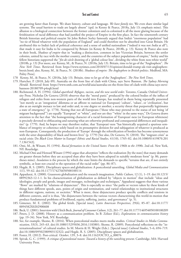are growing faster than Europe. We share history, culture and language. *We have family ties*. We even share similar legal systems. The usual barriers to trade are largely absent" (qtd. in Kenny & Pearce, 2018a, July 13; emphasis mine). This allusion to a biological connection between the former colonizers and ex-colonized is all the more glaring because of the fetishization of racial difference that had justified the project of Empire in the first place. In fact the nineteenth century British historian and political essayist Sir John Robert Seeley famously argued that India's "enormous population" had "no tie of blood whatever with the population of England" and could therefore not be absorbed into Great Britain. He attributed this to India's lack of political coherence and a sense of unified nationalism ("indeed it was not *India* at all"), that made it easy for India to be conquered by Britain (in Kenny & Pearce, 2018b, p. 13). Kenny & Pearce also note in their book, *Shadows of empire* that in "making a distinction, common in late Victorian Britain, between the settler colonies, united by race with the mother country, and the countries of the subject populations of empire," Seeley and his fellow historians supported the "*fin-de-siècle* drawing of a 'global colour line', dividing the white from non-white world" (2018b, p. 13) [For more, see: Kenny, M., & Pearce, N. (2018a, July 13). Britain, time to let go of the "Anglosphere". *The New York Times*. Retrieved from https://www.nytimes.com/2018/07/13/opinion/donald-trump-uk-visit-anglospherebrexit.html; also, Kenny, M., & Pearce, N. (2018b). *Shadows of empire: The Anglosphere in British politics*. Medford, MA: Polity Press].

- 178 Kenny, M., & Pearce, N. (2018a, July 13). Britain, time to let go of the 'Anglosphere'. *The New York Times*.
- 179. Hartcher, P. (2018, July 09). Australia on the front line of clash with China, says Steve Bannon. *The Sydney Morning Herald*. Retrieved from https://www.smh.com.au/world/asia/australia-on-the-front-line-of-clash-with-china-says-stevebannon-20180709-p4zqfi.html
- 180. Richmond, A. H. (1994). *Global apartheid: Refugees, racism, and the new world order*. Toronto, Canada: Oxford University Press. Nicholas De Genova (2018) observes that the "moral panic" produced by the colored bodies of the influx of refugees and exiles from non-western parts of the world into Europe, has resulted in them being repeatedly presented "not merely as an 'integration' dilemma or an affront to national (or European) 'culture', 'values', or 'civilization', but also as an outright menace to law and order and, to one degree or another, a security threat that purportedly legitimates a state of emergency" (p. 1778). Noting that not all Europeans ("those who may pretend to the status of not being 'of migrant background'") are equally "European" or "white", and nor are they "'white' in the same ways," De Genova draws attention to the fact that "the homogenizing character of a racial formation of 'European'-ness (or European whiteness) is precisely devoted to obfuscating and suturing what are otherwise profound and consequential differences and inequalities" (p. 1779). And, he hopes we may therefore realize, that 'European'-ness "has historically acquired a spurious semblance of integrity or coherence solely based on its presumptive derision for and subjugation of whatever is produced as non-European. Consequently, the production of 'Europe' through the refortification of borders has become synonymous with the utter disposability of black and brown lives" (p. 1779) [See also, De Genova, N. (2018). The "migrant crisis" as racial crisis: Do *Black Lives Matter* in Europe? *Ethnic and Racial Studies*, 41(10), 1765–82. doi:10.1080/01419870.201 7.1361543].
- 181. Omi, M., & Winant, H. (1994). *Racial formation in the United States: From the 1960s to the 1990s*. 2nd ed. New York, NY: Routledge.
- 182. Michael Omi and Howard Winant (1994) argue that *absorption* "reflects the realization [by the state] that many demands are greater threats before they are accepted than after they have been adopted in suitably moderate form" (p. 86, parentheses mine). *Insulation* is the process by which the state limits the demands to specific "terrains that are, if not entirely symbolic, at least not crucial to the operation of the racial order" (pp. 86–87).
- 183. Hegde, R. S. (2005). Disciplinary spaces and globalization: A postcolonial unsettling. *Global Media and Communication*  1(1), 59–62. doi:10.1177/174276650500100114
- 184. Appadurai, A. (2000). Grassroots globalization and the research imagination. *Public Culture*, 12 (1), 1–19. doi:10.1215/ 08992363-12-1-1. In his characterization of globalization as defined by "objects in motion" that include "ideas and ideologies, people and goods, images and messages, technologies and techniques," Appadurai suggests that these various "flows" are marked by "relations of disjuncture". This is especially so since "the paths or vectors taken by these kinds of things have different speeds, axes, points of origin and termination, and varied relationships to institutional structures in different regions, nations, or societies." What is more, these disjunctures produce specific conflicts and tensions in different contexts, and it is thus, "the disjunctures between the various vectors characterizing this world-in-motion that produce fundamental problems of livelihood, equity, suffering, justice, and governance" (p. 5).
- 185. Gimenez, M. E. (2002). The global fetish. [Special issue]. *Latin American Perspectives*, 29(6), 85–87. doi:10.1177/ 0094582X0202900608
- 186. Beck, U. (2001). Interview with Ulrich Beck. *Journal of Consumer Culture*, 1(2), 261–77. doi:10.1177/146954050100100209
- 187. Peters, J. D. (2008). History as a communication problem. In B. Zelizer (Ed.), *Explorations in communication history* (pp. 19–34). New York, NY: Routledge.
- 188. See, for example, Shome, R. (2016). When postcolonial studies meets media studies. *Critical Studies in Media Communication*, 33(3), 245–63. doi:10.1080/15295036.2016.1183801; Shome, R. (2009). Postcolonial reflections on the "internationalization" of cultural studies. In M. Morris & H. Wright (Eds.). [Special issue] *Cultural Studies*, 5–6, 694–719. doi:10.1080/09502380903132322; and Hegde, R. S. (2005). Disciplinary spaces and globalization.
- 189. Foster, H. (2012). Post-critical. *October*, 139, 3–8. doi:10.1162/OCTO\_a\_00076
- 190. Spivak, G. C. (1999). *A critique of postcolonial reason: Toward a history of the vanishing present*. Cambridge, MA: Harvard University Press.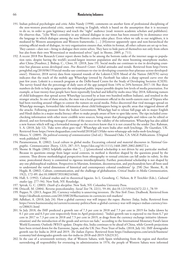- 191. Indian political psychologist and critic Ashis Nandy (1998), comments on another form of professional disciplining of the non-western postcolonial critic, namely writing in English, which is based on the assumption that it is necessary to do so, in order to gain legitimacy and reach the "right" audience (read: western academic scholars and publishers). He observes that, "[t]he West's centrality in any cultural dialogue in our times has been ensured by its dominance over the language in which dialogue among the non-Western cultures takes place. Even when we talk to our neighbors, it is mediated by Western assumptions and Western frameworks. […] [H]owever apparently open and non-hierarchical the existing official mode of dialogue, its very organization ensures that, within its format, all other cultures are set up to lose. They cannot—dare not—bring to dialogue their entire selves. They have to hide parts of themselves not only from others but also from their own Westernized or modernized selves" (qtd. in Shome, 2009, p. 711).
- 192. A recent 2018 Pew Research Center report shows India to be among the bottom ranks of the internet usage-to population ratio, despite having the world's second-largest internet population and the most booming smartphone market, after China [Poushter, J. Bishop, C., Chwe, H. (2018, June 19). Social media use continues to rise in developing countries but plateaus across developed ones. *Pew Research Center*. Global attitudes and trends. Retrieved from http://www. pewglobal.org/2018/06/19/social-media-use-continues-to-rise-in-developing-countries-but-plateaus-across-developedones/]. However, 2018 survey data from repeated rounds of the Lokniti-CSDS Mood of the Nation (MOTN) survey indicates that the reach of the mobile app WhatsApp (owned by *Facebook*) has taken a sharp upward curve over the past few years. Lokniti is a research program at the Delhi-based Centre for the Study of Developing Societies (CSDS). The survey found that the percentage of daily users of the app jumped from 14% to 24% between 2017–18. But these numbers do little to help us appreciate the widespread public impact possible despite low levels of media penetration. For example, at least twenty-four people have been reportedly lynched and killed by mobs since May 2018, following rumors of child kidnappers that spread across WhatsApp (accessed by at least two hundred million Indians), and resulted in the stranger attacks. In one of these attacks, the man was a local government official in the north-eastern state of Tripura who had been traveling around villages to contest the rumors on social media. Police discovered that viral messages spread on WhatsApp messages, forwarded fake information about child kidnappers being in specific areas that triggered almost all the attacks. Following pressure from the Indian Government, WhatsApp had to release full-page ads in major English and Hindi dailies in a major media literacy effort to make people aware of how to spot fake news. The tips included crosschecking information with other more credible news sources, being aware that photographs and videos can be edited or altered, and not forwarding messages if unsure of the source or the validity of the information. WhatsApp has also added a new feature which will tag a forwarded message so the receivers know that it is not created by the sender [See: Rahman, S. A. (2018, July 12). 'Fake news often goes viral': WhatsApp ads warn India after mob lynchings. *The Guardian*, UK. Retrieved from https://www.theguardian.com/world/2018/jul/13/fake-news-whatsapp-ads-india-mob-lynchings].
- 193. Mosco, V. (2009). *The political economy of communication* (2nd ed.). Thousand Oaks, CA: SAGE Publications. (Original work published 1996)
- 194. Parameswaran, R. (2002). Local culture in global media: Excavating colonial and material discourses in *National Geographic*. *Communication Theory*, 12(3), 287–315. https://doi.org/10.1111/j.1468-2885.2002.tb00272.x
- 195. Shome & Hegde (2002) helpfully explain that "[…] [p]ostcolonial scholarship is not driven by any particular method. Because its questions emerge from larger social contexts, its method is therefore shaped by the questions posed by the contexts. Thus diverse methodological perspectives from ethnography to textual criticism can fall under its rubric. In this sense, postcolonial theory is committed to rigorous interdisciplinarity. Further, postcolonial scholarship is not shaped by any one philosophical tradition. Perspectives in Marxism, feminism, deconstruction, and psychoanalysis have all been used to understand the varied dimensions of historical and contemporary colonial conditions" (p. 258) [See: Shome, R., & Hegde, R. (2002). Culture, communication, and the challenge of globalization. *Critical Studies in Media Communication*, 19(2), 172–89. doi:10.1080/07393180216560].
- 196. Hall, S. (1992). Cultural studies and its theoretical legacies. In L. Grossberg, C. Nelson, & P. Treichler (Eds.), *Cultural studies* (pp. 277–94). New York, NY: Routledge.
- 197. Spivak, G. C. (2003). *Death of a discipline*. New York, NY: Columbia University Press.
- 198. Driscoll, M. (2004). Reverse postcoloniality. *Social Text* 78, 22(1), 59–84. doi:10.1215/01642472-22-1\_78-59
- 199. Popper, N. (2013, August 20). Currency volatility is unnerving investors. *The New York Times*. Dealbook. Retrieved from https://dealbook.nytimes.com/2013/08/20/fluctuations-in-currencies-roil-markets/
- 200. Adhikari, A. (2018, July 24). How a global currency war will impact the rupee. *Business Today*, India. Retrieved from https://www.businesstoday.in/current/economy-politics/how-a-global-currency-war-will-impact-indian-currency/story/280631.html
- 201. In July 2018, the IMF predicted a growth rate of 7.3 per cent in 2018 and 7.5 per cent in 2019 for India (down by 0.1 per cent and 0.3 per cent respectively from its April projections). "India's growth rate is expected to rise from 6.7 per cent in 2017 to 7.3 per cent in 2018 and 7.5 per cent in 2019, as drags from the currency exchange initiative (demonetisation) and the introduction of the goods and services tax fade," according to the International Monetary Fund's latest World Economic Outlook (WEO) update. Despite this, India continues to be ahead of China, while Growth projections have been revised down for the Eurozone, Japan, and the UK [See: Press Trust of India. (2018, July 16). IMF downgrades growth rate for India in 2018 and 2019. *The Indian Express*. Retrieved from https://indianexpress.com/article/business/ economy/imf-downgrades-growth-rate-for-india-in-2018-and-2019-5262313/].
- 202. In the case of a seventeenth territory, that of Western Sahara, with Spain withdrawing from the region and therefore surrendering all responsibility for overseeing its administration in 1976, the people of Western Sahara were informed